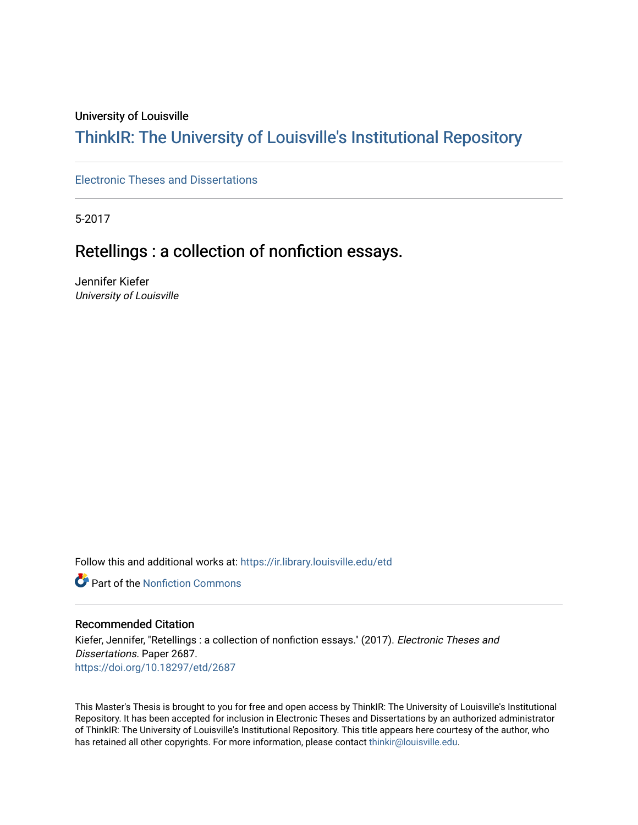#### University of Louisville

# ThinkIR: The Univ[ersity of Louisville's Institutional Reposit](https://ir.library.louisville.edu/)ory

[Electronic Theses and Dissertations](https://ir.library.louisville.edu/etd)

5-2017

# Retellings : a collection of nonfiction essays.

Jennifer Kiefer University of Louisville

Follow this and additional works at: [https://ir.library.louisville.edu/etd](https://ir.library.louisville.edu/etd?utm_source=ir.library.louisville.edu%2Fetd%2F2687&utm_medium=PDF&utm_campaign=PDFCoverPages) 

Part of the [Nonfiction Commons](http://network.bepress.com/hgg/discipline/1152?utm_source=ir.library.louisville.edu%2Fetd%2F2687&utm_medium=PDF&utm_campaign=PDFCoverPages) 

#### Recommended Citation

Kiefer, Jennifer, "Retellings : a collection of nonfiction essays." (2017). Electronic Theses and Dissertations. Paper 2687. <https://doi.org/10.18297/etd/2687>

This Master's Thesis is brought to you for free and open access by ThinkIR: The University of Louisville's Institutional Repository. It has been accepted for inclusion in Electronic Theses and Dissertations by an authorized administrator of ThinkIR: The University of Louisville's Institutional Repository. This title appears here courtesy of the author, who has retained all other copyrights. For more information, please contact [thinkir@louisville.edu](mailto:thinkir@louisville.edu).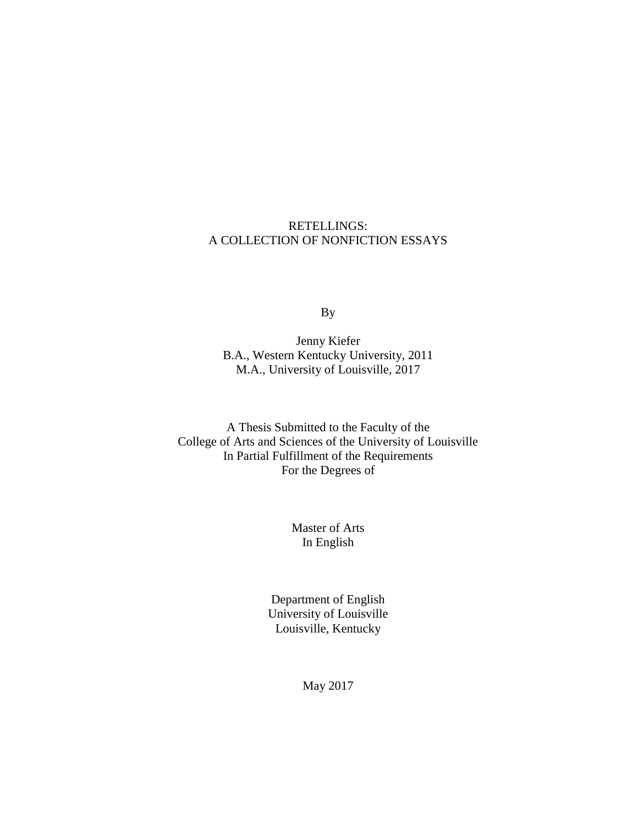## RETELLINGS: A COLLECTION OF NONFICTION ESSAYS

By

Jenny Kiefer B.A., Western Kentucky University, 2011 M.A., University of Louisville, 2017

A Thesis Submitted to the Faculty of the College of Arts and Sciences of the University of Louisville In Partial Fulfillment of the Requirements For the Degrees of

> Master of Arts In English

Department of English University of Louisville Louisville, Kentucky

May 2017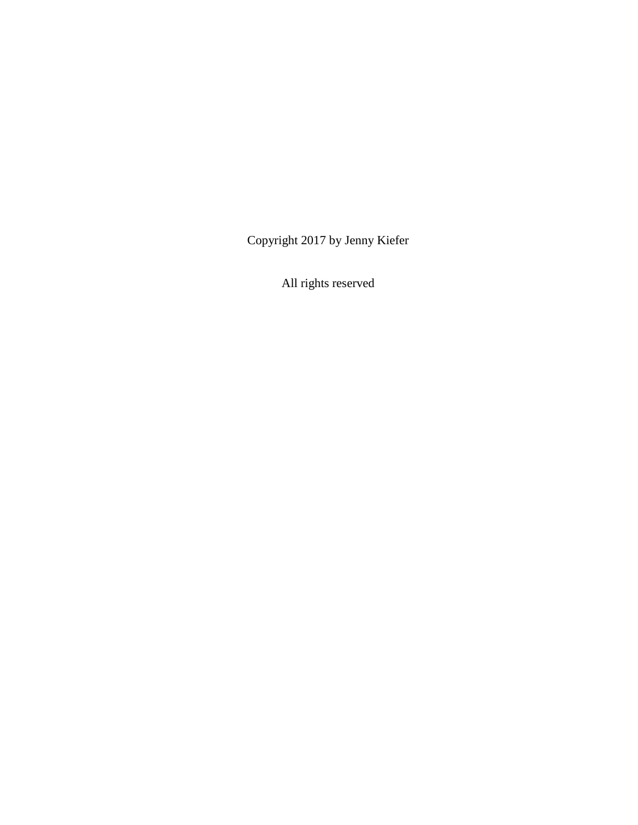Copyright 2017 by Jenny Kiefer

All rights reserved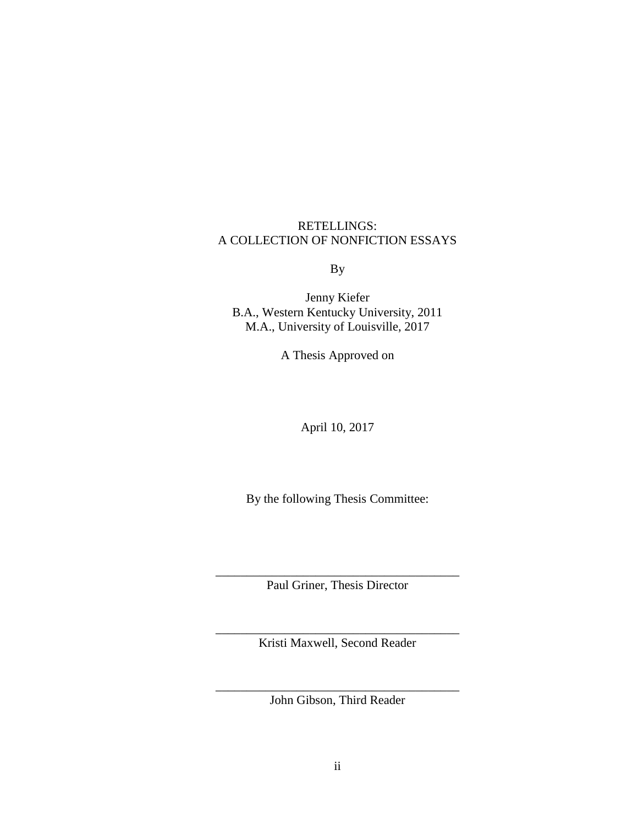RETELLINGS: A COLLECTION OF NONFICTION ESSAYS

By

Jenny Kiefer B.A., Western Kentucky University, 2011 M.A., University of Louisville, 2017

A Thesis Approved on

April 10, 2017

By the following Thesis Committee:

\_\_\_\_\_\_\_\_\_\_\_\_\_\_\_\_\_\_\_\_\_\_\_\_\_\_\_\_\_\_\_\_\_\_\_\_\_\_\_ Paul Griner, Thesis Director

\_\_\_\_\_\_\_\_\_\_\_\_\_\_\_\_\_\_\_\_\_\_\_\_\_\_\_\_\_\_\_\_\_\_\_\_\_\_\_ Kristi Maxwell, Second Reader

\_\_\_\_\_\_\_\_\_\_\_\_\_\_\_\_\_\_\_\_\_\_\_\_\_\_\_\_\_\_\_\_\_\_\_\_\_\_\_ John Gibson, Third Reader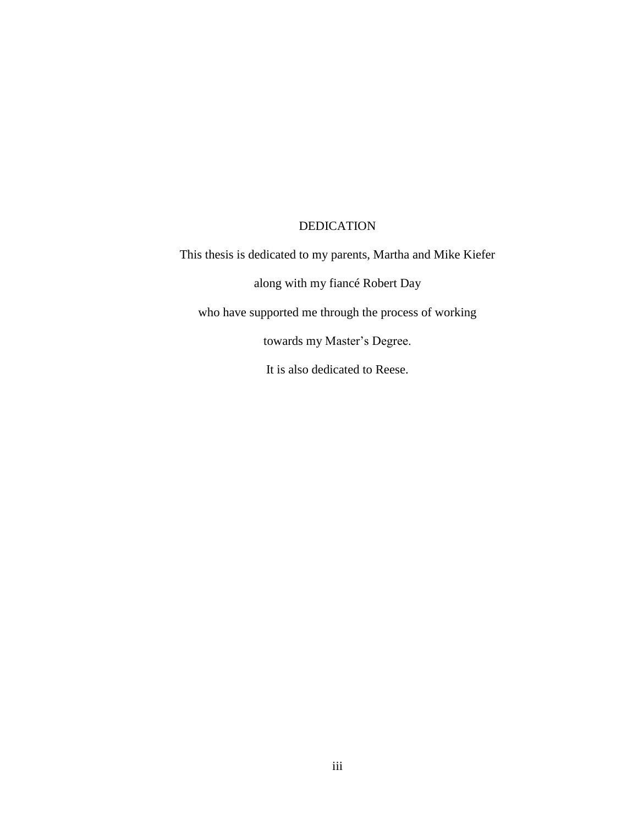## DEDICATION

This thesis is dedicated to my parents, Martha and Mike Kiefer along with my fiancé Robert Day who have supported me through the process of working towards my Master's Degree. It is also dedicated to Reese.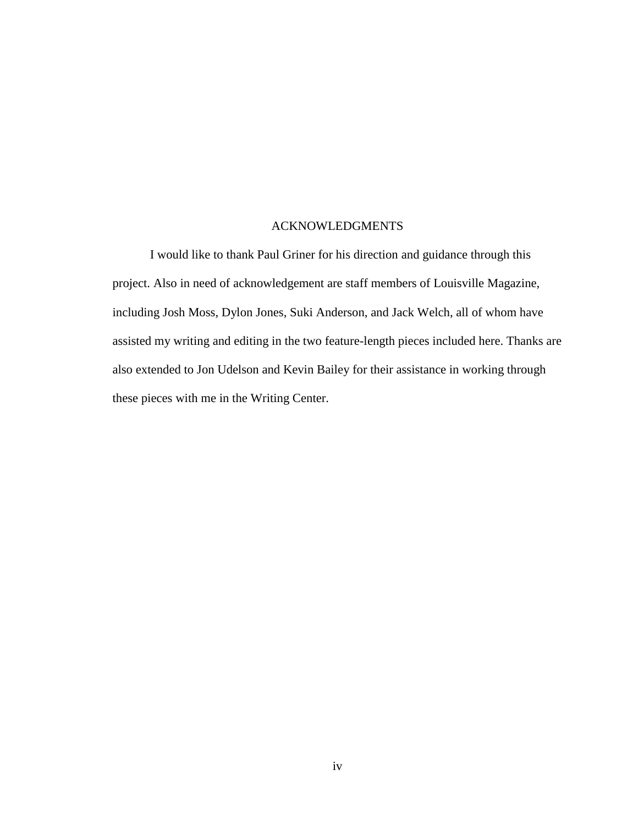### ACKNOWLEDGMENTS

I would like to thank Paul Griner for his direction and guidance through this project. Also in need of acknowledgement are staff members of Louisville Magazine, including Josh Moss, Dylon Jones, Suki Anderson, and Jack Welch, all of whom have assisted my writing and editing in the two feature-length pieces included here. Thanks are also extended to Jon Udelson and Kevin Bailey for their assistance in working through these pieces with me in the Writing Center.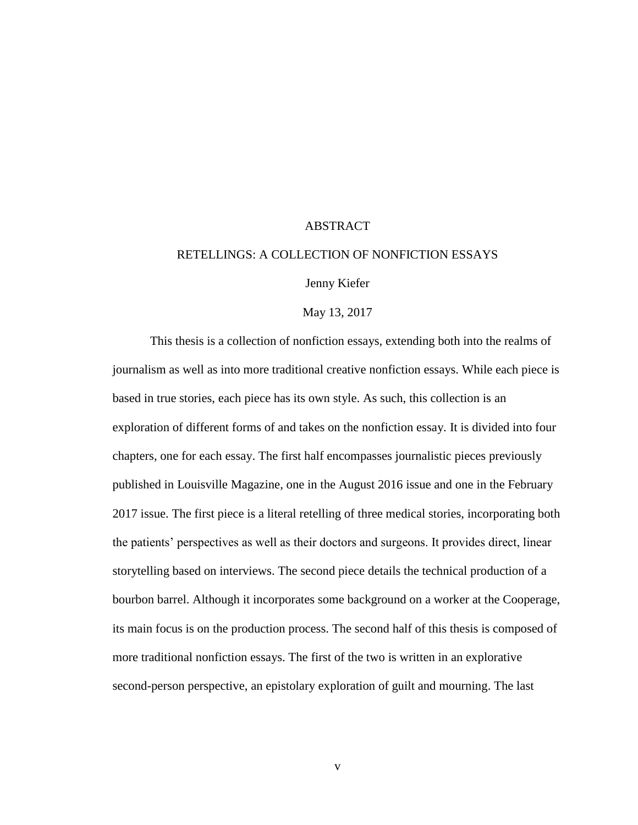#### **ABSTRACT**

#### RETELLINGS: A COLLECTION OF NONFICTION ESSAYS

Jenny Kiefer

May 13, 2017

This thesis is a collection of nonfiction essays, extending both into the realms of journalism as well as into more traditional creative nonfiction essays. While each piece is based in true stories, each piece has its own style. As such, this collection is an exploration of different forms of and takes on the nonfiction essay. It is divided into four chapters, one for each essay. The first half encompasses journalistic pieces previously published in Louisville Magazine, one in the August 2016 issue and one in the February 2017 issue. The first piece is a literal retelling of three medical stories, incorporating both the patients' perspectives as well as their doctors and surgeons. It provides direct, linear storytelling based on interviews. The second piece details the technical production of a bourbon barrel. Although it incorporates some background on a worker at the Cooperage, its main focus is on the production process. The second half of this thesis is composed of more traditional nonfiction essays. The first of the two is written in an explorative second-person perspective, an epistolary exploration of guilt and mourning. The last

v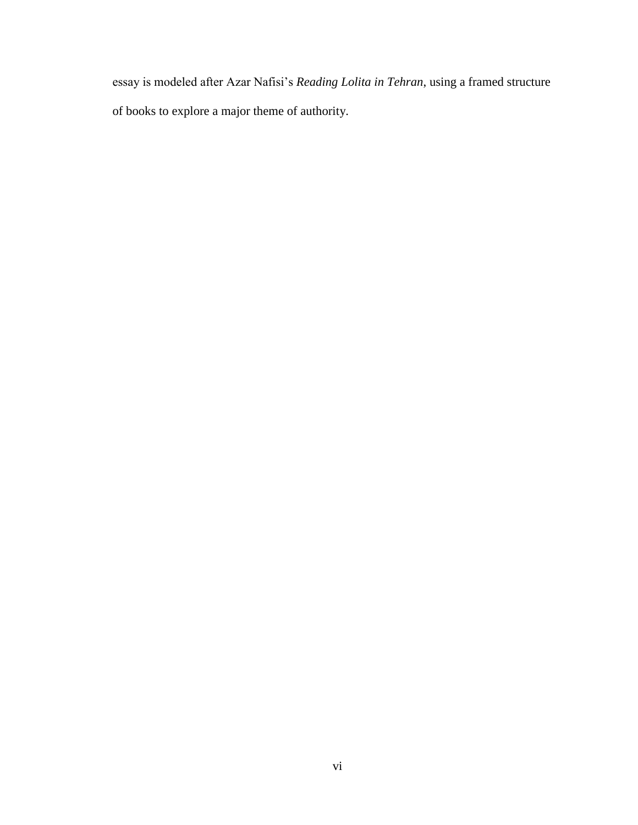essay is modeled after Azar Nafisi's *Reading Lolita in Tehran*, using a framed structure of books to explore a major theme of authority.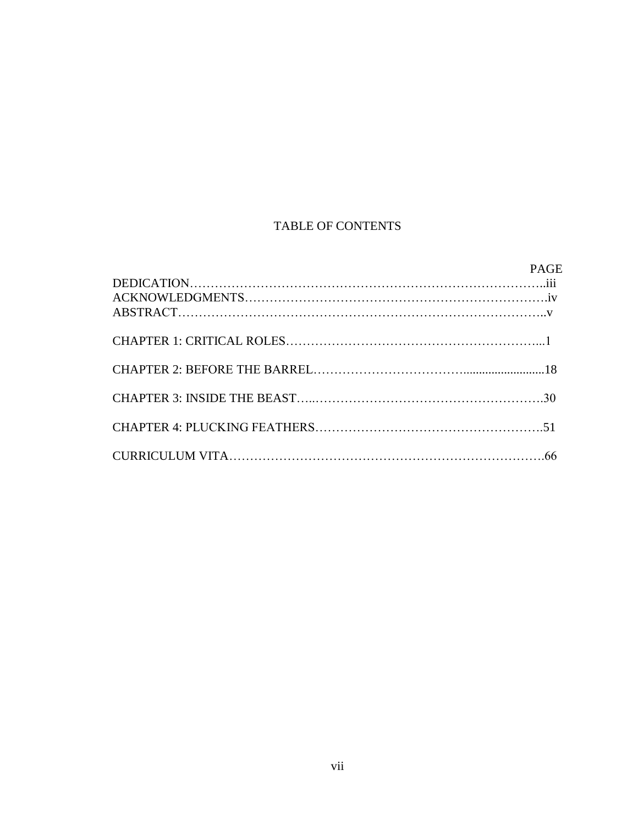# TABLE OF CONTENTS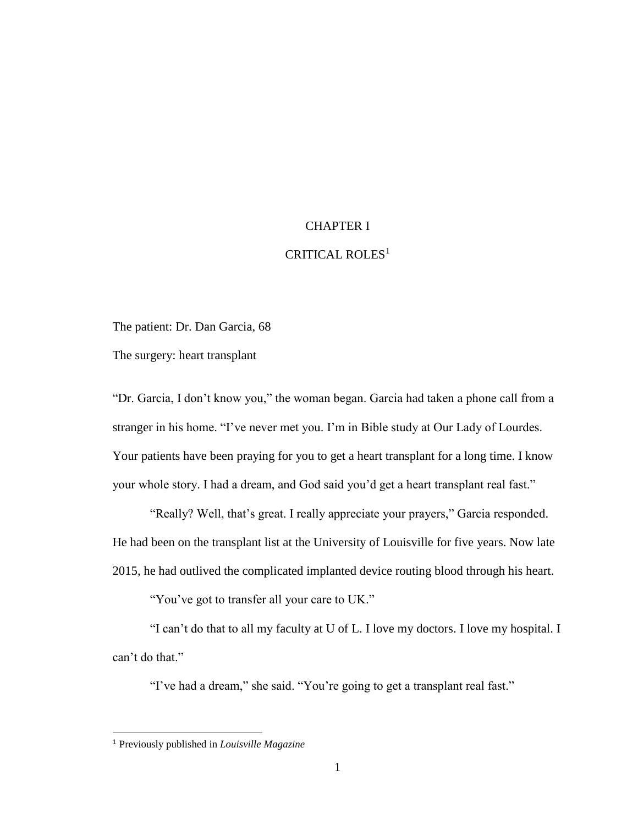## CHAPTER I

### CRITICAL ROLES<sup>1</sup>

The patient: Dr. Dan Garcia, 68

The surgery: heart transplant

"Dr. Garcia, I don't know you," the woman began. Garcia had taken a phone call from a stranger in his home. "I've never met you. I'm in Bible study at Our Lady of Lourdes. Your patients have been praying for you to get a heart transplant for a long time. I know your whole story. I had a dream, and God said you'd get a heart transplant real fast."

"Really? Well, that's great. I really appreciate your prayers," Garcia responded. He had been on the transplant list at the University of Louisville for five years. Now late 2015, he had outlived the complicated implanted device routing blood through his heart.

"You've got to transfer all your care to UK."

"I can't do that to all my faculty at U of L. I love my doctors. I love my hospital. I can't do that."

"I've had a dream," she said. "You're going to get a transplant real fast."

 $\overline{a}$ 

<sup>1</sup> Previously published in *Louisville Magazine*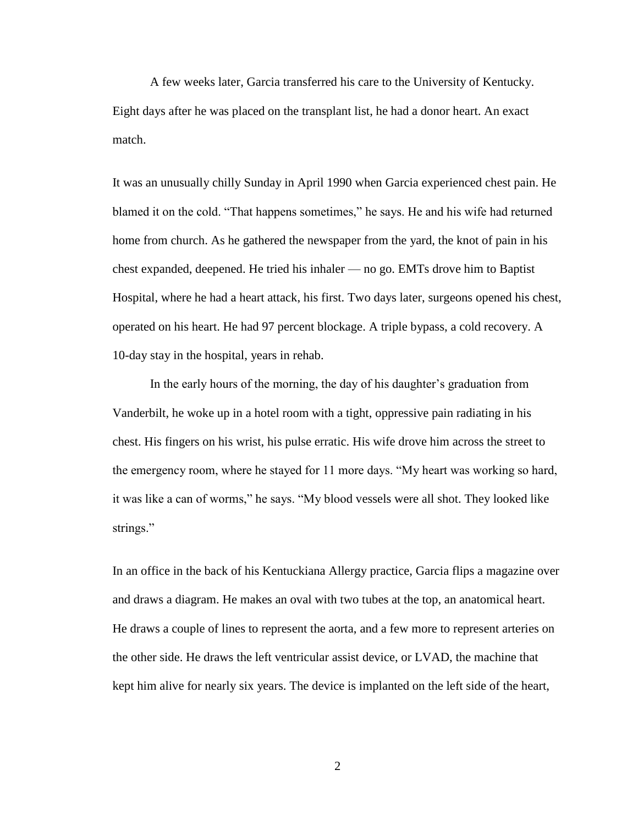A few weeks later, Garcia transferred his care to the University of Kentucky. Eight days after he was placed on the transplant list, he had a donor heart. An exact match.

It was an unusually chilly Sunday in April 1990 when Garcia experienced chest pain. He blamed it on the cold. "That happens sometimes," he says. He and his wife had returned home from church. As he gathered the newspaper from the yard, the knot of pain in his chest expanded, deepened. He tried his inhaler — no go. EMTs drove him to Baptist Hospital, where he had a heart attack, his first. Two days later, surgeons opened his chest, operated on his heart. He had 97 percent blockage. A triple bypass, a cold recovery. A 10-day stay in the hospital, years in rehab.

In the early hours of the morning, the day of his daughter's graduation from Vanderbilt, he woke up in a hotel room with a tight, oppressive pain radiating in his chest. His fingers on his wrist, his pulse erratic. His wife drove him across the street to the emergency room, where he stayed for 11 more days. "My heart was working so hard, it was like a can of worms," he says. "My blood vessels were all shot. They looked like strings."

In an office in the back of his Kentuckiana Allergy practice, Garcia flips a magazine over and draws a diagram. He makes an oval with two tubes at the top, an anatomical heart. He draws a couple of lines to represent the aorta, and a few more to represent arteries on the other side. He draws the left ventricular assist device, or LVAD, the machine that kept him alive for nearly six years. The device is implanted on the left side of the heart,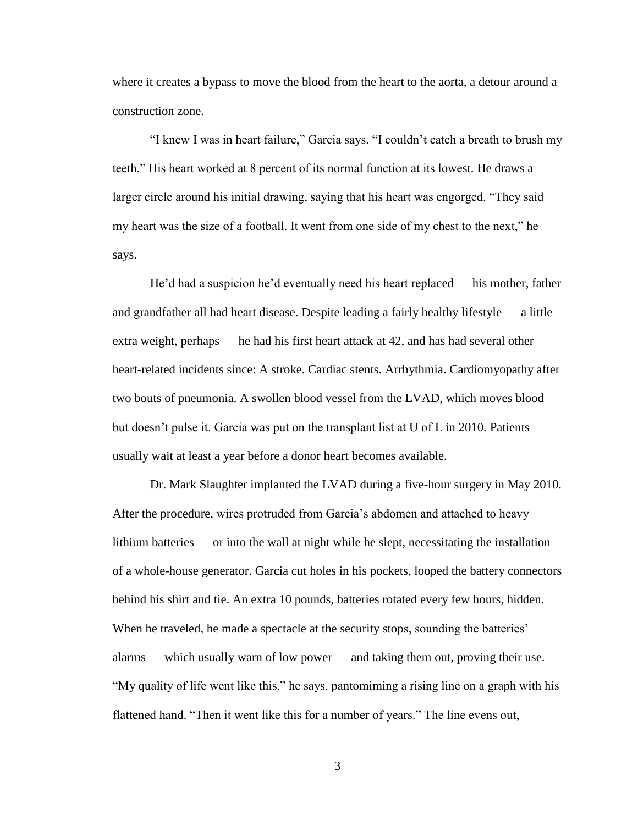where it creates a bypass to move the blood from the heart to the aorta, a detour around a construction zone.

"I knew I was in heart failure," Garcia says. "I couldn't catch a breath to brush my teeth." His heart worked at 8 percent of its normal function at its lowest. He draws a larger circle around his initial drawing, saying that his heart was engorged. "They said my heart was the size of a football. It went from one side of my chest to the next," he says.

He'd had a suspicion he'd eventually need his heart replaced — his mother, father and grandfather all had heart disease. Despite leading a fairly healthy lifestyle — a little extra weight, perhaps — he had his first heart attack at 42, and has had several other heart-related incidents since: A stroke. Cardiac stents. Arrhythmia. Cardiomyopathy after two bouts of pneumonia. A swollen blood vessel from the LVAD, which moves blood but doesn't pulse it. Garcia was put on the transplant list at U of L in 2010. Patients usually wait at least a year before a donor heart becomes available.

Dr. Mark Slaughter implanted the LVAD during a five-hour surgery in May 2010. After the procedure, wires protruded from Garcia's abdomen and attached to heavy lithium batteries — or into the wall at night while he slept, necessitating the installation of a whole-house generator. Garcia cut holes in his pockets, looped the battery connectors behind his shirt and tie. An extra 10 pounds, batteries rotated every few hours, hidden. When he traveled, he made a spectacle at the security stops, sounding the batteries' alarms — which usually warn of low power — and taking them out, proving their use. "My quality of life went like this," he says, pantomiming a rising line on a graph with his flattened hand. "Then it went like this for a number of years." The line evens out,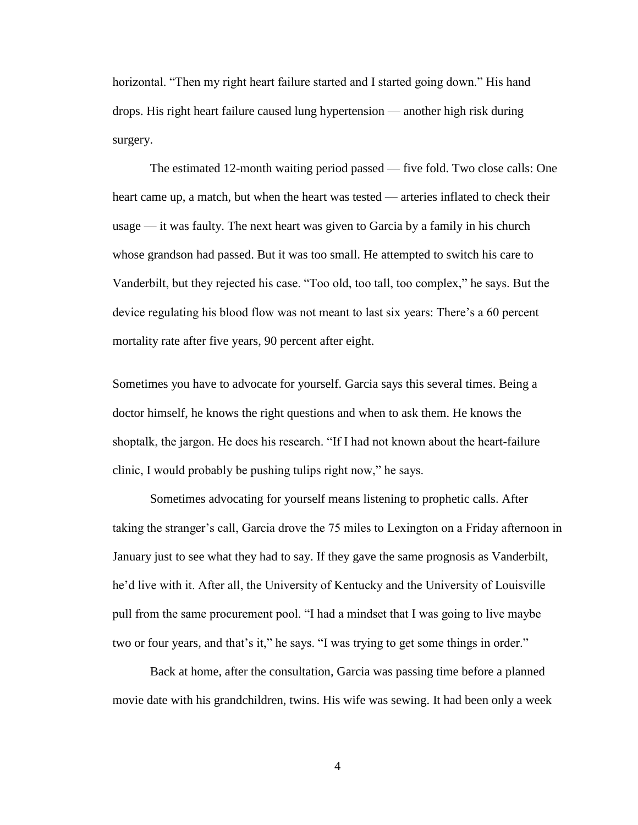horizontal. "Then my right heart failure started and I started going down." His hand drops. His right heart failure caused lung hypertension — another high risk during surgery.

The estimated 12-month waiting period passed — five fold. Two close calls: One heart came up, a match, but when the heart was tested — arteries inflated to check their usage — it was faulty. The next heart was given to Garcia by a family in his church whose grandson had passed. But it was too small. He attempted to switch his care to Vanderbilt, but they rejected his case. "Too old, too tall, too complex," he says. But the device regulating his blood flow was not meant to last six years: There's a 60 percent mortality rate after five years, 90 percent after eight.

Sometimes you have to advocate for yourself. Garcia says this several times. Being a doctor himself, he knows the right questions and when to ask them. He knows the shoptalk, the jargon. He does his research. "If I had not known about the heart-failure clinic, I would probably be pushing tulips right now," he says.

Sometimes advocating for yourself means listening to prophetic calls. After taking the stranger's call, Garcia drove the 75 miles to Lexington on a Friday afternoon in January just to see what they had to say. If they gave the same prognosis as Vanderbilt, he'd live with it. After all, the University of Kentucky and the University of Louisville pull from the same procurement pool. "I had a mindset that I was going to live maybe two or four years, and that's it," he says. "I was trying to get some things in order."

Back at home, after the consultation, Garcia was passing time before a planned movie date with his grandchildren, twins. His wife was sewing. It had been only a week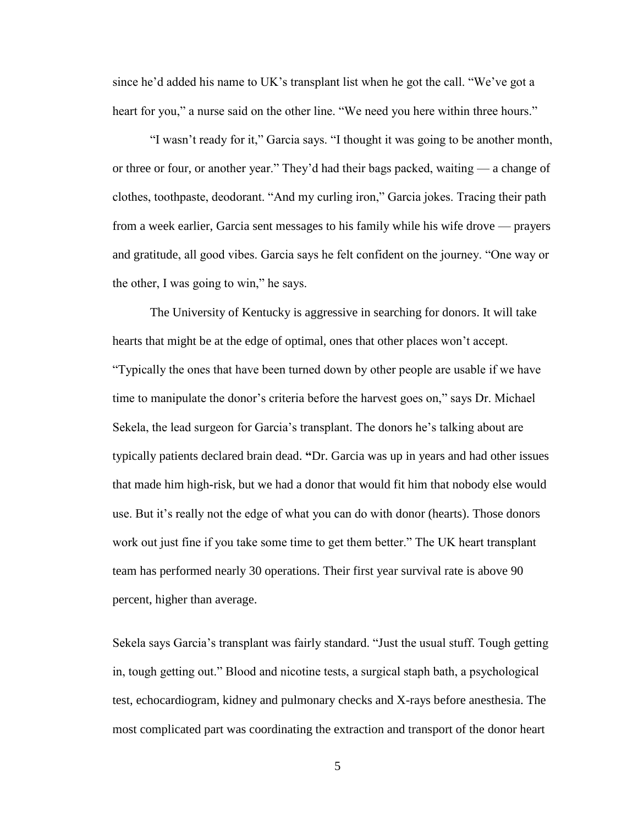since he'd added his name to UK's transplant list when he got the call. "We've got a heart for you," a nurse said on the other line. "We need you here within three hours."

"I wasn't ready for it," Garcia says. "I thought it was going to be another month, or three or four, or another year." They'd had their bags packed, waiting — a change of clothes, toothpaste, deodorant. "And my curling iron," Garcia jokes. Tracing their path from a week earlier, Garcia sent messages to his family while his wife drove — prayers and gratitude, all good vibes. Garcia says he felt confident on the journey. "One way or the other, I was going to win," he says.

The University of Kentucky is aggressive in searching for donors. It will take hearts that might be at the edge of optimal, ones that other places won't accept. "Typically the ones that have been turned down by other people are usable if we have time to manipulate the donor's criteria before the harvest goes on," says Dr. Michael Sekela, the lead surgeon for Garcia's transplant. The donors he's talking about are typically patients declared brain dead. **"**Dr. Garcia was up in years and had other issues that made him high**-**risk, but we had a donor that would fit him that nobody else would use. But it's really not the edge of what you can do with donor (hearts). Those donors work out just fine if you take some time to get them better." The UK heart transplant team has performed nearly 30 operations. Their first year survival rate is above 90 percent, higher than average.

Sekela says Garcia's transplant was fairly standard. "Just the usual stuff. Tough getting in, tough getting out." Blood and nicotine tests, a surgical staph bath, a psychological test, echocardiogram, kidney and pulmonary checks and X-rays before anesthesia. The most complicated part was coordinating the extraction and transport of the donor heart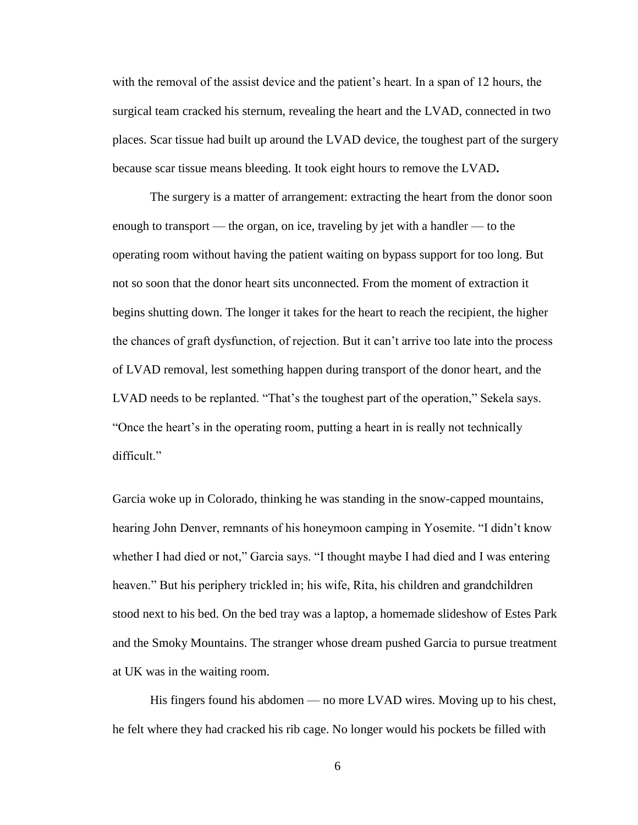with the removal of the assist device and the patient's heart. In a span of 12 hours, the surgical team cracked his sternum, revealing the heart and the LVAD, connected in two places. Scar tissue had built up around the LVAD device, the toughest part of the surgery because scar tissue means bleeding. It took eight hours to remove the LVAD**.**

The surgery is a matter of arrangement: extracting the heart from the donor soon enough to transport — the organ, on ice, traveling by jet with a handler — to the operating room without having the patient waiting on bypass support for too long. But not so soon that the donor heart sits unconnected. From the moment of extraction it begins shutting down. The longer it takes for the heart to reach the recipient, the higher the chances of graft dysfunction, of rejection. But it can't arrive too late into the process of LVAD removal, lest something happen during transport of the donor heart, and the LVAD needs to be replanted. "That's the toughest part of the operation," Sekela says. "Once the heart's in the operating room, putting a heart in is really not technically difficult."

Garcia woke up in Colorado, thinking he was standing in the snow-capped mountains, hearing John Denver, remnants of his honeymoon camping in Yosemite. "I didn't know whether I had died or not," Garcia says. "I thought maybe I had died and I was entering heaven." But his periphery trickled in; his wife, Rita, his children and grandchildren stood next to his bed. On the bed tray was a laptop, a homemade slideshow of Estes Park and the Smoky Mountains. The stranger whose dream pushed Garcia to pursue treatment at UK was in the waiting room.

His fingers found his abdomen — no more LVAD wires. Moving up to his chest, he felt where they had cracked his rib cage. No longer would his pockets be filled with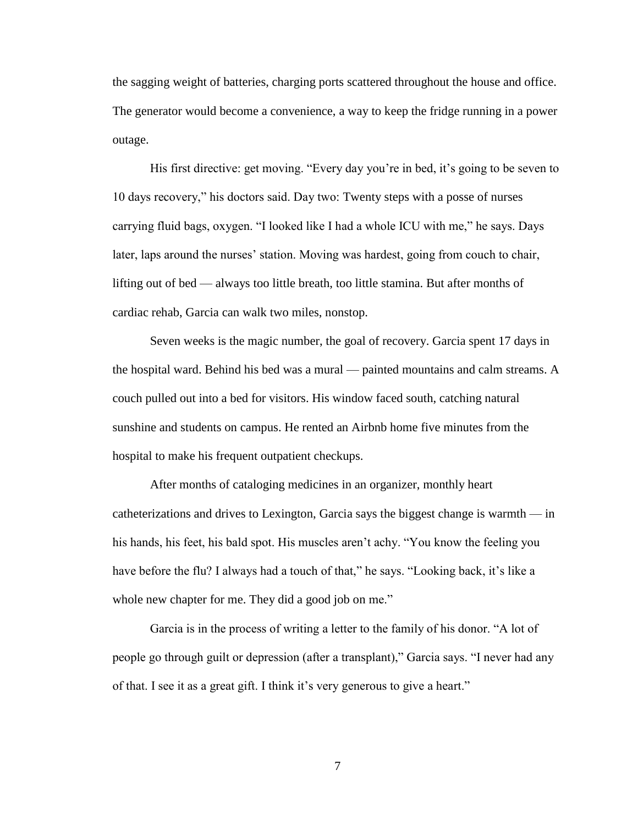the sagging weight of batteries, charging ports scattered throughout the house and office. The generator would become a convenience, a way to keep the fridge running in a power outage.

His first directive: get moving. "Every day you're in bed, it's going to be seven to 10 days recovery," his doctors said. Day two: Twenty steps with a posse of nurses carrying fluid bags, oxygen. "I looked like I had a whole ICU with me," he says. Days later, laps around the nurses' station. Moving was hardest, going from couch to chair, lifting out of bed — always too little breath, too little stamina. But after months of cardiac rehab, Garcia can walk two miles, nonstop.

Seven weeks is the magic number, the goal of recovery. Garcia spent 17 days in the hospital ward. Behind his bed was a mural — painted mountains and calm streams. A couch pulled out into a bed for visitors. His window faced south, catching natural sunshine and students on campus. He rented an Airbnb home five minutes from the hospital to make his frequent outpatient checkups.

After months of cataloging medicines in an organizer, monthly heart catheterizations and drives to Lexington, Garcia says the biggest change is warmth — in his hands, his feet, his bald spot. His muscles aren't achy. "You know the feeling you have before the flu? I always had a touch of that," he says. "Looking back, it's like a whole new chapter for me. They did a good job on me."

Garcia is in the process of writing a letter to the family of his donor. "A lot of people go through guilt or depression (after a transplant)," Garcia says. "I never had any of that. I see it as a great gift. I think it's very generous to give a heart."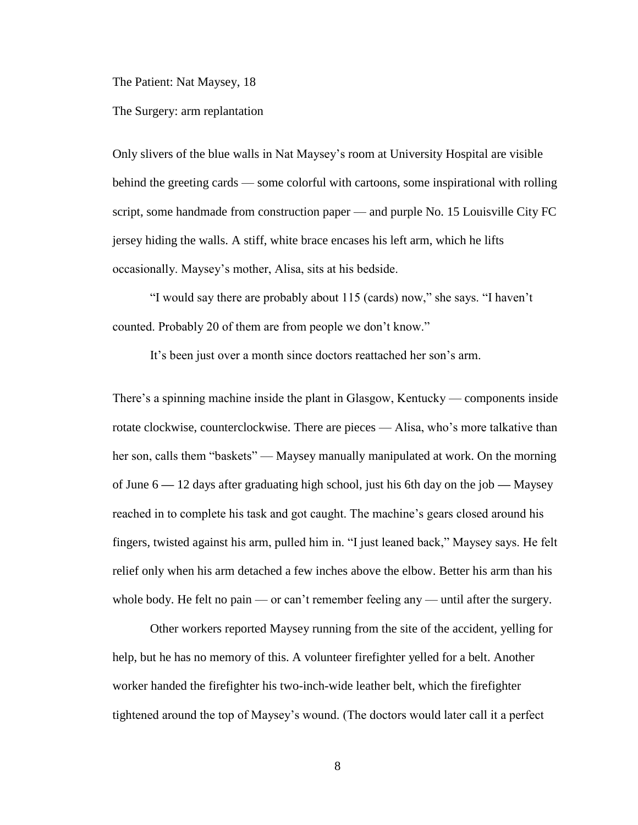The Patient: Nat Maysey, 18

The Surgery: arm replantation

Only slivers of the blue walls in Nat Maysey's room at University Hospital are visible behind the greeting cards — some colorful with cartoons, some inspirational with rolling script, some handmade from construction paper — and purple No. 15 Louisville City FC jersey hiding the walls. A stiff, white brace encases his left arm, which he lifts occasionally. Maysey's mother, Alisa, sits at his bedside.

"I would say there are probably about 115 (cards) now," she says. "I haven't counted. Probably 20 of them are from people we don't know."

It's been just over a month since doctors reattached her son's arm.

There's a spinning machine inside the plant in Glasgow, Kentucky — components inside rotate clockwise, counterclockwise. There are pieces — Alisa, who's more talkative than her son, calls them "baskets" — Maysey manually manipulated at work. On the morning of June 6 **—** 12 days after graduating high school, just his 6th day on the job **—** Maysey reached in to complete his task and got caught. The machine's gears closed around his fingers, twisted against his arm, pulled him in. "I just leaned back," Maysey says. He felt relief only when his arm detached a few inches above the elbow. Better his arm than his whole body. He felt no pain — or can't remember feeling any — until after the surgery.

Other workers reported Maysey running from the site of the accident, yelling for help, but he has no memory of this. A volunteer firefighter yelled for a belt. Another worker handed the firefighter his two-inch-wide leather belt, which the firefighter tightened around the top of Maysey's wound. (The doctors would later call it a perfect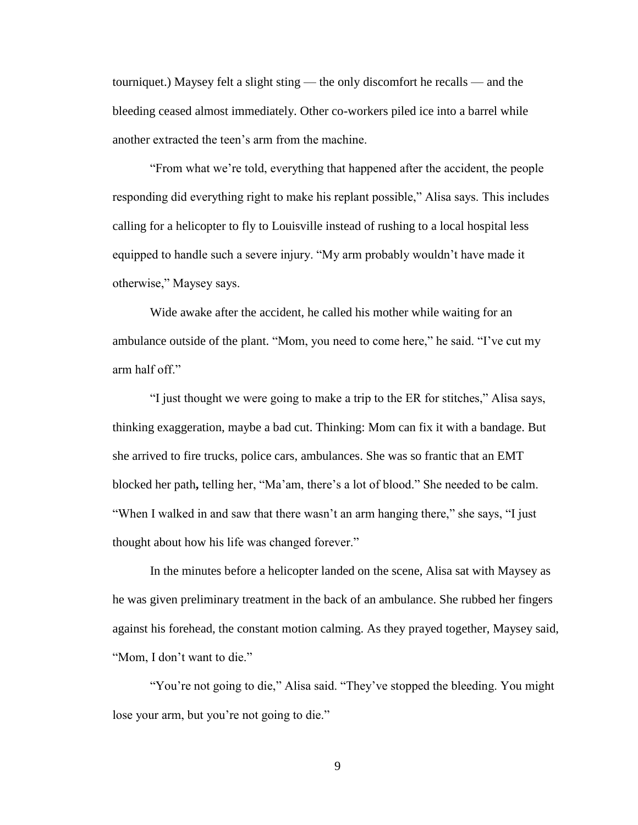tourniquet.) Maysey felt a slight sting — the only discomfort he recalls — and the bleeding ceased almost immediately. Other co-workers piled ice into a barrel while another extracted the teen's arm from the machine.

"From what we're told, everything that happened after the accident, the people responding did everything right to make his replant possible," Alisa says. This includes calling for a helicopter to fly to Louisville instead of rushing to a local hospital less equipped to handle such a severe injury. "My arm probably wouldn't have made it otherwise," Maysey says.

Wide awake after the accident, he called his mother while waiting for an ambulance outside of the plant. "Mom, you need to come here," he said. "I've cut my arm half off."

"I just thought we were going to make a trip to the ER for stitches," Alisa says, thinking exaggeration, maybe a bad cut. Thinking: Mom can fix it with a bandage. But she arrived to fire trucks, police cars, ambulances. She was so frantic that an EMT blocked her path**,** telling her, "Ma'am, there's a lot of blood." She needed to be calm. "When I walked in and saw that there wasn't an arm hanging there," she says, "I just thought about how his life was changed forever."

In the minutes before a helicopter landed on the scene, Alisa sat with Maysey as he was given preliminary treatment in the back of an ambulance. She rubbed her fingers against his forehead, the constant motion calming. As they prayed together, Maysey said, "Mom, I don't want to die."

"You're not going to die," Alisa said. "They've stopped the bleeding. You might lose your arm, but you're not going to die."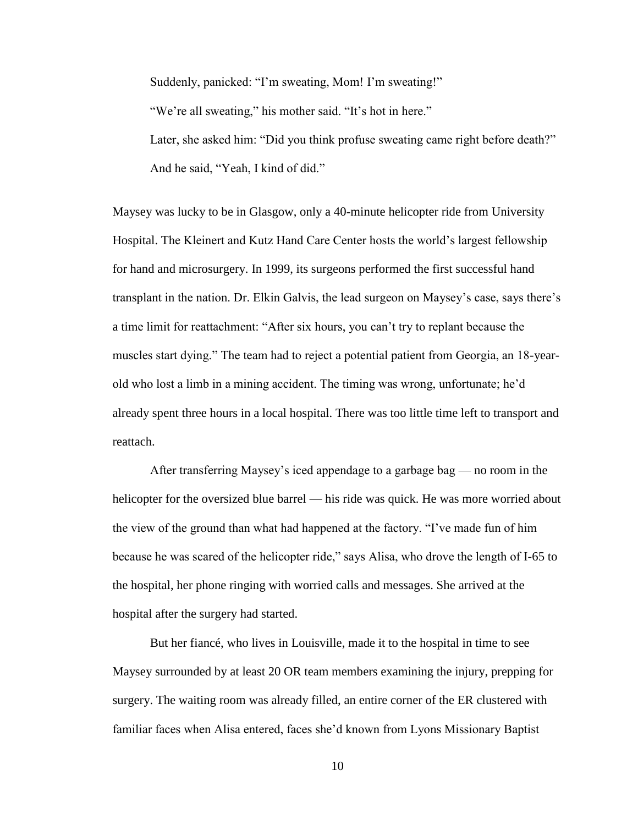Suddenly, panicked: "I'm sweating, Mom! I'm sweating!" "We're all sweating," his mother said. "It's hot in here." Later, she asked him: "Did you think profuse sweating came right before death?" And he said, "Yeah, I kind of did."

Maysey was lucky to be in Glasgow, only a 40-minute helicopter ride from University Hospital. The Kleinert and Kutz Hand Care Center hosts the world's largest fellowship for hand and microsurgery. In 1999, its surgeons performed the first successful hand transplant in the nation. Dr. Elkin Galvis, the lead surgeon on Maysey's case, says there's a time limit for reattachment: "After six hours, you can't try to replant because the muscles start dying." The team had to reject a potential patient from Georgia, an 18-yearold who lost a limb in a mining accident. The timing was wrong, unfortunate; he'd already spent three hours in a local hospital. There was too little time left to transport and reattach.

After transferring Maysey's iced appendage to a garbage bag — no room in the helicopter for the oversized blue barrel — his ride was quick. He was more worried about the view of the ground than what had happened at the factory. "I've made fun of him because he was scared of the helicopter ride," says Alisa, who drove the length of I-65 to the hospital, her phone ringing with worried calls and messages. She arrived at the hospital after the surgery had started.

But her fiancé, who lives in Louisville, made it to the hospital in time to see Maysey surrounded by at least 20 OR team members examining the injury, prepping for surgery. The waiting room was already filled, an entire corner of the ER clustered with familiar faces when Alisa entered, faces she'd known from Lyons Missionary Baptist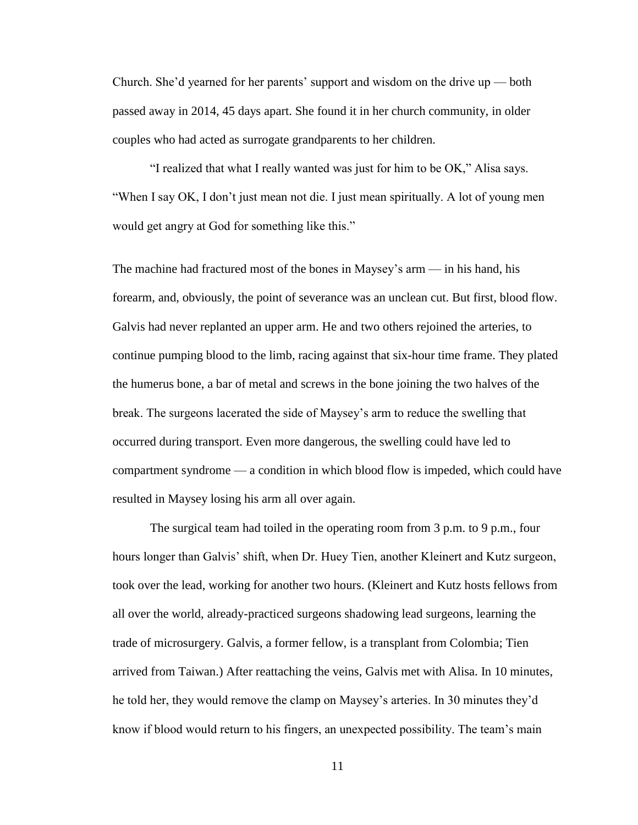Church. She'd yearned for her parents' support and wisdom on the drive up — both passed away in 2014, 45 days apart. She found it in her church community, in older couples who had acted as surrogate grandparents to her children.

"I realized that what I really wanted was just for him to be OK," Alisa says. "When I say OK, I don't just mean not die. I just mean spiritually. A lot of young men would get angry at God for something like this."

The machine had fractured most of the bones in Maysey's arm — in his hand, his forearm, and, obviously, the point of severance was an unclean cut. But first, blood flow. Galvis had never replanted an upper arm. He and two others rejoined the arteries, to continue pumping blood to the limb, racing against that six-hour time frame. They plated the humerus bone, a bar of metal and screws in the bone joining the two halves of the break. The surgeons lacerated the side of Maysey's arm to reduce the swelling that occurred during transport. Even more dangerous, the swelling could have led to compartment syndrome — a condition in which blood flow is impeded, which could have resulted in Maysey losing his arm all over again.

The surgical team had toiled in the operating room from 3 p.m. to 9 p.m., four hours longer than Galvis' shift, when Dr. Huey Tien, another Kleinert and Kutz surgeon, took over the lead, working for another two hours. (Kleinert and Kutz hosts fellows from all over the world, already-practiced surgeons shadowing lead surgeons, learning the trade of microsurgery. Galvis, a former fellow, is a transplant from Colombia; Tien arrived from Taiwan.) After reattaching the veins, Galvis met with Alisa. In 10 minutes, he told her, they would remove the clamp on Maysey's arteries. In 30 minutes they'd know if blood would return to his fingers, an unexpected possibility. The team's main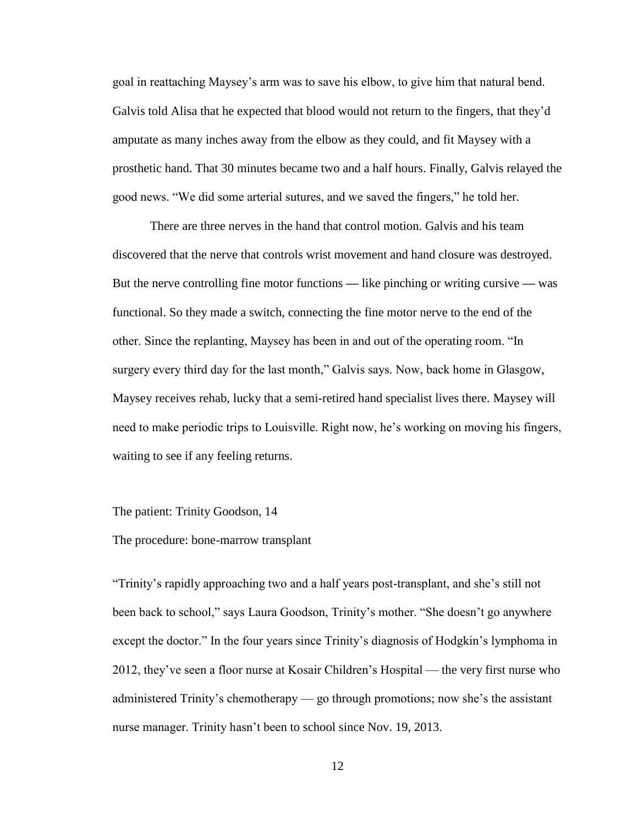goal in reattaching Maysey's arm was to save his elbow, to give him that natural bend. Galvis told Alisa that he expected that blood would not return to the fingers, that they'd amputate as many inches away from the elbow as they could, and fit Maysey with a prosthetic hand. That 30 minutes became two and a half hours. Finally, Galvis relayed the good news. "We did some arterial sutures, and we saved the fingers," he told her.

There are three nerves in the hand that control motion. Galvis and his team discovered that the nerve that controls wrist movement and hand closure was destroyed. But the nerve controlling fine motor functions **—** like pinching or writing cursive **—** was functional. So they made a switch, connecting the fine motor nerve to the end of the other. Since the replanting, Maysey has been in and out of the operating room. "In surgery every third day for the last month," Galvis says. Now, back home in Glasgow, Maysey receives rehab, lucky that a semi-retired hand specialist lives there. Maysey will need to make periodic trips to Louisville. Right now, he's working on moving his fingers, waiting to see if any feeling returns.

The patient: Trinity Goodson, 14

#### The procedure: bone-marrow transplant

"Trinity's rapidly approaching two and a half years post-transplant, and she's still not been back to school," says Laura Goodson, Trinity's mother. "She doesn't go anywhere except the doctor." In the four years since Trinity's diagnosis of Hodgkin's lymphoma in 2012, they've seen a floor nurse at Kosair Children's Hospital — the very first nurse who administered Trinity's chemotherapy — go through promotions; now she's the assistant nurse manager. Trinity hasn't been to school since Nov. 19, 2013.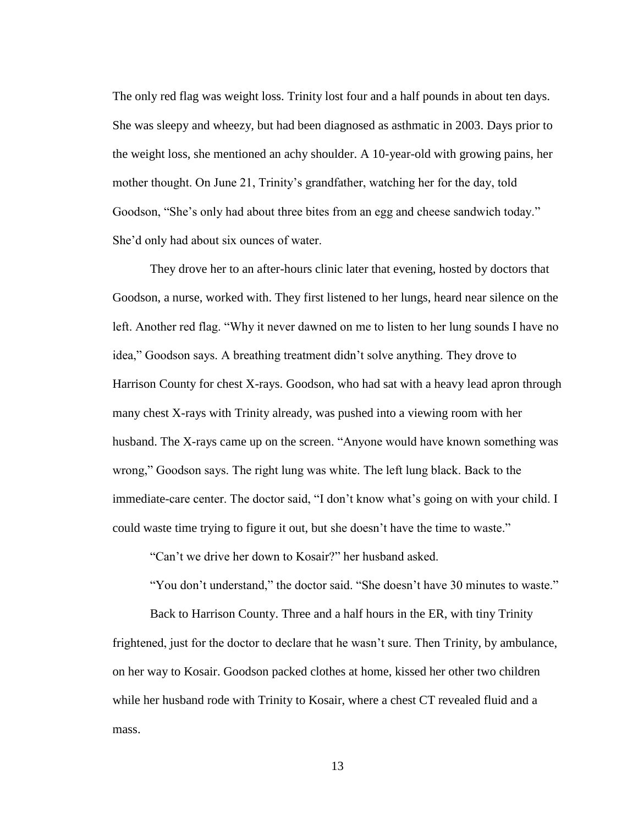The only red flag was weight loss. Trinity lost four and a half pounds in about ten days. She was sleepy and wheezy, but had been diagnosed as asthmatic in 2003. Days prior to the weight loss, she mentioned an achy shoulder. A 10-year-old with growing pains, her mother thought. On June 21, Trinity's grandfather, watching her for the day, told Goodson, "She's only had about three bites from an egg and cheese sandwich today." She'd only had about six ounces of water.

They drove her to an after-hours clinic later that evening, hosted by doctors that Goodson, a nurse, worked with. They first listened to her lungs, heard near silence on the left. Another red flag. "Why it never dawned on me to listen to her lung sounds I have no idea," Goodson says. A breathing treatment didn't solve anything. They drove to Harrison County for chest X-rays. Goodson, who had sat with a heavy lead apron through many chest X-rays with Trinity already, was pushed into a viewing room with her husband. The X-rays came up on the screen. "Anyone would have known something was wrong," Goodson says. The right lung was white. The left lung black. Back to the immediate-care center. The doctor said, "I don't know what's going on with your child. I could waste time trying to figure it out, but she doesn't have the time to waste."

"Can't we drive her down to Kosair?" her husband asked.

"You don't understand," the doctor said. "She doesn't have 30 minutes to waste."

Back to Harrison County. Three and a half hours in the ER, with tiny Trinity frightened, just for the doctor to declare that he wasn't sure. Then Trinity, by ambulance, on her way to Kosair. Goodson packed clothes at home, kissed her other two children while her husband rode with Trinity to Kosair, where a chest CT revealed fluid and a mass.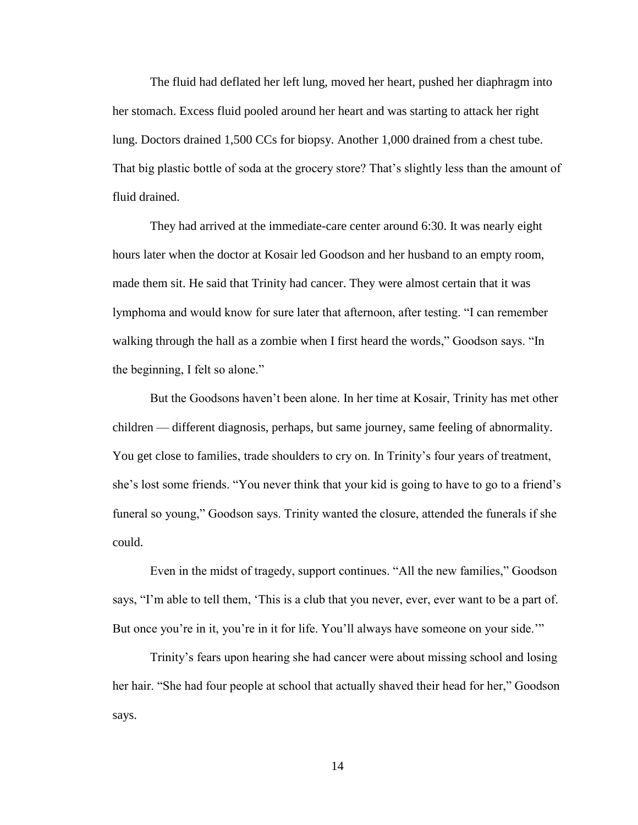The fluid had deflated her left lung, moved her heart, pushed her diaphragm into her stomach. Excess fluid pooled around her heart and was starting to attack her right lung. Doctors drained 1,500 CCs for biopsy. Another 1,000 drained from a chest tube. That big plastic bottle of soda at the grocery store? That's slightly less than the amount of fluid drained.

They had arrived at the immediate-care center around 6:30. It was nearly eight hours later when the doctor at Kosair led Goodson and her husband to an empty room, made them sit. He said that Trinity had cancer. They were almost certain that it was lymphoma and would know for sure later that afternoon, after testing. "I can remember walking through the hall as a zombie when I first heard the words," Goodson says. "In the beginning, I felt so alone."

But the Goodsons haven't been alone. In her time at Kosair, Trinity has met other children — different diagnosis, perhaps, but same journey, same feeling of abnormality. You get close to families, trade shoulders to cry on. In Trinity's four years of treatment, she's lost some friends. "You never think that your kid is going to have to go to a friend's funeral so young," Goodson says. Trinity wanted the closure, attended the funerals if she could.

Even in the midst of tragedy, support continues. "All the new families," Goodson says, "I'm able to tell them, 'This is a club that you never, ever, ever want to be a part of. But once you're in it, you're in it for life. You'll always have someone on your side.'"

Trinity's fears upon hearing she had cancer were about missing school and losing her hair. "She had four people at school that actually shaved their head for her," Goodson says.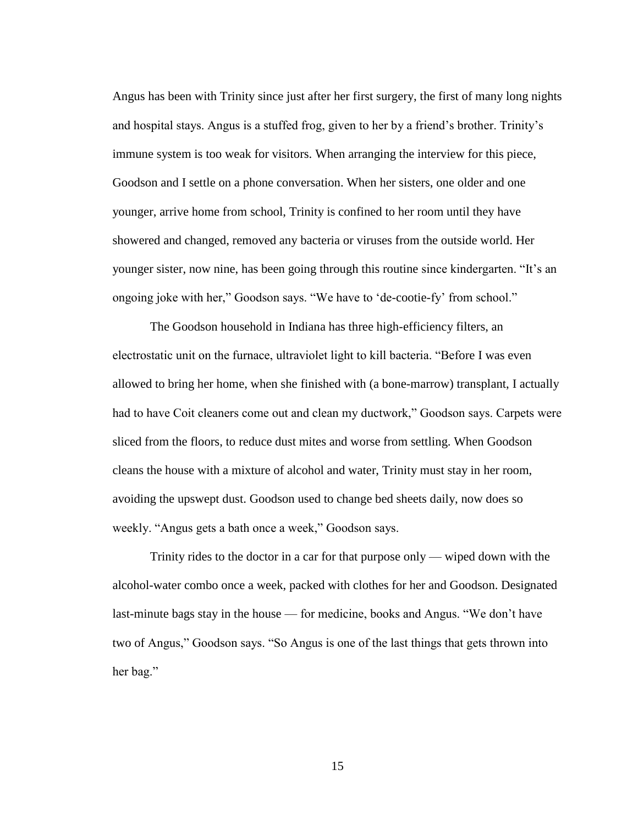Angus has been with Trinity since just after her first surgery, the first of many long nights and hospital stays. Angus is a stuffed frog, given to her by a friend's brother. Trinity's immune system is too weak for visitors. When arranging the interview for this piece, Goodson and I settle on a phone conversation. When her sisters, one older and one younger, arrive home from school, Trinity is confined to her room until they have showered and changed, removed any bacteria or viruses from the outside world. Her younger sister, now nine, has been going through this routine since kindergarten. "It's an ongoing joke with her," Goodson says. "We have to 'de-cootie-fy' from school."

The Goodson household in Indiana has three high-efficiency filters, an electrostatic unit on the furnace, ultraviolet light to kill bacteria. "Before I was even allowed to bring her home, when she finished with (a bone-marrow) transplant, I actually had to have Coit cleaners come out and clean my ductwork," Goodson says. Carpets were sliced from the floors, to reduce dust mites and worse from settling. When Goodson cleans the house with a mixture of alcohol and water, Trinity must stay in her room, avoiding the upswept dust. Goodson used to change bed sheets daily, now does so weekly. "Angus gets a bath once a week," Goodson says.

Trinity rides to the doctor in a car for that purpose only — wiped down with the alcohol-water combo once a week, packed with clothes for her and Goodson. Designated last-minute bags stay in the house — for medicine, books and Angus. "We don't have two of Angus," Goodson says. "So Angus is one of the last things that gets thrown into her bag."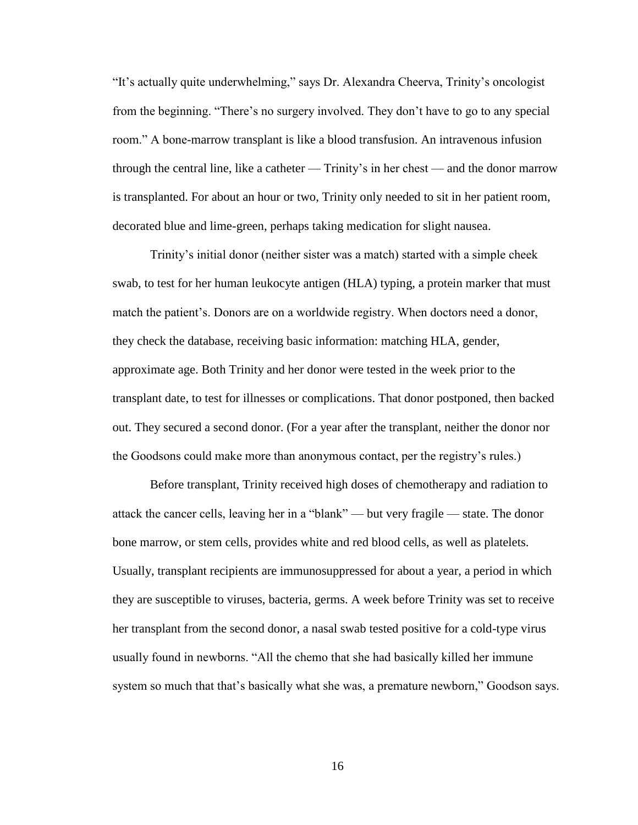"It's actually quite underwhelming," says Dr. Alexandra Cheerva, Trinity's oncologist from the beginning. "There's no surgery involved. They don't have to go to any special room." A bone-marrow transplant is like a blood transfusion. An intravenous infusion through the central line, like a catheter — Trinity's in her chest — and the donor marrow is transplanted. For about an hour or two, Trinity only needed to sit in her patient room, decorated blue and lime-green, perhaps taking medication for slight nausea.

Trinity's initial donor (neither sister was a match) started with a simple cheek swab, to test for her human leukocyte antigen (HLA) typing, a protein marker that must match the patient's. Donors are on a worldwide registry. When doctors need a donor, they check the database, receiving basic information: matching HLA, gender, approximate age. Both Trinity and her donor were tested in the week prior to the transplant date, to test for illnesses or complications. That donor postponed, then backed out. They secured a second donor. (For a year after the transplant, neither the donor nor the Goodsons could make more than anonymous contact, per the registry's rules.)

Before transplant, Trinity received high doses of chemotherapy and radiation to attack the cancer cells, leaving her in a "blank" — but very fragile — state. The donor bone marrow, or stem cells, provides white and red blood cells, as well as platelets. Usually, transplant recipients are immunosuppressed for about a year, a period in which they are susceptible to viruses, bacteria, germs. A week before Trinity was set to receive her transplant from the second donor, a nasal swab tested positive for a cold-type virus usually found in newborns. "All the chemo that she had basically killed her immune system so much that that's basically what she was, a premature newborn," Goodson says.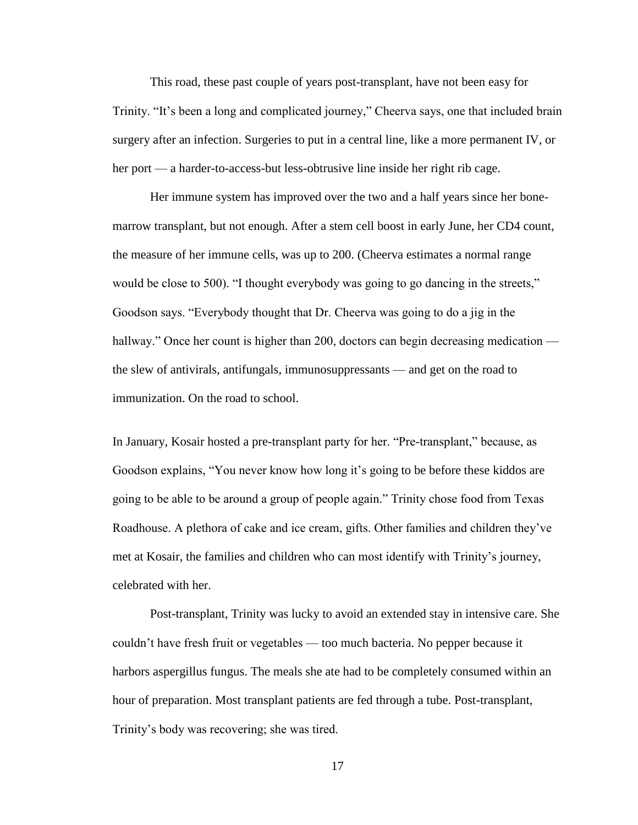This road, these past couple of years post-transplant, have not been easy for Trinity. "It's been a long and complicated journey," Cheerva says, one that included brain surgery after an infection. Surgeries to put in a central line, like a more permanent IV, or her port — a harder-to-access-but less-obtrusive line inside her right rib cage.

Her immune system has improved over the two and a half years since her bonemarrow transplant, but not enough. After a stem cell boost in early June, her CD4 count, the measure of her immune cells, was up to 200. (Cheerva estimates a normal range would be close to 500). "I thought everybody was going to go dancing in the streets," Goodson says. "Everybody thought that Dr. Cheerva was going to do a jig in the hallway." Once her count is higher than 200, doctors can begin decreasing medication the slew of antivirals, antifungals, immunosuppressants — and get on the road to immunization. On the road to school.

In January, Kosair hosted a pre-transplant party for her. "Pre-transplant," because, as Goodson explains, "You never know how long it's going to be before these kiddos are going to be able to be around a group of people again." Trinity chose food from Texas Roadhouse. A plethora of cake and ice cream, gifts. Other families and children they've met at Kosair, the families and children who can most identify with Trinity's journey, celebrated with her.

Post-transplant, Trinity was lucky to avoid an extended stay in intensive care. She couldn't have fresh fruit or vegetables — too much bacteria. No pepper because it harbors aspergillus fungus. The meals she ate had to be completely consumed within an hour of preparation. Most transplant patients are fed through a tube. Post-transplant, Trinity's body was recovering; she was tired.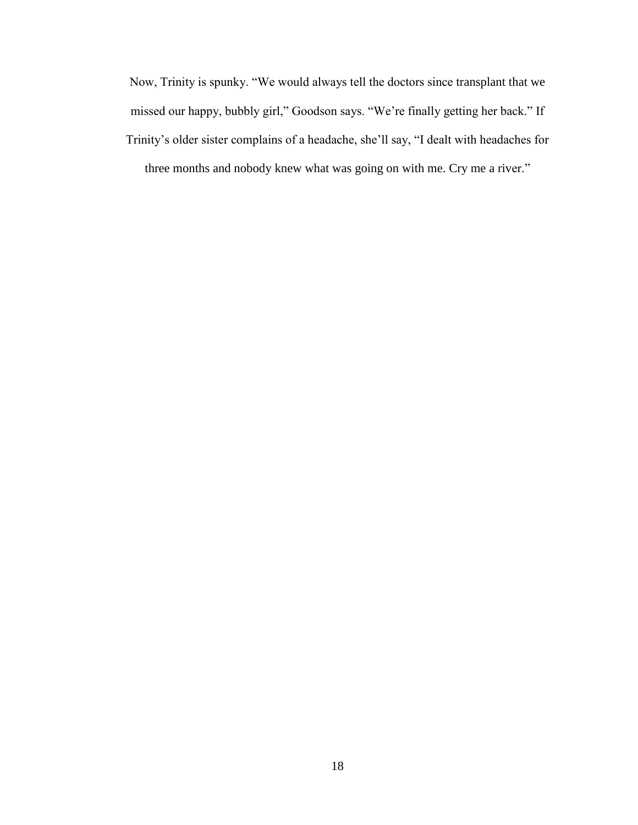Now, Trinity is spunky. "We would always tell the doctors since transplant that we missed our happy, bubbly girl," Goodson says. "We're finally getting her back." If Trinity's older sister complains of a headache, she'll say, "I dealt with headaches for three months and nobody knew what was going on with me. Cry me a river."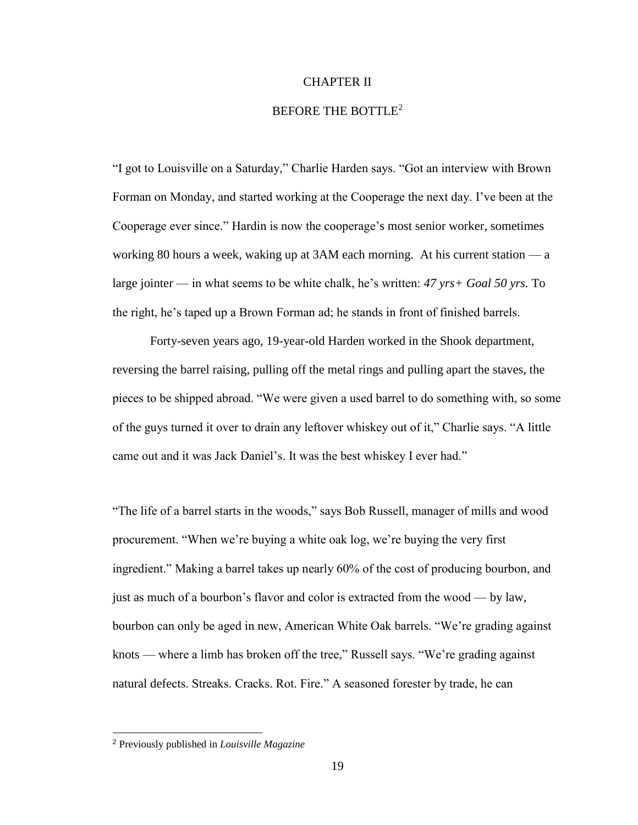#### CHAPTER II

#### BEFORE THE BOTTLE<sup>2</sup>

"I got to Louisville on a Saturday," Charlie Harden says. "Got an interview with Brown Forman on Monday, and started working at the Cooperage the next day. I've been at the Cooperage ever since." Hardin is now the cooperage's most senior worker, sometimes working 80 hours a week, waking up at 3AM each morning. At his current station — a large jointer — in what seems to be white chalk, he's written: *47 yrs+ Goal 50 yrs.* To the right, he's taped up a Brown Forman ad; he stands in front of finished barrels.

Forty-seven years ago, 19-year-old Harden worked in the Shook department, reversing the barrel raising, pulling off the metal rings and pulling apart the staves, the pieces to be shipped abroad. "We were given a used barrel to do something with, so some of the guys turned it over to drain any leftover whiskey out of it," Charlie says. "A little came out and it was Jack Daniel's. It was the best whiskey I ever had."

"The life of a barrel starts in the woods," says Bob Russell, manager of mills and wood procurement. "When we're buying a white oak log, we're buying the very first ingredient." Making a barrel takes up nearly 60% of the cost of producing bourbon, and just as much of a bourbon's flavor and color is extracted from the wood — by law, bourbon can only be aged in new, American White Oak barrels. "We're grading against knots — where a limb has broken off the tree," Russell says. "We're grading against natural defects. Streaks. Cracks. Rot. Fire." A seasoned forester by trade, he can

 $\overline{a}$ 

<sup>2</sup> Previously published in *Louisville Magazine*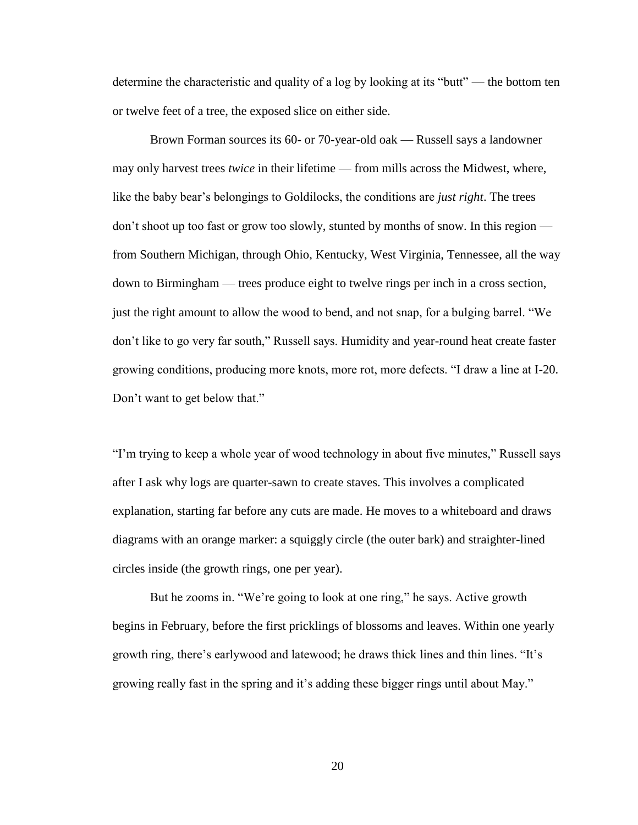determine the characteristic and quality of a log by looking at its "butt" — the bottom ten or twelve feet of a tree, the exposed slice on either side.

Brown Forman sources its 60- or 70-year-old oak — Russell says a landowner may only harvest trees *twice* in their lifetime — from mills across the Midwest, where, like the baby bear's belongings to Goldilocks, the conditions are *just right*. The trees don't shoot up too fast or grow too slowly, stunted by months of snow. In this region from Southern Michigan, through Ohio, Kentucky, West Virginia, Tennessee, all the way down to Birmingham — trees produce eight to twelve rings per inch in a cross section, just the right amount to allow the wood to bend, and not snap, for a bulging barrel. "We don't like to go very far south," Russell says. Humidity and year-round heat create faster growing conditions, producing more knots, more rot, more defects. "I draw a line at I-20. Don't want to get below that."

"I'm trying to keep a whole year of wood technology in about five minutes," Russell says after I ask why logs are quarter-sawn to create staves. This involves a complicated explanation, starting far before any cuts are made. He moves to a whiteboard and draws diagrams with an orange marker: a squiggly circle (the outer bark) and straighter-lined circles inside (the growth rings, one per year).

But he zooms in. "We're going to look at one ring," he says. Active growth begins in February, before the first pricklings of blossoms and leaves. Within one yearly growth ring, there's earlywood and latewood; he draws thick lines and thin lines. "It's growing really fast in the spring and it's adding these bigger rings until about May."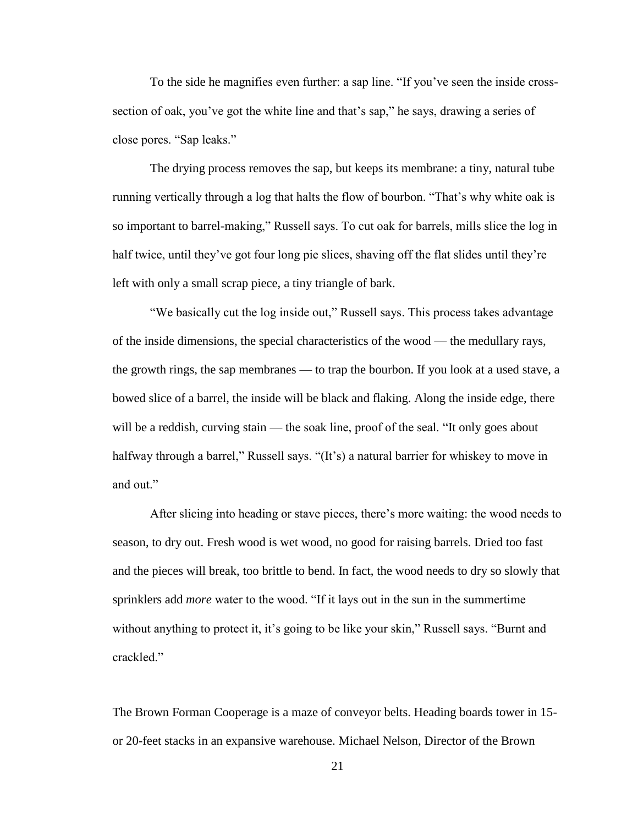To the side he magnifies even further: a sap line. "If you've seen the inside crosssection of oak, you've got the white line and that's sap," he says, drawing a series of close pores. "Sap leaks."

The drying process removes the sap, but keeps its membrane: a tiny, natural tube running vertically through a log that halts the flow of bourbon. "That's why white oak is so important to barrel-making," Russell says. To cut oak for barrels, mills slice the log in half twice, until they've got four long pie slices, shaving off the flat slides until they're left with only a small scrap piece, a tiny triangle of bark.

"We basically cut the log inside out," Russell says. This process takes advantage of the inside dimensions, the special characteristics of the wood — the medullary rays, the growth rings, the sap membranes — to trap the bourbon. If you look at a used stave, a bowed slice of a barrel, the inside will be black and flaking. Along the inside edge, there will be a reddish, curving stain — the soak line, proof of the seal. "It only goes about halfway through a barrel," Russell says. "(It's) a natural barrier for whiskey to move in and out."

After slicing into heading or stave pieces, there's more waiting: the wood needs to season, to dry out. Fresh wood is wet wood, no good for raising barrels. Dried too fast and the pieces will break, too brittle to bend. In fact, the wood needs to dry so slowly that sprinklers add *more* water to the wood. "If it lays out in the sun in the summertime without anything to protect it, it's going to be like your skin," Russell says. "Burnt and crackled."

The Brown Forman Cooperage is a maze of conveyor belts. Heading boards tower in 15 or 20-feet stacks in an expansive warehouse. Michael Nelson, Director of the Brown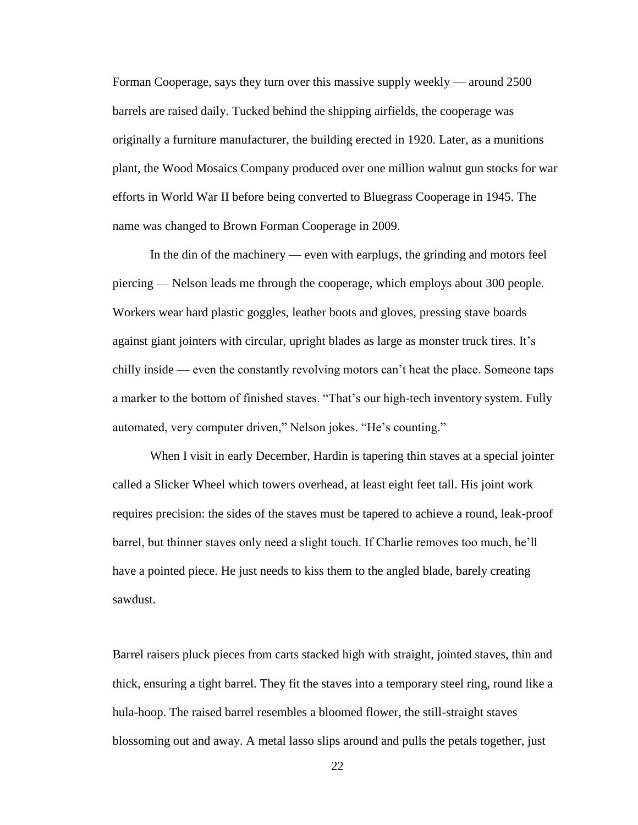Forman Cooperage, says they turn over this massive supply weekly — around 2500 barrels are raised daily. Tucked behind the shipping airfields, the cooperage was originally a furniture manufacturer, the building erected in 1920. Later, as a munitions plant, the Wood Mosaics Company produced over one million walnut gun stocks for war efforts in World War II before being converted to Bluegrass Cooperage in 1945. The name was changed to Brown Forman Cooperage in 2009.

In the din of the machinery — even with earplugs, the grinding and motors feel piercing — Nelson leads me through the cooperage, which employs about 300 people. Workers wear hard plastic goggles, leather boots and gloves, pressing stave boards against giant jointers with circular, upright blades as large as monster truck tires. It's chilly inside — even the constantly revolving motors can't heat the place. Someone taps a marker to the bottom of finished staves. "That's our high-tech inventory system. Fully automated, very computer driven," Nelson jokes. "He's counting."

When I visit in early December, Hardin is tapering thin staves at a special jointer called a Slicker Wheel which towers overhead, at least eight feet tall. His joint work requires precision: the sides of the staves must be tapered to achieve a round, leak-proof barrel, but thinner staves only need a slight touch. If Charlie removes too much, he'll have a pointed piece. He just needs to kiss them to the angled blade, barely creating sawdust.

Barrel raisers pluck pieces from carts stacked high with straight, jointed staves, thin and thick, ensuring a tight barrel. They fit the staves into a temporary steel ring, round like a hula-hoop. The raised barrel resembles a bloomed flower, the still-straight staves blossoming out and away. A metal lasso slips around and pulls the petals together, just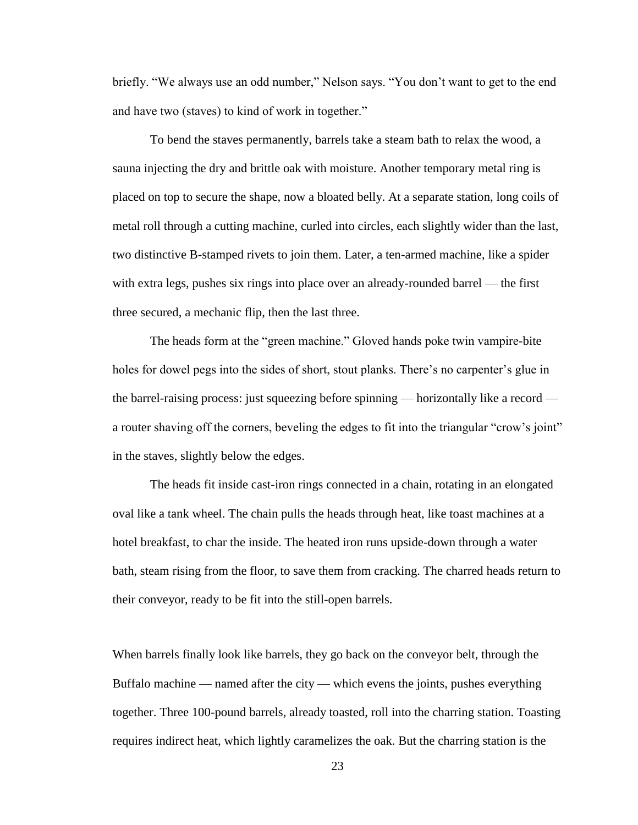briefly. "We always use an odd number," Nelson says. "You don't want to get to the end and have two (staves) to kind of work in together."

To bend the staves permanently, barrels take a steam bath to relax the wood, a sauna injecting the dry and brittle oak with moisture. Another temporary metal ring is placed on top to secure the shape, now a bloated belly. At a separate station, long coils of metal roll through a cutting machine, curled into circles, each slightly wider than the last, two distinctive B-stamped rivets to join them. Later, a ten-armed machine, like a spider with extra legs, pushes six rings into place over an already-rounded barrel — the first three secured, a mechanic flip, then the last three.

The heads form at the "green machine." Gloved hands poke twin vampire-bite holes for dowel pegs into the sides of short, stout planks. There's no carpenter's glue in the barrel-raising process: just squeezing before spinning — horizontally like a record a router shaving off the corners, beveling the edges to fit into the triangular "crow's joint" in the staves, slightly below the edges.

The heads fit inside cast-iron rings connected in a chain, rotating in an elongated oval like a tank wheel. The chain pulls the heads through heat, like toast machines at a hotel breakfast, to char the inside. The heated iron runs upside-down through a water bath, steam rising from the floor, to save them from cracking. The charred heads return to their conveyor, ready to be fit into the still-open barrels.

When barrels finally look like barrels, they go back on the conveyor belt, through the Buffalo machine — named after the city — which evens the joints, pushes everything together. Three 100-pound barrels, already toasted, roll into the charring station. Toasting requires indirect heat, which lightly caramelizes the oak. But the charring station is the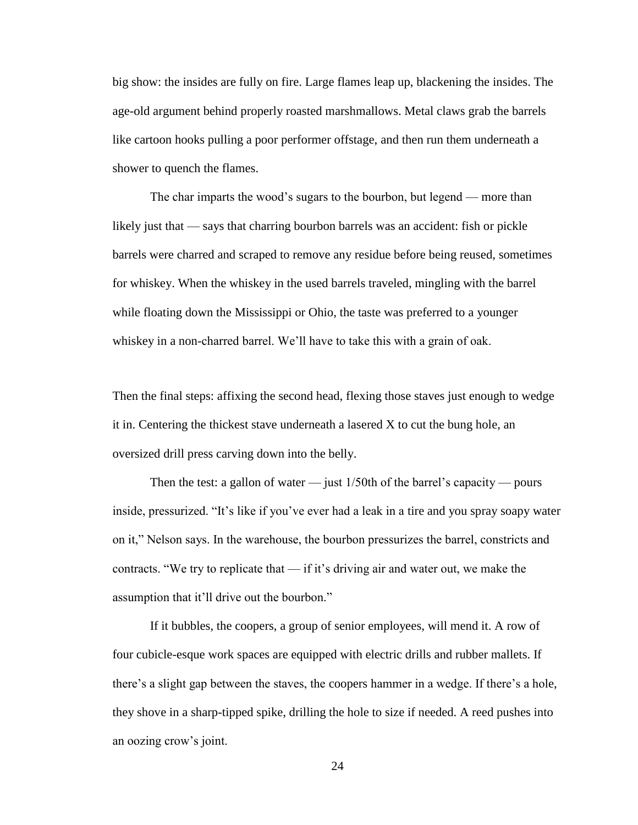big show: the insides are fully on fire. Large flames leap up, blackening the insides. The age-old argument behind properly roasted marshmallows. Metal claws grab the barrels like cartoon hooks pulling a poor performer offstage, and then run them underneath a shower to quench the flames.

The char imparts the wood's sugars to the bourbon, but legend — more than likely just that — says that charring bourbon barrels was an accident: fish or pickle barrels were charred and scraped to remove any residue before being reused, sometimes for whiskey. When the whiskey in the used barrels traveled, mingling with the barrel while floating down the Mississippi or Ohio, the taste was preferred to a younger whiskey in a non-charred barrel. We'll have to take this with a grain of oak.

Then the final steps: affixing the second head, flexing those staves just enough to wedge it in. Centering the thickest stave underneath a lasered X to cut the bung hole, an oversized drill press carving down into the belly.

Then the test: a gallon of water — just  $1/50$ th of the barrel's capacity — pours inside, pressurized. "It's like if you've ever had a leak in a tire and you spray soapy water on it," Nelson says. In the warehouse, the bourbon pressurizes the barrel, constricts and contracts. "We try to replicate that — if it's driving air and water out, we make the assumption that it'll drive out the bourbon."

If it bubbles, the coopers, a group of senior employees, will mend it. A row of four cubicle-esque work spaces are equipped with electric drills and rubber mallets. If there's a slight gap between the staves, the coopers hammer in a wedge. If there's a hole, they shove in a sharp-tipped spike, drilling the hole to size if needed. A reed pushes into an oozing crow's joint.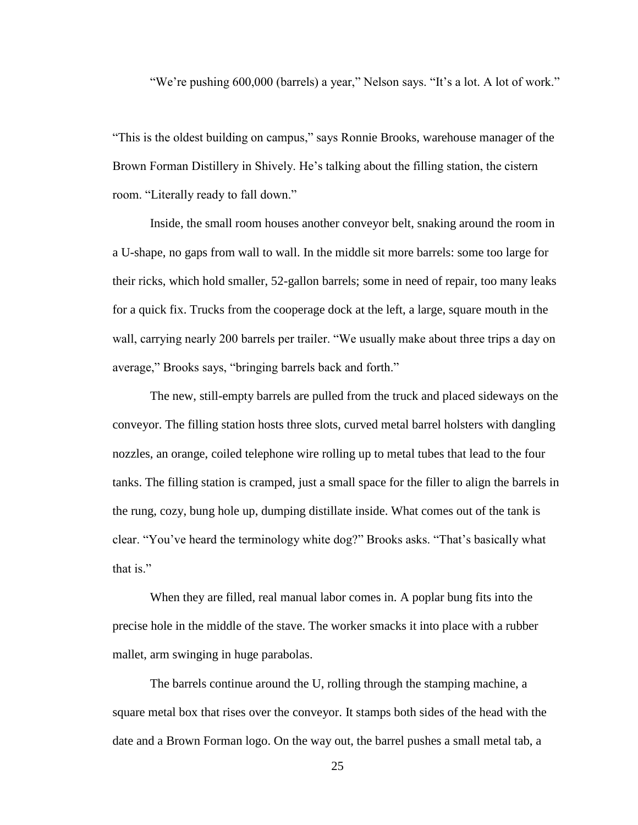"We're pushing 600,000 (barrels) a year," Nelson says. "It's a lot. A lot of work."

"This is the oldest building on campus," says Ronnie Brooks, warehouse manager of the Brown Forman Distillery in Shively. He's talking about the filling station, the cistern room. "Literally ready to fall down."

Inside, the small room houses another conveyor belt, snaking around the room in a U-shape, no gaps from wall to wall. In the middle sit more barrels: some too large for their ricks, which hold smaller, 52-gallon barrels; some in need of repair, too many leaks for a quick fix. Trucks from the cooperage dock at the left, a large, square mouth in the wall, carrying nearly 200 barrels per trailer. "We usually make about three trips a day on average," Brooks says, "bringing barrels back and forth."

The new, still-empty barrels are pulled from the truck and placed sideways on the conveyor. The filling station hosts three slots, curved metal barrel holsters with dangling nozzles, an orange, coiled telephone wire rolling up to metal tubes that lead to the four tanks. The filling station is cramped, just a small space for the filler to align the barrels in the rung, cozy, bung hole up, dumping distillate inside. What comes out of the tank is clear. "You've heard the terminology white dog?" Brooks asks. "That's basically what that is."

When they are filled, real manual labor comes in. A poplar bung fits into the precise hole in the middle of the stave. The worker smacks it into place with a rubber mallet, arm swinging in huge parabolas.

The barrels continue around the U, rolling through the stamping machine, a square metal box that rises over the conveyor. It stamps both sides of the head with the date and a Brown Forman logo. On the way out, the barrel pushes a small metal tab, a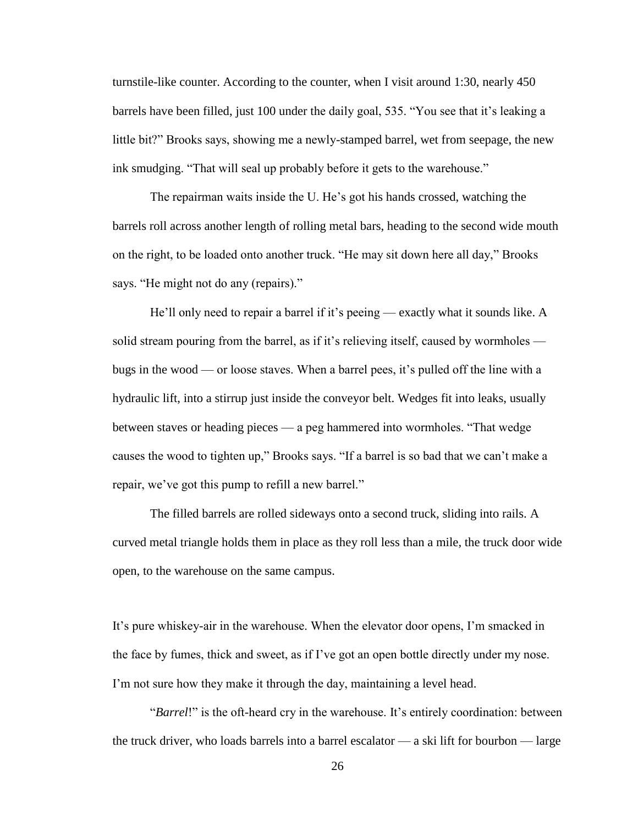turnstile-like counter. According to the counter, when I visit around 1:30, nearly 450 barrels have been filled, just 100 under the daily goal, 535. "You see that it's leaking a little bit?" Brooks says, showing me a newly-stamped barrel, wet from seepage, the new ink smudging. "That will seal up probably before it gets to the warehouse."

The repairman waits inside the U. He's got his hands crossed, watching the barrels roll across another length of rolling metal bars, heading to the second wide mouth on the right, to be loaded onto another truck. "He may sit down here all day," Brooks says. "He might not do any (repairs)."

He'll only need to repair a barrel if it's peeing — exactly what it sounds like. A solid stream pouring from the barrel, as if it's relieving itself, caused by wormholes bugs in the wood — or loose staves. When a barrel pees, it's pulled off the line with a hydraulic lift, into a stirrup just inside the conveyor belt. Wedges fit into leaks, usually between staves or heading pieces — a peg hammered into wormholes. "That wedge causes the wood to tighten up," Brooks says. "If a barrel is so bad that we can't make a repair, we've got this pump to refill a new barrel."

The filled barrels are rolled sideways onto a second truck, sliding into rails. A curved metal triangle holds them in place as they roll less than a mile, the truck door wide open, to the warehouse on the same campus.

It's pure whiskey-air in the warehouse. When the elevator door opens, I'm smacked in the face by fumes, thick and sweet, as if I've got an open bottle directly under my nose. I'm not sure how they make it through the day, maintaining a level head.

"*Barrel*!" is the oft-heard cry in the warehouse. It's entirely coordination: between the truck driver, who loads barrels into a barrel escalator — a ski lift for bourbon — large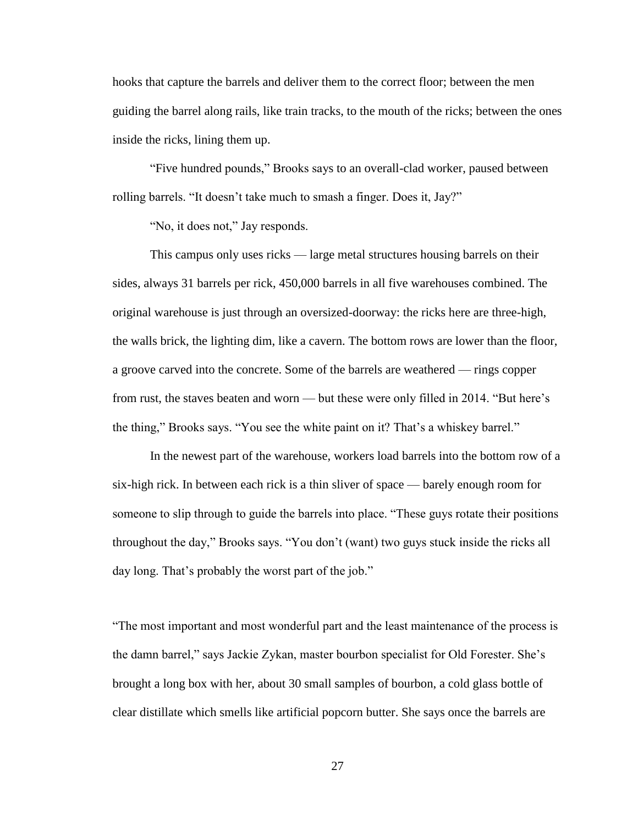hooks that capture the barrels and deliver them to the correct floor; between the men guiding the barrel along rails, like train tracks, to the mouth of the ricks; between the ones inside the ricks, lining them up.

"Five hundred pounds," Brooks says to an overall-clad worker, paused between rolling barrels. "It doesn't take much to smash a finger. Does it, Jay?"

"No, it does not," Jay responds.

This campus only uses ricks — large metal structures housing barrels on their sides, always 31 barrels per rick, 450,000 barrels in all five warehouses combined. The original warehouse is just through an oversized-doorway: the ricks here are three-high, the walls brick, the lighting dim, like a cavern. The bottom rows are lower than the floor, a groove carved into the concrete. Some of the barrels are weathered — rings copper from rust, the staves beaten and worn — but these were only filled in 2014. "But here's the thing," Brooks says. "You see the white paint on it? That's a whiskey barrel."

In the newest part of the warehouse, workers load barrels into the bottom row of a six-high rick. In between each rick is a thin sliver of space — barely enough room for someone to slip through to guide the barrels into place. "These guys rotate their positions throughout the day," Brooks says. "You don't (want) two guys stuck inside the ricks all day long. That's probably the worst part of the job."

"The most important and most wonderful part and the least maintenance of the process is the damn barrel," says Jackie Zykan, master bourbon specialist for Old Forester. She's brought a long box with her, about 30 small samples of bourbon, a cold glass bottle of clear distillate which smells like artificial popcorn butter. She says once the barrels are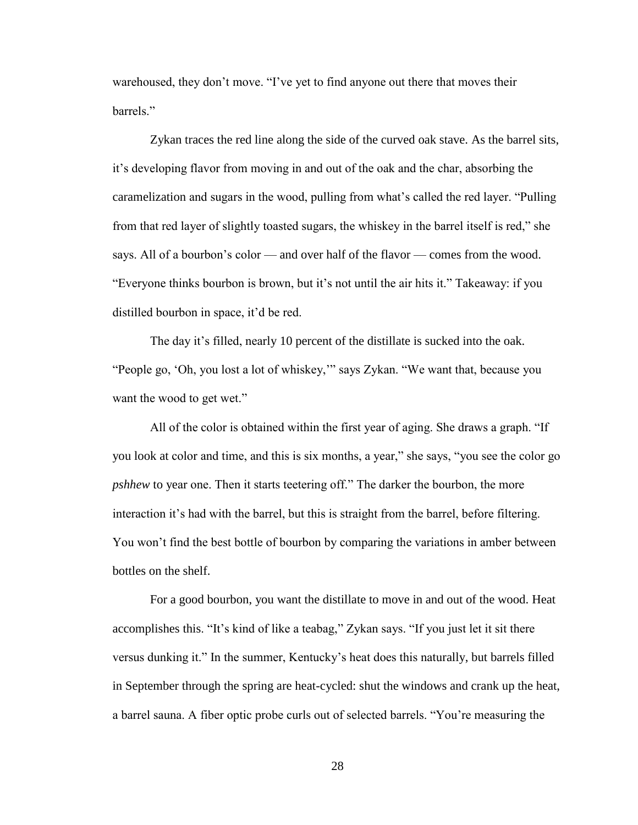warehoused, they don't move. "I've yet to find anyone out there that moves their barrels."

Zykan traces the red line along the side of the curved oak stave. As the barrel sits, it's developing flavor from moving in and out of the oak and the char, absorbing the caramelization and sugars in the wood, pulling from what's called the red layer. "Pulling from that red layer of slightly toasted sugars, the whiskey in the barrel itself is red," she says. All of a bourbon's color — and over half of the flavor — comes from the wood. "Everyone thinks bourbon is brown, but it's not until the air hits it." Takeaway: if you distilled bourbon in space, it'd be red.

The day it's filled, nearly 10 percent of the distillate is sucked into the oak. "People go, 'Oh, you lost a lot of whiskey,'" says Zykan. "We want that, because you want the wood to get wet."

All of the color is obtained within the first year of aging. She draws a graph. "If you look at color and time, and this is six months, a year," she says, "you see the color go *pshhew* to year one. Then it starts teetering off." The darker the bourbon, the more interaction it's had with the barrel, but this is straight from the barrel, before filtering. You won't find the best bottle of bourbon by comparing the variations in amber between bottles on the shelf.

For a good bourbon, you want the distillate to move in and out of the wood. Heat accomplishes this. "It's kind of like a teabag," Zykan says. "If you just let it sit there versus dunking it." In the summer, Kentucky's heat does this naturally, but barrels filled in September through the spring are heat-cycled: shut the windows and crank up the heat, a barrel sauna. A fiber optic probe curls out of selected barrels. "You're measuring the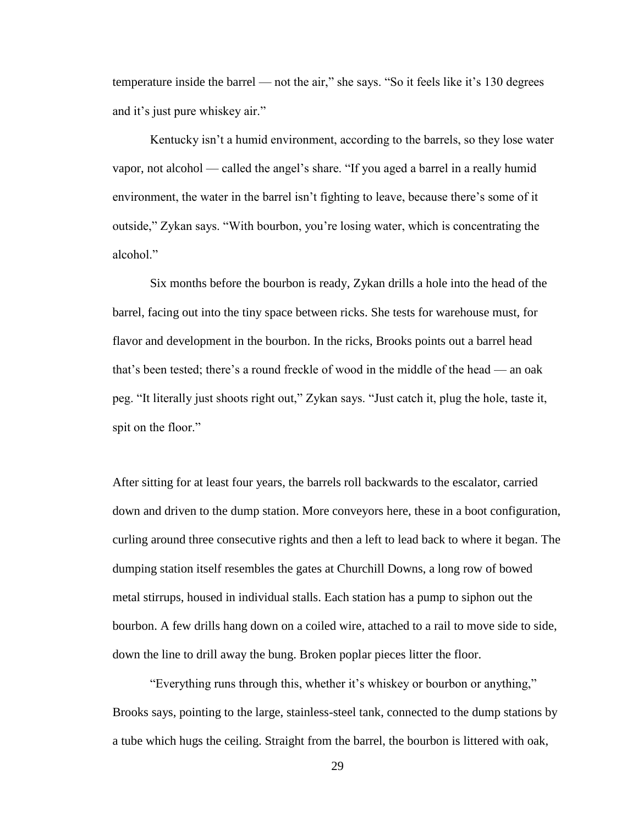temperature inside the barrel — not the air," she says. "So it feels like it's 130 degrees and it's just pure whiskey air."

Kentucky isn't a humid environment, according to the barrels, so they lose water vapor, not alcohol — called the angel's share. "If you aged a barrel in a really humid environment, the water in the barrel isn't fighting to leave, because there's some of it outside," Zykan says. "With bourbon, you're losing water, which is concentrating the alcohol."

Six months before the bourbon is ready, Zykan drills a hole into the head of the barrel, facing out into the tiny space between ricks. She tests for warehouse must, for flavor and development in the bourbon. In the ricks, Brooks points out a barrel head that's been tested; there's a round freckle of wood in the middle of the head — an oak peg. "It literally just shoots right out," Zykan says. "Just catch it, plug the hole, taste it, spit on the floor."

After sitting for at least four years, the barrels roll backwards to the escalator, carried down and driven to the dump station. More conveyors here, these in a boot configuration, curling around three consecutive rights and then a left to lead back to where it began. The dumping station itself resembles the gates at Churchill Downs, a long row of bowed metal stirrups, housed in individual stalls. Each station has a pump to siphon out the bourbon. A few drills hang down on a coiled wire, attached to a rail to move side to side, down the line to drill away the bung. Broken poplar pieces litter the floor.

"Everything runs through this, whether it's whiskey or bourbon or anything," Brooks says, pointing to the large, stainless-steel tank, connected to the dump stations by a tube which hugs the ceiling. Straight from the barrel, the bourbon is littered with oak,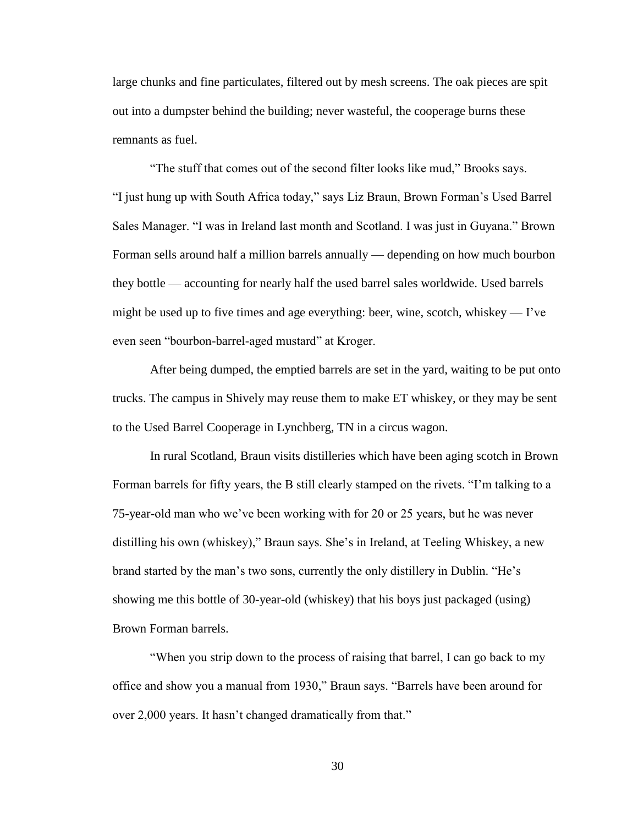large chunks and fine particulates, filtered out by mesh screens. The oak pieces are spit out into a dumpster behind the building; never wasteful, the cooperage burns these remnants as fuel.

"The stuff that comes out of the second filter looks like mud," Brooks says. "I just hung up with South Africa today," says Liz Braun, Brown Forman's Used Barrel Sales Manager. "I was in Ireland last month and Scotland. I was just in Guyana." Brown Forman sells around half a million barrels annually — depending on how much bourbon they bottle — accounting for nearly half the used barrel sales worldwide. Used barrels might be used up to five times and age everything: beer, wine, scotch, whiskey — I've even seen "bourbon-barrel-aged mustard" at Kroger.

After being dumped, the emptied barrels are set in the yard, waiting to be put onto trucks. The campus in Shively may reuse them to make ET whiskey, or they may be sent to the Used Barrel Cooperage in Lynchberg, TN in a circus wagon.

In rural Scotland, Braun visits distilleries which have been aging scotch in Brown Forman barrels for fifty years, the B still clearly stamped on the rivets. "I'm talking to a 75-year-old man who we've been working with for 20 or 25 years, but he was never distilling his own (whiskey)," Braun says. She's in Ireland, at Teeling Whiskey, a new brand started by the man's two sons, currently the only distillery in Dublin. "He's showing me this bottle of 30-year-old (whiskey) that his boys just packaged (using) Brown Forman barrels.

"When you strip down to the process of raising that barrel, I can go back to my office and show you a manual from 1930," Braun says. "Barrels have been around for over 2,000 years. It hasn't changed dramatically from that."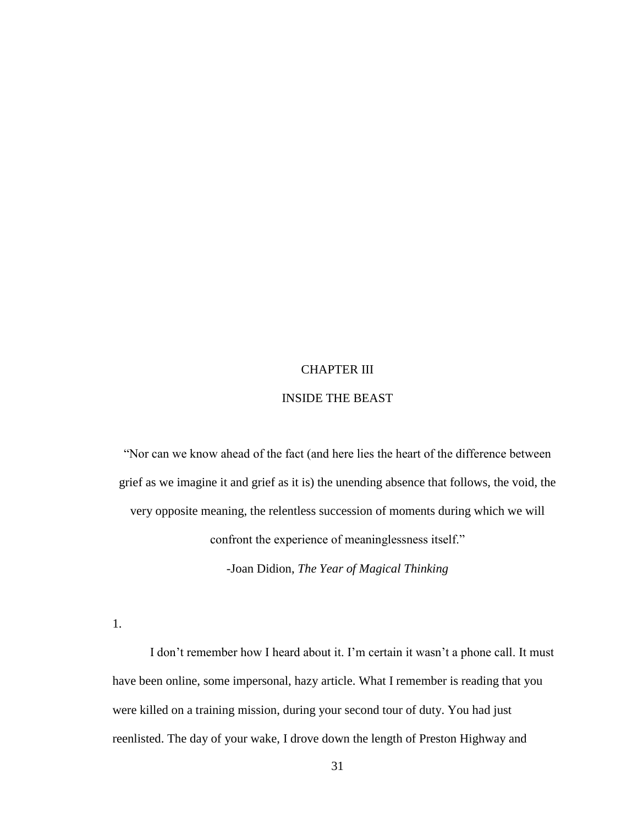# CHAPTER III

# INSIDE THE BEAST

"Nor can we know ahead of the fact (and here lies the heart of the difference between grief as we imagine it and grief as it is) the unending absence that follows, the void, the very opposite meaning, the relentless succession of moments during which we will confront the experience of meaninglessness itself."

-Joan Didion, *The Year of Magical Thinking*

1.

I don't remember how I heard about it. I'm certain it wasn't a phone call. It must have been online, some impersonal, hazy article. What I remember is reading that you were killed on a training mission, during your second tour of duty. You had just reenlisted. The day of your wake, I drove down the length of Preston Highway and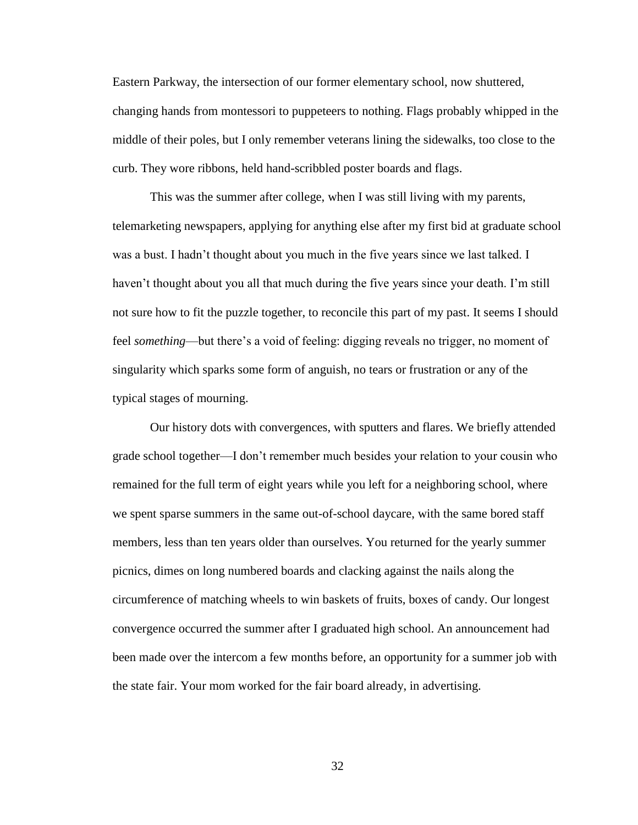Eastern Parkway, the intersection of our former elementary school, now shuttered, changing hands from montessori to puppeteers to nothing. Flags probably whipped in the middle of their poles, but I only remember veterans lining the sidewalks, too close to the curb. They wore ribbons, held hand-scribbled poster boards and flags.

This was the summer after college, when I was still living with my parents, telemarketing newspapers, applying for anything else after my first bid at graduate school was a bust. I hadn't thought about you much in the five years since we last talked. I haven't thought about you all that much during the five years since your death. I'm still not sure how to fit the puzzle together, to reconcile this part of my past. It seems I should feel *something*—but there's a void of feeling: digging reveals no trigger, no moment of singularity which sparks some form of anguish, no tears or frustration or any of the typical stages of mourning.

Our history dots with convergences, with sputters and flares. We briefly attended grade school together—I don't remember much besides your relation to your cousin who remained for the full term of eight years while you left for a neighboring school, where we spent sparse summers in the same out-of-school daycare, with the same bored staff members, less than ten years older than ourselves. You returned for the yearly summer picnics, dimes on long numbered boards and clacking against the nails along the circumference of matching wheels to win baskets of fruits, boxes of candy. Our longest convergence occurred the summer after I graduated high school. An announcement had been made over the intercom a few months before, an opportunity for a summer job with the state fair. Your mom worked for the fair board already, in advertising.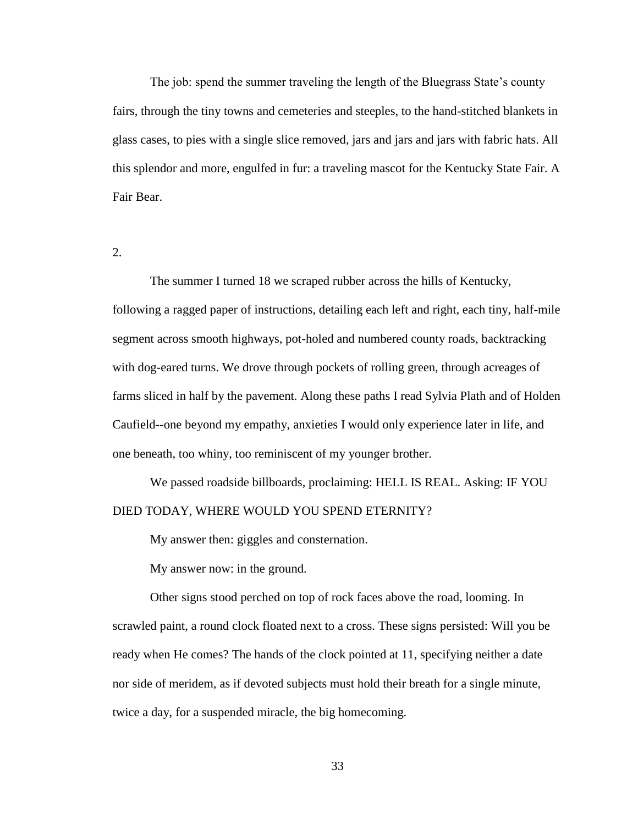The job: spend the summer traveling the length of the Bluegrass State's county fairs, through the tiny towns and cemeteries and steeples, to the hand-stitched blankets in glass cases, to pies with a single slice removed, jars and jars and jars with fabric hats. All this splendor and more, engulfed in fur: a traveling mascot for the Kentucky State Fair. A Fair Bear.

2.

The summer I turned 18 we scraped rubber across the hills of Kentucky, following a ragged paper of instructions, detailing each left and right, each tiny, half-mile segment across smooth highways, pot-holed and numbered county roads, backtracking with dog-eared turns. We drove through pockets of rolling green, through acreages of farms sliced in half by the pavement. Along these paths I read Sylvia Plath and of Holden Caufield--one beyond my empathy, anxieties I would only experience later in life, and one beneath, too whiny, too reminiscent of my younger brother.

We passed roadside billboards, proclaiming: HELL IS REAL. Asking: IF YOU DIED TODAY, WHERE WOULD YOU SPEND ETERNITY?

My answer then: giggles and consternation.

My answer now: in the ground.

Other signs stood perched on top of rock faces above the road, looming. In scrawled paint, a round clock floated next to a cross. These signs persisted: Will you be ready when He comes? The hands of the clock pointed at 11, specifying neither a date nor side of meridem, as if devoted subjects must hold their breath for a single minute, twice a day, for a suspended miracle, the big homecoming.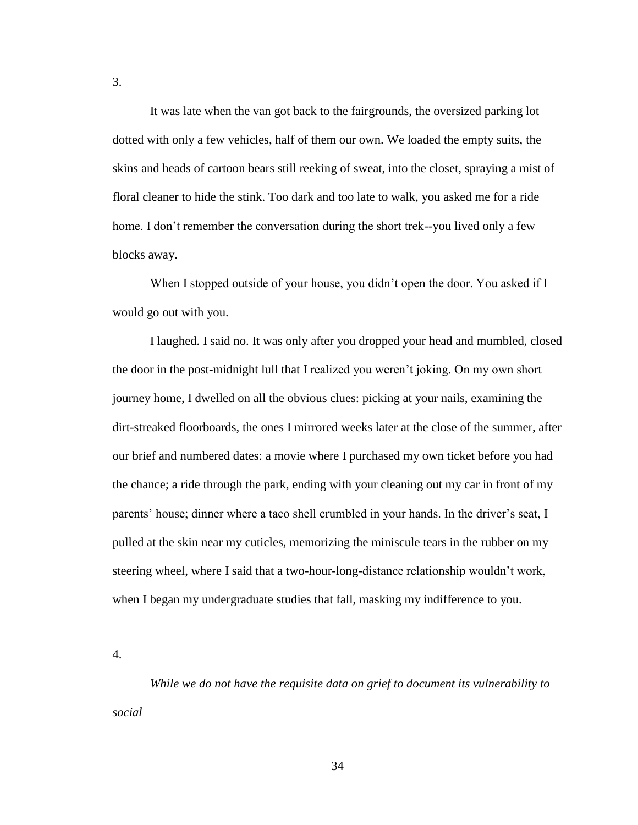It was late when the van got back to the fairgrounds, the oversized parking lot dotted with only a few vehicles, half of them our own. We loaded the empty suits, the skins and heads of cartoon bears still reeking of sweat, into the closet, spraying a mist of floral cleaner to hide the stink. Too dark and too late to walk, you asked me for a ride home. I don't remember the conversation during the short trek--you lived only a few blocks away.

When I stopped outside of your house, you didn't open the door. You asked if I would go out with you.

I laughed. I said no. It was only after you dropped your head and mumbled, closed the door in the post-midnight lull that I realized you weren't joking. On my own short journey home, I dwelled on all the obvious clues: picking at your nails, examining the dirt-streaked floorboards, the ones I mirrored weeks later at the close of the summer, after our brief and numbered dates: a movie where I purchased my own ticket before you had the chance; a ride through the park, ending with your cleaning out my car in front of my parents' house; dinner where a taco shell crumbled in your hands. In the driver's seat, I pulled at the skin near my cuticles, memorizing the miniscule tears in the rubber on my steering wheel, where I said that a two-hour-long-distance relationship wouldn't work, when I began my undergraduate studies that fall, masking my indifference to you.

4.

*While we do not have the requisite data on grief to document its vulnerability to social*

3.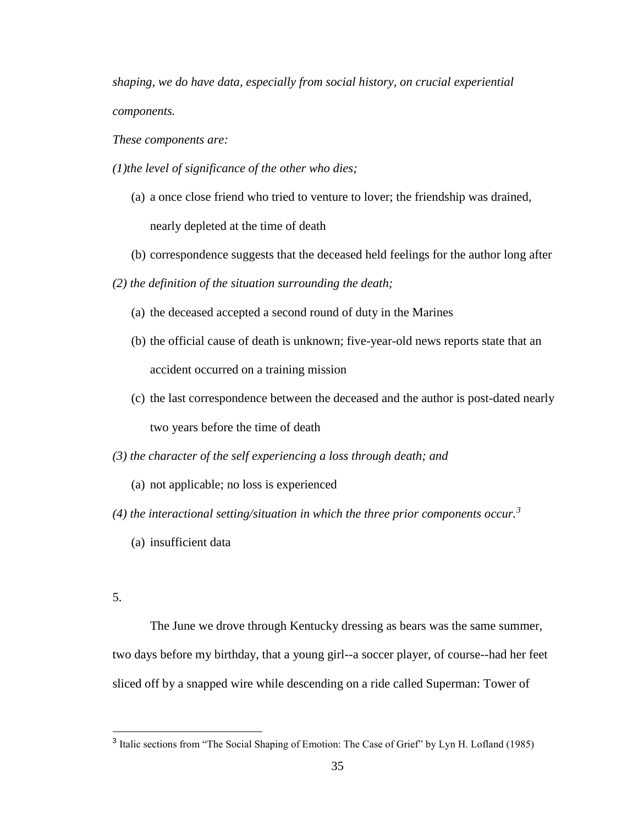*shaping, we do have data, especially from social history, on crucial experiential components.*

*These components are:*

- *(1)the level of significance of the other who dies;* 
	- (a) a once close friend who tried to venture to lover; the friendship was drained, nearly depleted at the time of death
	- (b) correspondence suggests that the deceased held feelings for the author long after
- *(2) the definition of the situation surrounding the death;* 
	- (a) the deceased accepted a second round of duty in the Marines
	- (b) the official cause of death is unknown; five-year-old news reports state that an accident occurred on a training mission
	- (c) the last correspondence between the deceased and the author is post-dated nearly two years before the time of death

*(3) the character of the self experiencing a loss through death; and* 

- (a) not applicable; no loss is experienced
- (4) the interactional setting/situation in which the three prior components occur.<sup>3</sup>
	- (a) insufficient data
- 5.

The June we drove through Kentucky dressing as bears was the same summer, two days before my birthday, that a young girl--a soccer player, of course--had her feet sliced off by a snapped wire while descending on a ride called Superman: Tower of

<sup>&</sup>lt;sup>3</sup> Italic sections from "The Social Shaping of Emotion: The Case of Grief" by Lyn H. Lofland (1985)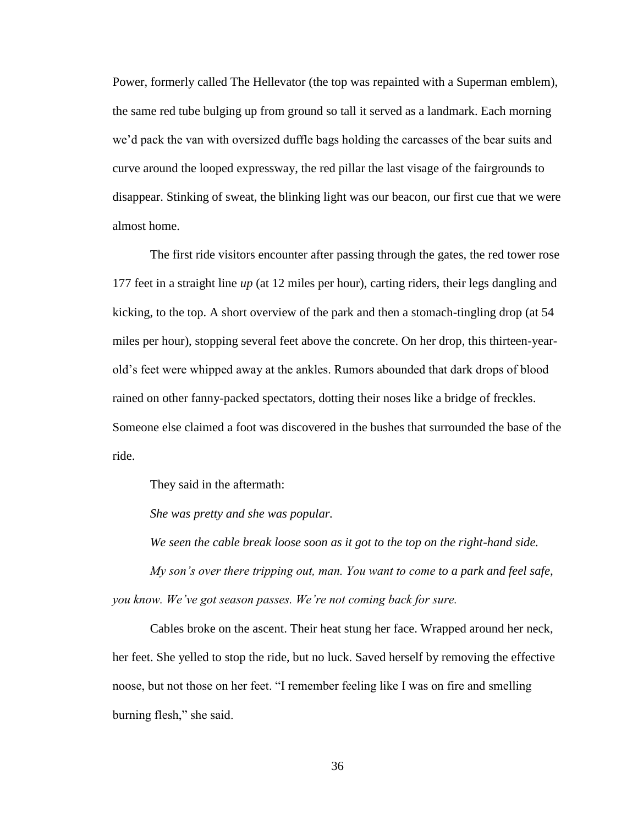Power, formerly called The Hellevator (the top was repainted with a Superman emblem), the same red tube bulging up from ground so tall it served as a landmark. Each morning we'd pack the van with oversized duffle bags holding the carcasses of the bear suits and curve around the looped expressway, the red pillar the last visage of the fairgrounds to disappear. Stinking of sweat, the blinking light was our beacon, our first cue that we were almost home.

The first ride visitors encounter after passing through the gates, the red tower rose 177 feet in a straight line *up* (at 12 miles per hour), carting riders, their legs dangling and kicking, to the top. A short overview of the park and then a stomach-tingling drop (at 54 miles per hour), stopping several feet above the concrete. On her drop, this thirteen-yearold's feet were whipped away at the ankles. Rumors abounded that dark drops of blood rained on other fanny-packed spectators, dotting their noses like a bridge of freckles. Someone else claimed a foot was discovered in the bushes that surrounded the base of the ride.

They said in the aftermath:

*She was pretty and she was popular.*

*We seen the cable break loose soon as it got to the top on the right-hand side.*

*My son's over there tripping out, man. You want to come to a park and feel safe, you know. We've got season passes. We're not coming back for sure.*

Cables broke on the ascent. Their heat stung her face. Wrapped around her neck, her feet. She yelled to stop the ride, but no luck. Saved herself by removing the effective noose, but not those on her feet. "I remember feeling like I was on fire and smelling burning flesh," she said.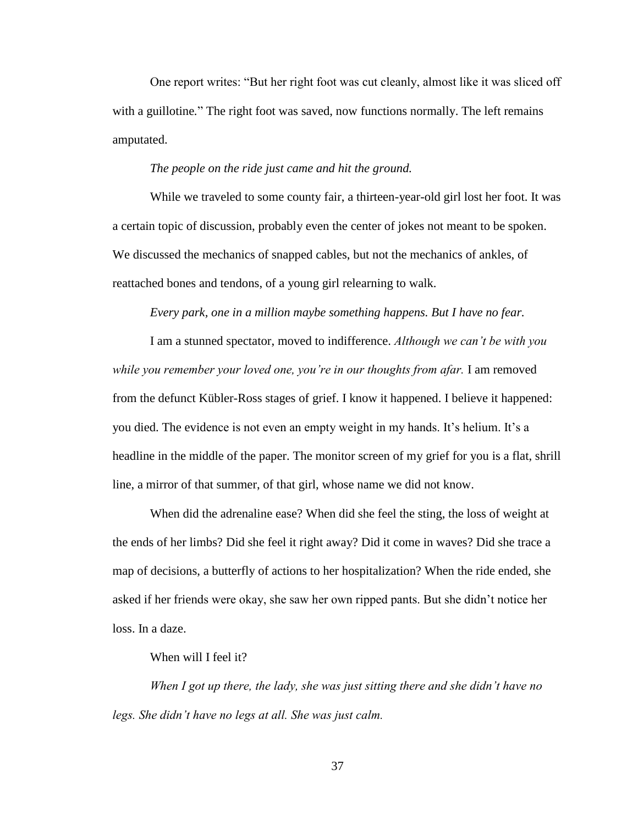One report writes: "But her right foot was cut cleanly, almost like it was sliced off with a guillotine*.*" The right foot was saved, now functions normally. The left remains amputated.

## *The people on the ride just came and hit the ground.*

While we traveled to some county fair, a thirteen-year-old girl lost her foot. It was a certain topic of discussion, probably even the center of jokes not meant to be spoken. We discussed the mechanics of snapped cables, but not the mechanics of ankles, of reattached bones and tendons, of a young girl relearning to walk.

*Every park, one in a million maybe something happens. But I have no fear.*

I am a stunned spectator, moved to indifference. *Although we can't be with you while you remember your loved one, you're in our thoughts from afar.* I am removed from the defunct Kübler-Ross stages of grief. I know it happened. I believe it happened: you died. The evidence is not even an empty weight in my hands. It's helium. It's a headline in the middle of the paper. The monitor screen of my grief for you is a flat, shrill line, a mirror of that summer, of that girl, whose name we did not know.

When did the adrenaline ease? When did she feel the sting, the loss of weight at the ends of her limbs? Did she feel it right away? Did it come in waves? Did she trace a map of decisions, a butterfly of actions to her hospitalization? When the ride ended, she asked if her friends were okay, she saw her own ripped pants. But she didn't notice her loss. In a daze.

## When will I feel it?

*When I got up there, the lady, she was just sitting there and she didn't have no legs. She didn't have no legs at all. She was just calm.*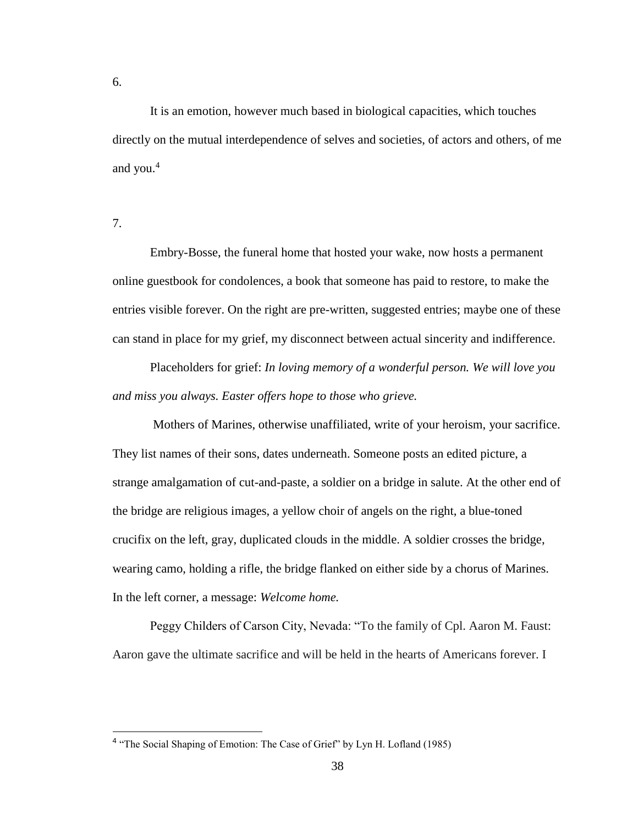6.

It is an emotion, however much based in biological capacities, which touches directly on the mutual interdependence of selves and societies, of actors and others, of me and you. $4$ 

7.

Embry-Bosse, the funeral home that hosted your wake, now hosts a permanent online guestbook for condolences, a book that someone has paid to restore, to make the entries visible forever. On the right are pre-written, suggested entries; maybe one of these can stand in place for my grief, my disconnect between actual sincerity and indifference.

Placeholders for grief: *In loving memory of a wonderful person. We will love you and miss you always. Easter offers hope to those who grieve.*

Mothers of Marines, otherwise unaffiliated, write of your heroism, your sacrifice. They list names of their sons, dates underneath. Someone posts an edited picture, a strange amalgamation of cut-and-paste, a soldier on a bridge in salute. At the other end of the bridge are religious images, a yellow choir of angels on the right, a blue-toned crucifix on the left, gray, duplicated clouds in the middle. A soldier crosses the bridge, wearing camo, holding a rifle, the bridge flanked on either side by a chorus of Marines. In the left corner, a message: *Welcome home.* 

Peggy Childers of Carson City, Nevada: "To the family of Cpl. Aaron M. Faust: Aaron gave the ultimate sacrifice and will be held in the hearts of Americans forever. I

<sup>&</sup>lt;sup>4</sup> "The Social Shaping of Emotion: The Case of Grief" by Lyn H. Lofland (1985)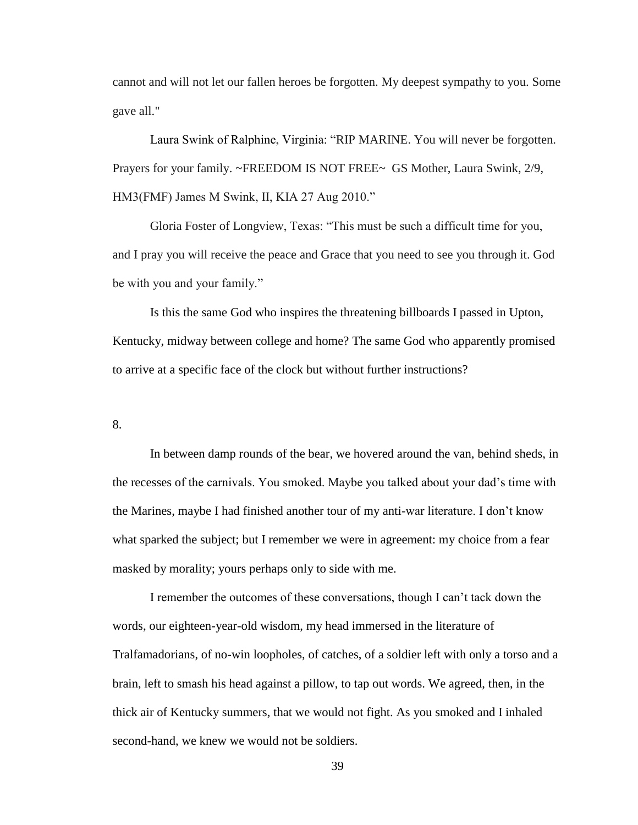cannot and will not let our fallen heroes be forgotten. My deepest sympathy to you. Some gave all."

Laura Swink of Ralphine, Virginia: "RIP MARINE. You will never be forgotten. Prayers for your family. ~FREEDOM IS NOT FREE~ GS Mother, Laura Swink, 2/9, HM3(FMF) James M Swink, II, KIA 27 Aug 2010."

Gloria Foster of Longview, Texas: "This must be such a difficult time for you, and I pray you will receive the peace and Grace that you need to see you through it. God be with you and your family."

Is this the same God who inspires the threatening billboards I passed in Upton, Kentucky, midway between college and home? The same God who apparently promised to arrive at a specific face of the clock but without further instructions?

8.

In between damp rounds of the bear, we hovered around the van, behind sheds, in the recesses of the carnivals. You smoked. Maybe you talked about your dad's time with the Marines, maybe I had finished another tour of my anti-war literature. I don't know what sparked the subject; but I remember we were in agreement: my choice from a fear masked by morality; yours perhaps only to side with me.

I remember the outcomes of these conversations, though I can't tack down the words, our eighteen-year-old wisdom, my head immersed in the literature of Tralfamadorians, of no-win loopholes, of catches, of a soldier left with only a torso and a brain, left to smash his head against a pillow, to tap out words. We agreed, then, in the thick air of Kentucky summers, that we would not fight. As you smoked and I inhaled second-hand, we knew we would not be soldiers.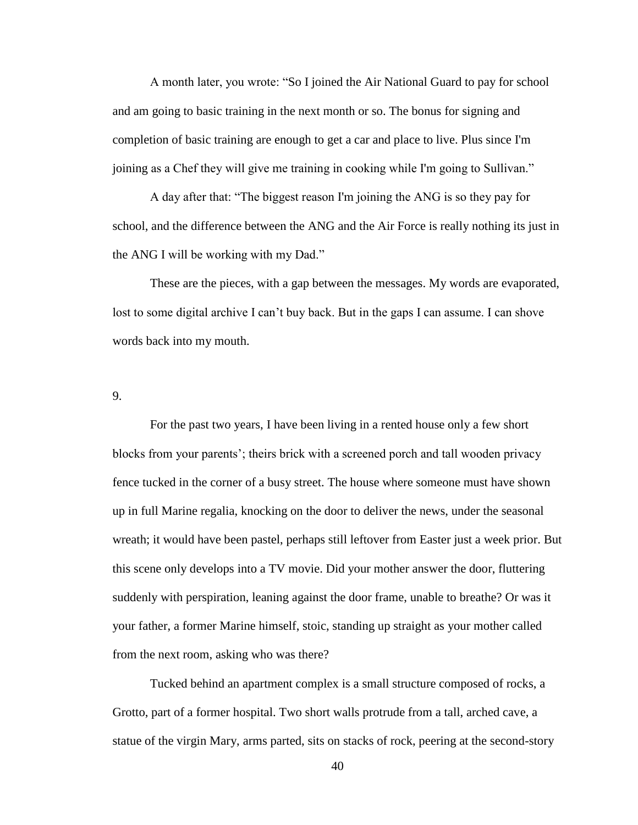A month later, you wrote: "So I joined the Air National Guard to pay for school and am going to basic training in the next month or so. The bonus for signing and completion of basic training are enough to get a car and place to live. Plus since I'm joining as a Chef they will give me training in cooking while I'm going to Sullivan."

A day after that: "The biggest reason I'm joining the ANG is so they pay for school, and the difference between the ANG and the Air Force is really nothing its just in the ANG I will be working with my Dad."

These are the pieces, with a gap between the messages. My words are evaporated, lost to some digital archive I can't buy back. But in the gaps I can assume. I can shove words back into my mouth.

9.

For the past two years, I have been living in a rented house only a few short blocks from your parents'; theirs brick with a screened porch and tall wooden privacy fence tucked in the corner of a busy street. The house where someone must have shown up in full Marine regalia, knocking on the door to deliver the news, under the seasonal wreath; it would have been pastel, perhaps still leftover from Easter just a week prior. But this scene only develops into a TV movie. Did your mother answer the door, fluttering suddenly with perspiration, leaning against the door frame, unable to breathe? Or was it your father, a former Marine himself, stoic, standing up straight as your mother called from the next room, asking who was there?

Tucked behind an apartment complex is a small structure composed of rocks, a Grotto, part of a former hospital. Two short walls protrude from a tall, arched cave, a statue of the virgin Mary, arms parted, sits on stacks of rock, peering at the second-story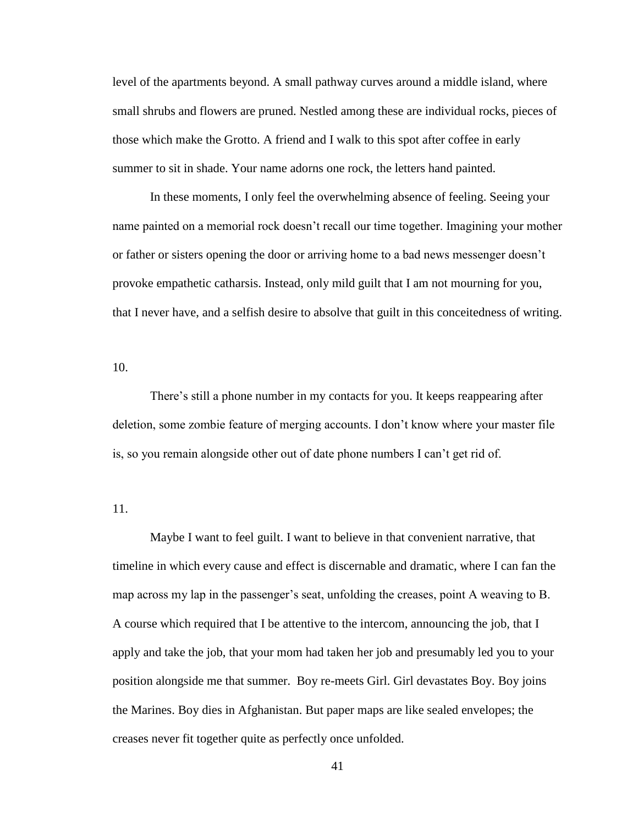level of the apartments beyond. A small pathway curves around a middle island, where small shrubs and flowers are pruned. Nestled among these are individual rocks, pieces of those which make the Grotto. A friend and I walk to this spot after coffee in early summer to sit in shade. Your name adorns one rock, the letters hand painted.

In these moments, I only feel the overwhelming absence of feeling. Seeing your name painted on a memorial rock doesn't recall our time together. Imagining your mother or father or sisters opening the door or arriving home to a bad news messenger doesn't provoke empathetic catharsis. Instead, only mild guilt that I am not mourning for you, that I never have, and a selfish desire to absolve that guilt in this conceitedness of writing.

10.

There's still a phone number in my contacts for you. It keeps reappearing after deletion, some zombie feature of merging accounts. I don't know where your master file is, so you remain alongside other out of date phone numbers I can't get rid of.

11.

Maybe I want to feel guilt. I want to believe in that convenient narrative, that timeline in which every cause and effect is discernable and dramatic, where I can fan the map across my lap in the passenger's seat, unfolding the creases, point A weaving to B. A course which required that I be attentive to the intercom, announcing the job, that I apply and take the job, that your mom had taken her job and presumably led you to your position alongside me that summer. Boy re-meets Girl. Girl devastates Boy. Boy joins the Marines. Boy dies in Afghanistan. But paper maps are like sealed envelopes; the creases never fit together quite as perfectly once unfolded.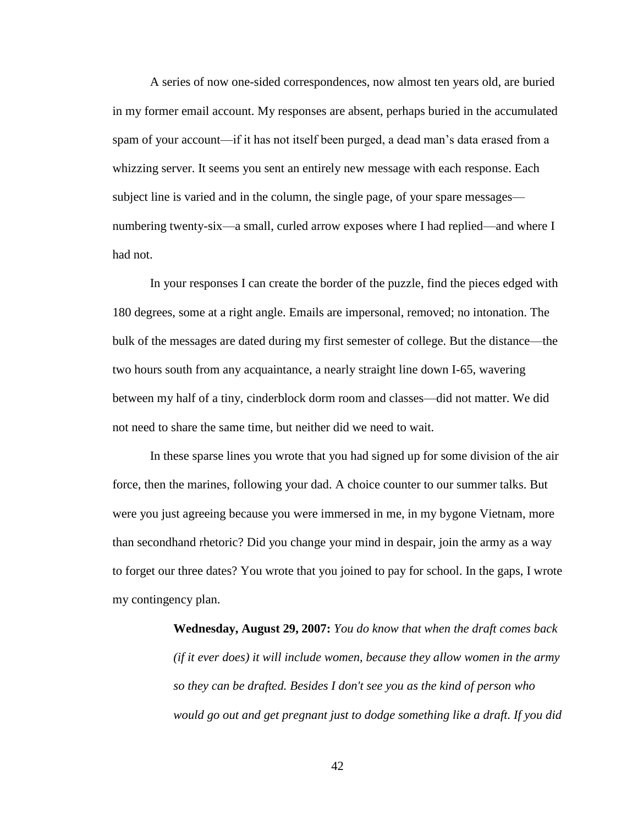A series of now one-sided correspondences, now almost ten years old, are buried in my former email account. My responses are absent, perhaps buried in the accumulated spam of your account—if it has not itself been purged, a dead man's data erased from a whizzing server. It seems you sent an entirely new message with each response. Each subject line is varied and in the column, the single page, of your spare messages numbering twenty-six—a small, curled arrow exposes where I had replied—and where I had not.

In your responses I can create the border of the puzzle, find the pieces edged with 180 degrees, some at a right angle. Emails are impersonal, removed; no intonation. The bulk of the messages are dated during my first semester of college. But the distance—the two hours south from any acquaintance, a nearly straight line down I-65, wavering between my half of a tiny, cinderblock dorm room and classes—did not matter. We did not need to share the same time, but neither did we need to wait.

In these sparse lines you wrote that you had signed up for some division of the air force, then the marines, following your dad. A choice counter to our summer talks. But were you just agreeing because you were immersed in me, in my bygone Vietnam, more than secondhand rhetoric? Did you change your mind in despair, join the army as a way to forget our three dates? You wrote that you joined to pay for school. In the gaps, I wrote my contingency plan.

> **Wednesday, August 29, 2007:** *You do know that when the draft comes back (if it ever does) it will include women, because they allow women in the army so they can be drafted. Besides I don't see you as the kind of person who would go out and get pregnant just to dodge something like a draft. If you did*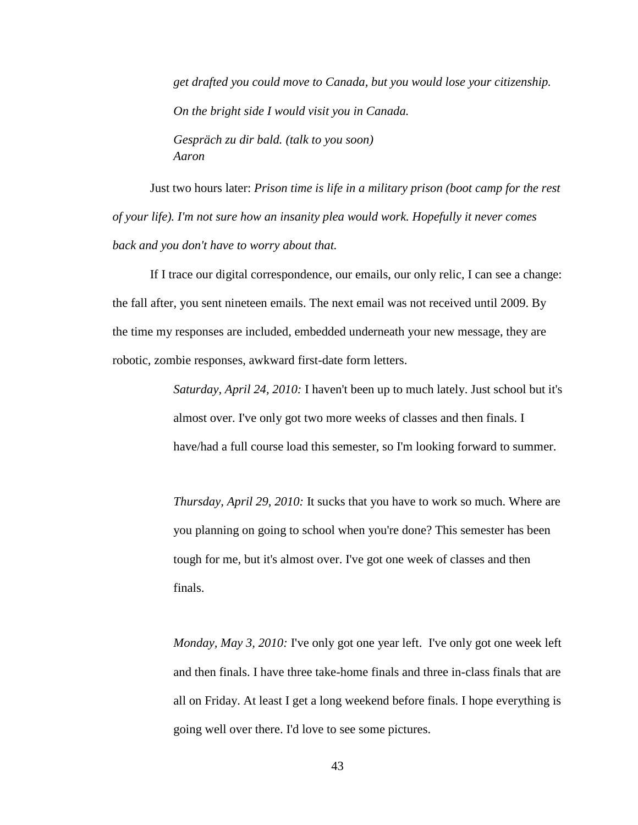*get drafted you could move to Canada, but you would lose your citizenship. On the bright side I would visit you in Canada. Gespräch zu dir bald. (talk to you soon) Aaron*

Just two hours later: *Prison time is life in a military prison (boot camp for the rest of your life). I'm not sure how an insanity plea would work. Hopefully it never comes back and you don't have to worry about that.*

If I trace our digital correspondence, our emails, our only relic, I can see a change: the fall after, you sent nineteen emails. The next email was not received until 2009. By the time my responses are included, embedded underneath your new message, they are robotic, zombie responses, awkward first-date form letters.

> *Saturday, April 24, 2010:* I haven't been up to much lately. Just school but it's almost over. I've only got two more weeks of classes and then finals. I have/had a full course load this semester, so I'm looking forward to summer.

> *Thursday, April 29, 2010:* It sucks that you have to work so much. Where are you planning on going to school when you're done? This semester has been tough for me, but it's almost over. I've got one week of classes and then finals.

> *Monday, May 3, 2010: I've only got one year left. I've only got one week left* and then finals. I have three take-home finals and three in-class finals that are all on Friday. At least I get a long weekend before finals. I hope everything is going well over there. I'd love to see some pictures.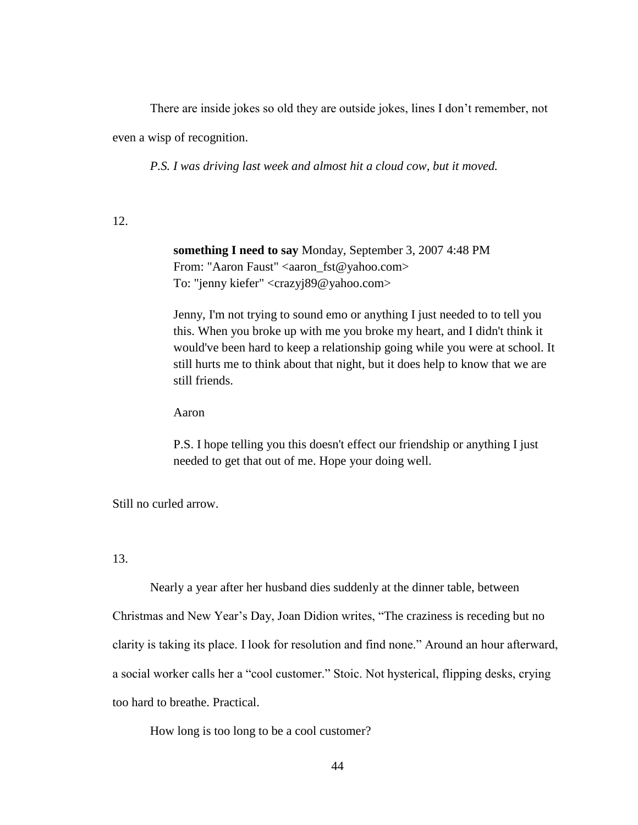There are inside jokes so old they are outside jokes, lines I don't remember, not even a wisp of recognition.

*P.S. I was driving last week and almost hit a cloud cow, but it moved.*

12.

**something I need to say** Monday, September 3, 2007 4:48 PM From: "Aaron Faust" <aaron\_fst@yahoo.com> To: "jenny kiefer" <crazyj89@yahoo.com>

Jenny, I'm not trying to sound emo or anything I just needed to to tell you this. When you broke up with me you broke my heart, and I didn't think it would've been hard to keep a relationship going while you were at school. It still hurts me to think about that night, but it does help to know that we are still friends.

Aaron

P.S. I hope telling you this doesn't effect our friendship or anything I just needed to get that out of me. Hope your doing well.

Still no curled arrow.

13.

Nearly a year after her husband dies suddenly at the dinner table, between Christmas and New Year's Day, Joan Didion writes, "The craziness is receding but no clarity is taking its place. I look for resolution and find none." Around an hour afterward, a social worker calls her a "cool customer." Stoic. Not hysterical, flipping desks, crying too hard to breathe. Practical.

How long is too long to be a cool customer?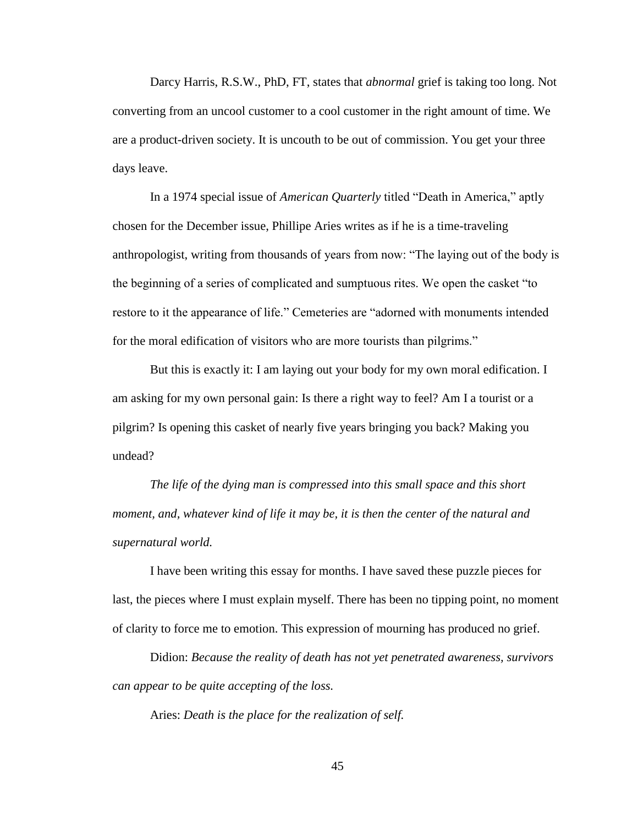Darcy Harris, R.S.W., PhD, FT, states that *abnormal* grief is taking too long. Not converting from an uncool customer to a cool customer in the right amount of time. We are a product-driven society. It is uncouth to be out of commission. You get your three days leave.

In a 1974 special issue of *American Quarterly* titled "Death in America," aptly chosen for the December issue, Phillipe Aries writes as if he is a time-traveling anthropologist, writing from thousands of years from now: "The laying out of the body is the beginning of a series of complicated and sumptuous rites. We open the casket "to restore to it the appearance of life." Cemeteries are "adorned with monuments intended for the moral edification of visitors who are more tourists than pilgrims."

But this is exactly it: I am laying out your body for my own moral edification. I am asking for my own personal gain: Is there a right way to feel? Am I a tourist or a pilgrim? Is opening this casket of nearly five years bringing you back? Making you undead?

*The life of the dying man is compressed into this small space and this short moment, and, whatever kind of life it may be, it is then the center of the natural and supernatural world.*

I have been writing this essay for months. I have saved these puzzle pieces for last, the pieces where I must explain myself. There has been no tipping point, no moment of clarity to force me to emotion. This expression of mourning has produced no grief.

Didion: *Because the reality of death has not yet penetrated awareness, survivors can appear to be quite accepting of the loss.*

Aries: *Death is the place for the realization of self.*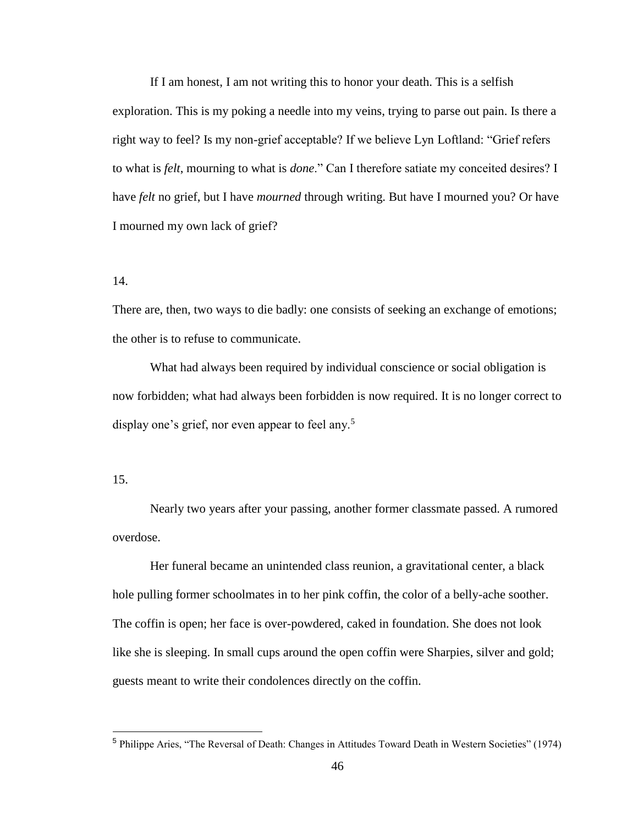If I am honest, I am not writing this to honor your death. This is a selfish exploration. This is my poking a needle into my veins, trying to parse out pain. Is there a right way to feel? Is my non-grief acceptable? If we believe Lyn Loftland: "Grief refers to what is *felt*, mourning to what is *done*." Can I therefore satiate my conceited desires? I have *felt* no grief, but I have *mourned* through writing. But have I mourned you? Or have I mourned my own lack of grief?

## 14.

There are, then, two ways to die badly: one consists of seeking an exchange of emotions; the other is to refuse to communicate.

What had always been required by individual conscience or social obligation is now forbidden; what had always been forbidden is now required. It is no longer correct to display one's grief, nor even appear to feel any.<sup>5</sup>

#### 15.

Nearly two years after your passing, another former classmate passed. A rumored overdose.

Her funeral became an unintended class reunion, a gravitational center, a black hole pulling former schoolmates in to her pink coffin, the color of a belly-ache soother. The coffin is open; her face is over-powdered, caked in foundation. She does not look like she is sleeping. In small cups around the open coffin were Sharpies, silver and gold; guests meant to write their condolences directly on the coffin.

<sup>5</sup> Philippe Aries, "The Reversal of Death: Changes in Attitudes Toward Death in Western Societies" (1974)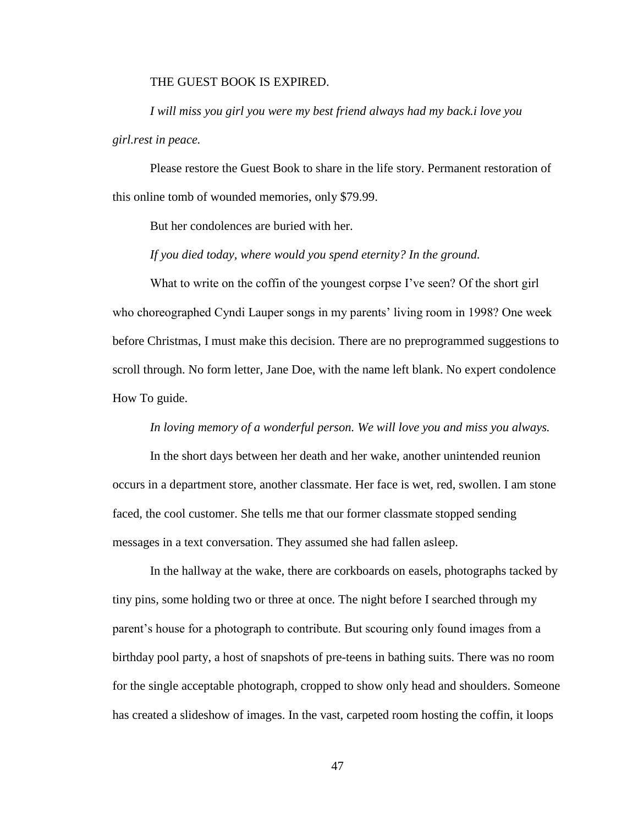## THE GUEST BOOK IS EXPIRED.

*I will miss you girl you were my best friend always had my back.i love you girl.rest in peace.* 

Please restore the Guest Book to share in the life story. Permanent restoration of this online tomb of wounded memories, only \$79.99.

But her condolences are buried with her.

# *If you died today, where would you spend eternity? In the ground.*

What to write on the coffin of the youngest corpse I've seen? Of the short girl who choreographed Cyndi Lauper songs in my parents' living room in 1998? One week before Christmas, I must make this decision. There are no preprogrammed suggestions to scroll through. No form letter, Jane Doe, with the name left blank. No expert condolence How To guide.

#### *In loving memory of a wonderful person. We will love you and miss you always.*

In the short days between her death and her wake, another unintended reunion occurs in a department store, another classmate. Her face is wet, red, swollen. I am stone faced, the cool customer. She tells me that our former classmate stopped sending messages in a text conversation. They assumed she had fallen asleep.

In the hallway at the wake, there are corkboards on easels, photographs tacked by tiny pins, some holding two or three at once. The night before I searched through my parent's house for a photograph to contribute. But scouring only found images from a birthday pool party, a host of snapshots of pre-teens in bathing suits. There was no room for the single acceptable photograph, cropped to show only head and shoulders. Someone has created a slideshow of images. In the vast, carpeted room hosting the coffin, it loops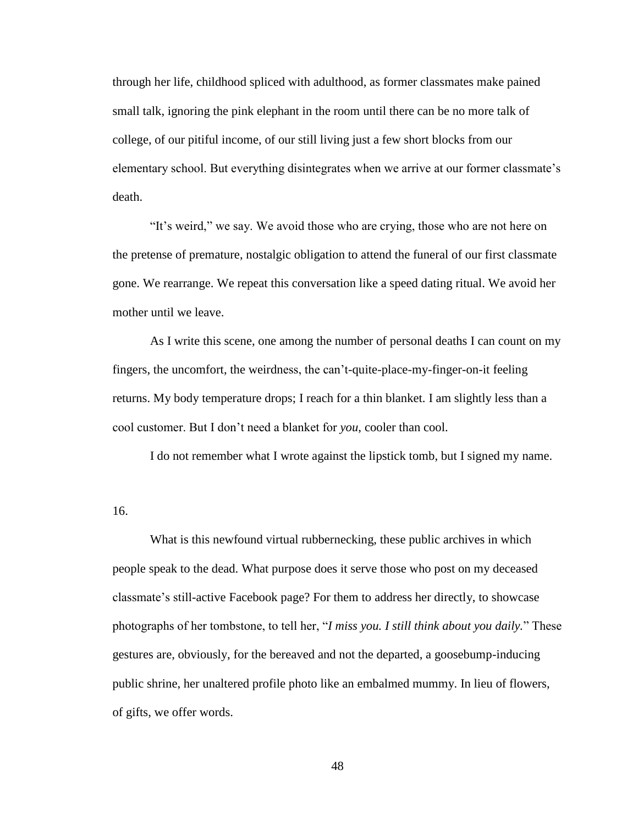through her life, childhood spliced with adulthood, as former classmates make pained small talk, ignoring the pink elephant in the room until there can be no more talk of college, of our pitiful income, of our still living just a few short blocks from our elementary school. But everything disintegrates when we arrive at our former classmate's death.

"It's weird," we say. We avoid those who are crying, those who are not here on the pretense of premature, nostalgic obligation to attend the funeral of our first classmate gone. We rearrange. We repeat this conversation like a speed dating ritual. We avoid her mother until we leave.

As I write this scene, one among the number of personal deaths I can count on my fingers, the uncomfort, the weirdness, the can't-quite-place-my-finger-on-it feeling returns. My body temperature drops; I reach for a thin blanket. I am slightly less than a cool customer. But I don't need a blanket for *you*, cooler than cool.

I do not remember what I wrote against the lipstick tomb, but I signed my name.

16.

What is this newfound virtual rubbernecking, these public archives in which people speak to the dead. What purpose does it serve those who post on my deceased classmate's still-active Facebook page? For them to address her directly, to showcase photographs of her tombstone, to tell her, "*I miss you. I still think about you daily.*" These gestures are, obviously, for the bereaved and not the departed, a goosebump-inducing public shrine, her unaltered profile photo like an embalmed mummy. In lieu of flowers, of gifts, we offer words.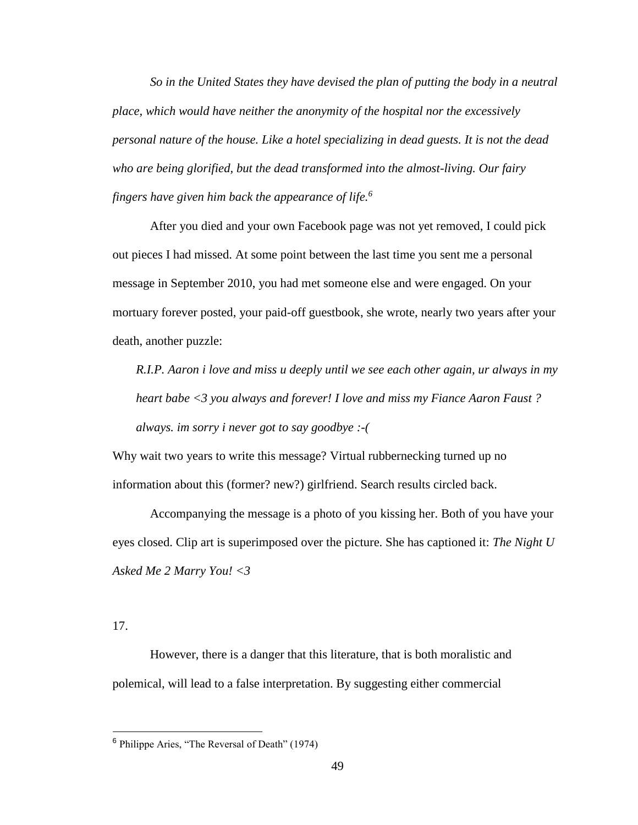*So in the United States they have devised the plan of putting the body in a neutral place, which would have neither the anonymity of the hospital nor the excessively personal nature of the house. Like a hotel specializing in dead guests. It is not the dead who are being glorified, but the dead transformed into the almost-living. Our fairy fingers have given him back the appearance of life.<sup>6</sup>*

After you died and your own Facebook page was not yet removed, I could pick out pieces I had missed. At some point between the last time you sent me a personal message in September 2010, you had met someone else and were engaged. On your mortuary forever posted, your paid-off guestbook, she wrote, nearly two years after your death, another puzzle:

*R.I.P. Aaron i love and miss u deeply until we see each other again, ur always in my heart babe <3 you always and forever! I love and miss my Fiance Aaron Faust ? always. im sorry i never got to say goodbye :-(*

Why wait two years to write this message? Virtual rubbernecking turned up no information about this (former? new?) girlfriend. Search results circled back.

Accompanying the message is a photo of you kissing her. Both of you have your eyes closed. Clip art is superimposed over the picture. She has captioned it: *The Night U Asked Me 2 Marry You! <3*

17.

However, there is a danger that this literature, that is both moralistic and polemical, will lead to a false interpretation. By suggesting either commercial

<sup>6</sup> Philippe Aries, "The Reversal of Death" (1974)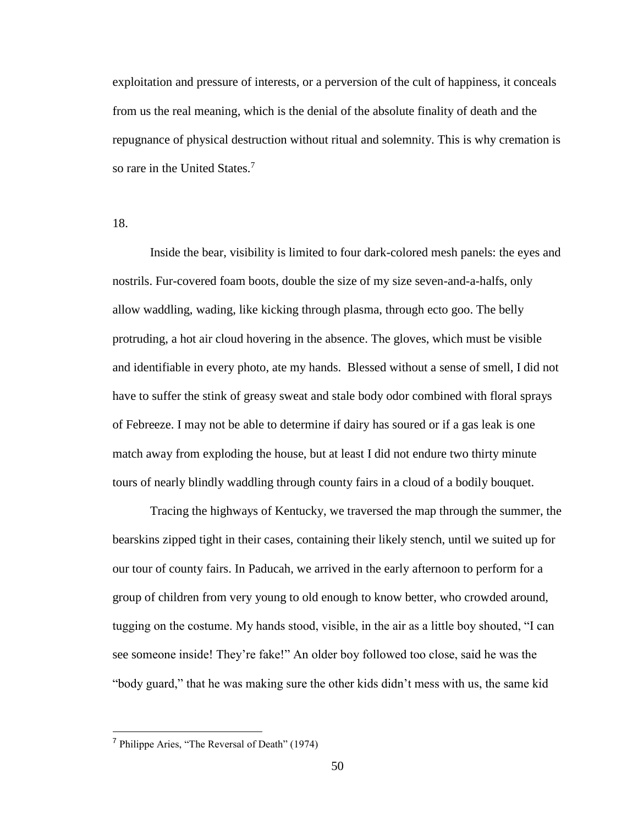exploitation and pressure of interests, or a perversion of the cult of happiness, it conceals from us the real meaning, which is the denial of the absolute finality of death and the repugnance of physical destruction without ritual and solemnity. This is why cremation is so rare in the United States.<sup>7</sup>

18.

Inside the bear, visibility is limited to four dark-colored mesh panels: the eyes and nostrils. Fur-covered foam boots, double the size of my size seven-and-a-halfs, only allow waddling, wading, like kicking through plasma, through ecto goo. The belly protruding, a hot air cloud hovering in the absence. The gloves, which must be visible and identifiable in every photo, ate my hands. Blessed without a sense of smell, I did not have to suffer the stink of greasy sweat and stale body odor combined with floral sprays of Febreeze. I may not be able to determine if dairy has soured or if a gas leak is one match away from exploding the house, but at least I did not endure two thirty minute tours of nearly blindly waddling through county fairs in a cloud of a bodily bouquet.

Tracing the highways of Kentucky, we traversed the map through the summer, the bearskins zipped tight in their cases, containing their likely stench, until we suited up for our tour of county fairs. In Paducah, we arrived in the early afternoon to perform for a group of children from very young to old enough to know better, who crowded around, tugging on the costume. My hands stood, visible, in the air as a little boy shouted, "I can see someone inside! They're fake!" An older boy followed too close, said he was the "body guard," that he was making sure the other kids didn't mess with us, the same kid

<sup>7</sup> Philippe Aries, "The Reversal of Death" (1974)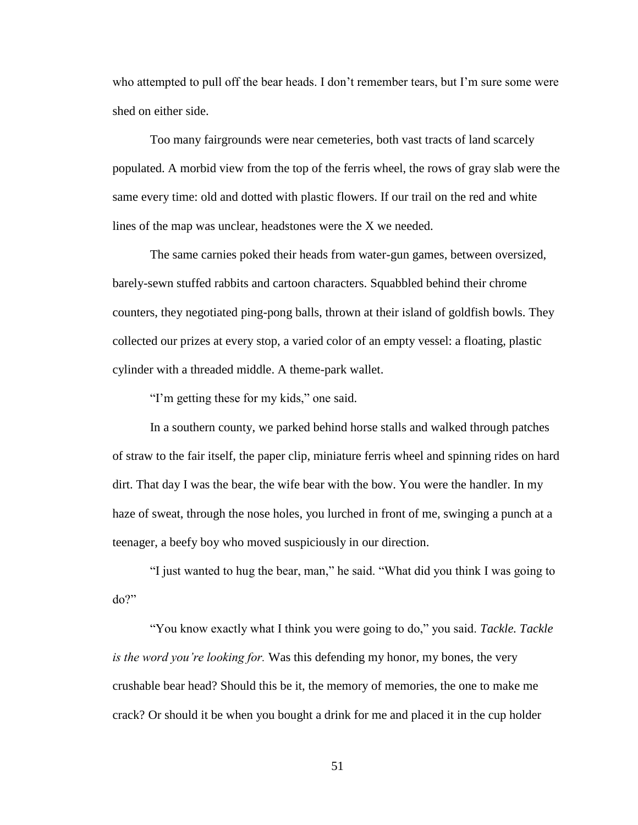who attempted to pull off the bear heads. I don't remember tears, but I'm sure some were shed on either side.

Too many fairgrounds were near cemeteries, both vast tracts of land scarcely populated. A morbid view from the top of the ferris wheel, the rows of gray slab were the same every time: old and dotted with plastic flowers. If our trail on the red and white lines of the map was unclear, headstones were the X we needed.

The same carnies poked their heads from water-gun games, between oversized, barely-sewn stuffed rabbits and cartoon characters. Squabbled behind their chrome counters, they negotiated ping-pong balls, thrown at their island of goldfish bowls. They collected our prizes at every stop, a varied color of an empty vessel: a floating, plastic cylinder with a threaded middle. A theme-park wallet.

"I'm getting these for my kids," one said.

In a southern county, we parked behind horse stalls and walked through patches of straw to the fair itself, the paper clip, miniature ferris wheel and spinning rides on hard dirt. That day I was the bear, the wife bear with the bow. You were the handler. In my haze of sweat, through the nose holes, you lurched in front of me, swinging a punch at a teenager, a beefy boy who moved suspiciously in our direction.

"I just wanted to hug the bear, man," he said. "What did you think I was going to do?"

"You know exactly what I think you were going to do," you said. *Tackle. Tackle is the word you're looking for.* Was this defending my honor, my bones, the very crushable bear head? Should this be it, the memory of memories, the one to make me crack? Or should it be when you bought a drink for me and placed it in the cup holder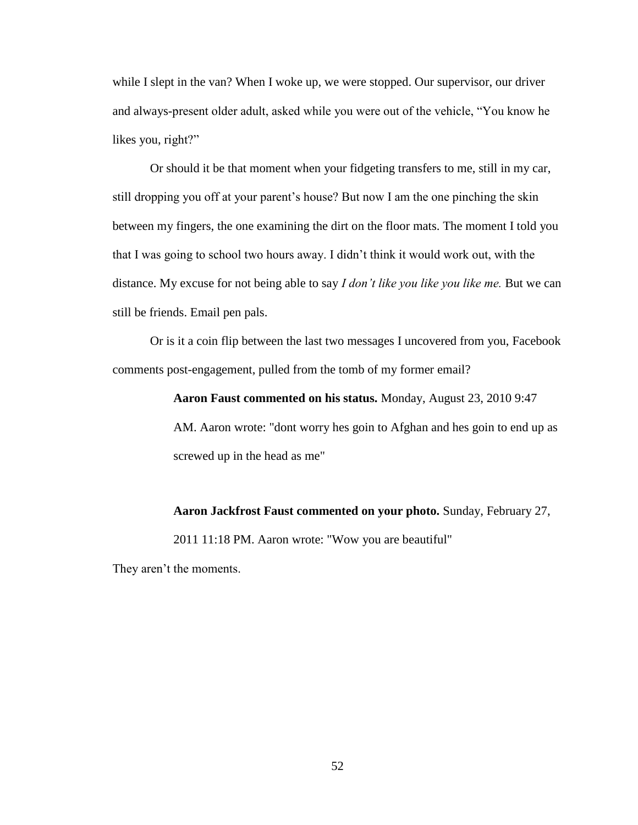while I slept in the van? When I woke up, we were stopped. Our supervisor, our driver and always-present older adult, asked while you were out of the vehicle, "You know he likes you, right?"

Or should it be that moment when your fidgeting transfers to me, still in my car, still dropping you off at your parent's house? But now I am the one pinching the skin between my fingers, the one examining the dirt on the floor mats. The moment I told you that I was going to school two hours away. I didn't think it would work out, with the distance. My excuse for not being able to say *I don't like you like you like me.* But we can still be friends. Email pen pals.

Or is it a coin flip between the last two messages I uncovered from you, Facebook comments post-engagement, pulled from the tomb of my former email?

**Aaron Faust commented on his status.** Monday, August 23, 2010 9:47

AM. Aaron wrote: "dont worry hes goin to Afghan and hes goin to end up as screwed up in the head as me"

**Aaron Jackfrost Faust commented on your photo.** Sunday, February 27,

2011 11:18 PM. Aaron wrote: "Wow you are beautiful"

They aren't the moments.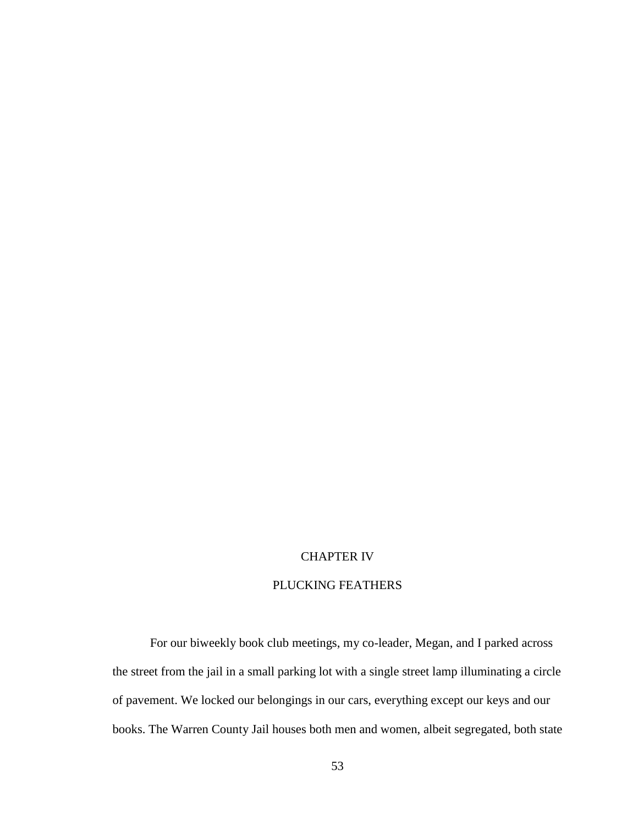# CHAPTER IV

# PLUCKING FEATHERS

For our biweekly book club meetings, my co-leader, Megan, and I parked across the street from the jail in a small parking lot with a single street lamp illuminating a circle of pavement. We locked our belongings in our cars, everything except our keys and our books. The Warren County Jail houses both men and women, albeit segregated, both state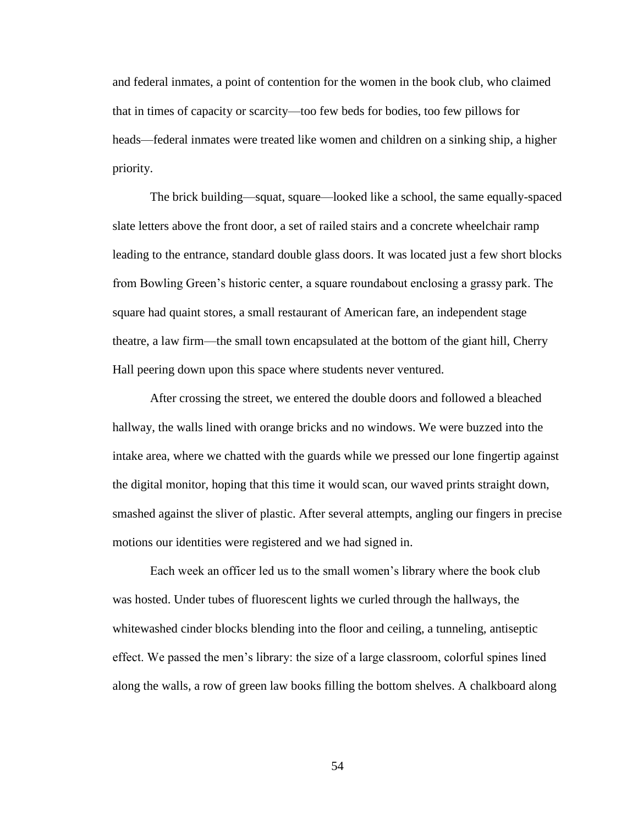and federal inmates, a point of contention for the women in the book club, who claimed that in times of capacity or scarcity—too few beds for bodies, too few pillows for heads—federal inmates were treated like women and children on a sinking ship, a higher priority.

The brick building—squat, square—looked like a school, the same equally-spaced slate letters above the front door, a set of railed stairs and a concrete wheelchair ramp leading to the entrance, standard double glass doors. It was located just a few short blocks from Bowling Green's historic center, a square roundabout enclosing a grassy park. The square had quaint stores, a small restaurant of American fare, an independent stage theatre, a law firm—the small town encapsulated at the bottom of the giant hill, Cherry Hall peering down upon this space where students never ventured.

After crossing the street, we entered the double doors and followed a bleached hallway, the walls lined with orange bricks and no windows. We were buzzed into the intake area, where we chatted with the guards while we pressed our lone fingertip against the digital monitor, hoping that this time it would scan, our waved prints straight down, smashed against the sliver of plastic. After several attempts, angling our fingers in precise motions our identities were registered and we had signed in.

Each week an officer led us to the small women's library where the book club was hosted. Under tubes of fluorescent lights we curled through the hallways, the whitewashed cinder blocks blending into the floor and ceiling, a tunneling, antiseptic effect. We passed the men's library: the size of a large classroom, colorful spines lined along the walls, a row of green law books filling the bottom shelves. A chalkboard along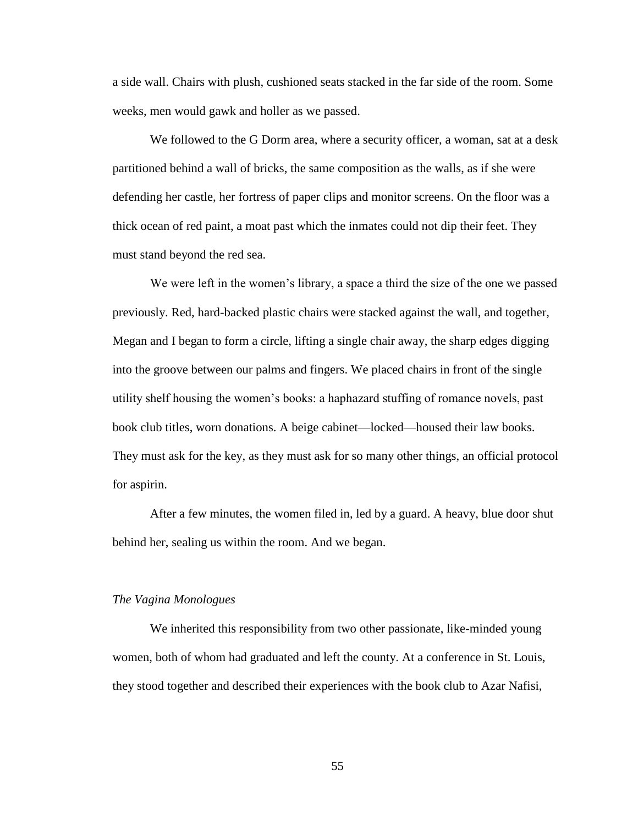a side wall. Chairs with plush, cushioned seats stacked in the far side of the room. Some weeks, men would gawk and holler as we passed.

We followed to the G Dorm area, where a security officer, a woman, sat at a desk partitioned behind a wall of bricks, the same composition as the walls, as if she were defending her castle, her fortress of paper clips and monitor screens. On the floor was a thick ocean of red paint, a moat past which the inmates could not dip their feet. They must stand beyond the red sea.

We were left in the women's library, a space a third the size of the one we passed previously. Red, hard-backed plastic chairs were stacked against the wall, and together, Megan and I began to form a circle, lifting a single chair away, the sharp edges digging into the groove between our palms and fingers. We placed chairs in front of the single utility shelf housing the women's books: a haphazard stuffing of romance novels, past book club titles, worn donations. A beige cabinet—locked—housed their law books. They must ask for the key, as they must ask for so many other things, an official protocol for aspirin.

After a few minutes, the women filed in, led by a guard. A heavy, blue door shut behind her, sealing us within the room. And we began.

#### *The Vagina Monologues*

We inherited this responsibility from two other passionate, like-minded young women, both of whom had graduated and left the county. At a conference in St. Louis, they stood together and described their experiences with the book club to Azar Nafisi,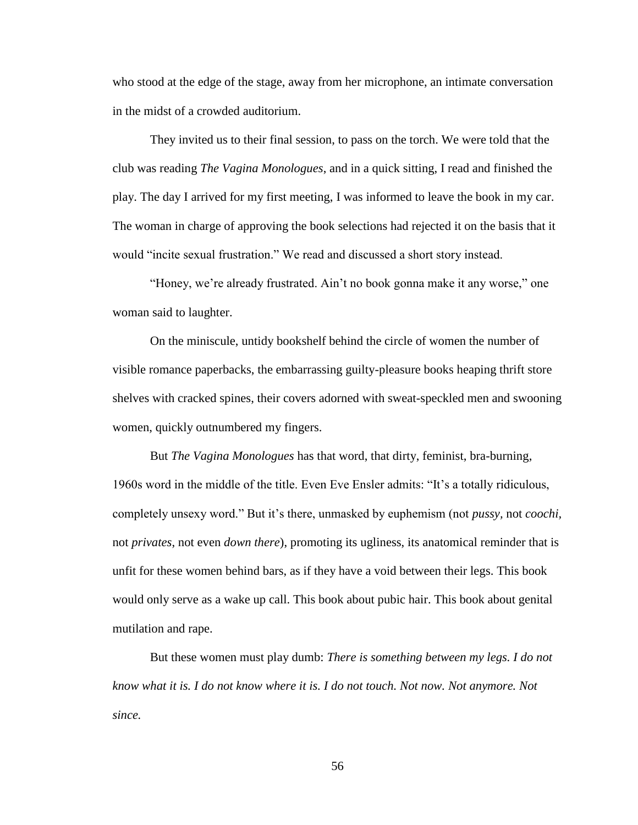who stood at the edge of the stage, away from her microphone, an intimate conversation in the midst of a crowded auditorium.

They invited us to their final session, to pass on the torch. We were told that the club was reading *The Vagina Monologues*, and in a quick sitting, I read and finished the play. The day I arrived for my first meeting, I was informed to leave the book in my car. The woman in charge of approving the book selections had rejected it on the basis that it would "incite sexual frustration." We read and discussed a short story instead.

"Honey, we're already frustrated. Ain't no book gonna make it any worse," one woman said to laughter.

On the miniscule, untidy bookshelf behind the circle of women the number of visible romance paperbacks, the embarrassing guilty-pleasure books heaping thrift store shelves with cracked spines, their covers adorned with sweat-speckled men and swooning women, quickly outnumbered my fingers.

But *The Vagina Monologues* has that word, that dirty, feminist, bra-burning, 1960s word in the middle of the title. Even Eve Ensler admits: "It's a totally ridiculous, completely unsexy word." But it's there, unmasked by euphemism (not *pussy,* not *coochi,*  not *privates*, not even *down there*), promoting its ugliness, its anatomical reminder that is unfit for these women behind bars, as if they have a void between their legs. This book would only serve as a wake up call. This book about pubic hair. This book about genital mutilation and rape.

But these women must play dumb: *There is something between my legs. I do not know what it is. I do not know where it is. I do not touch. Not now. Not anymore. Not since.*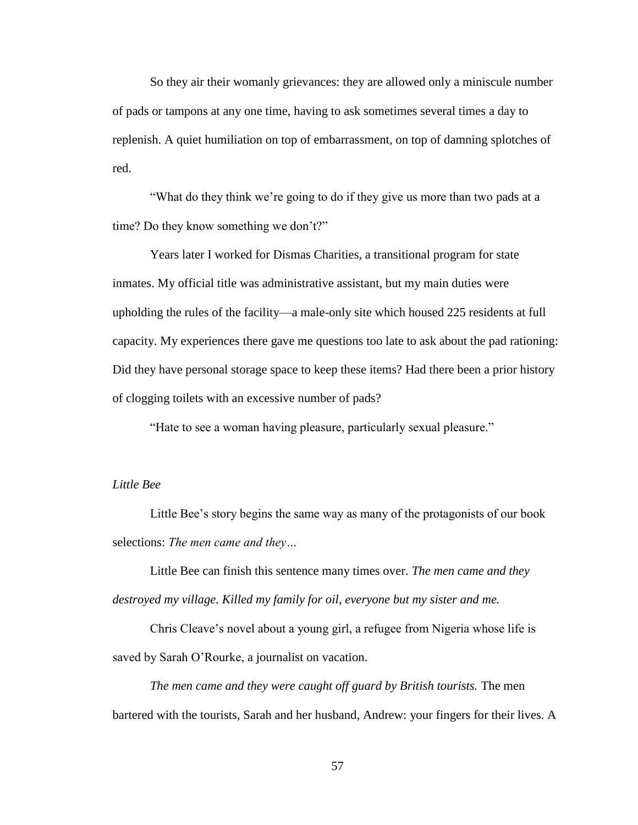So they air their womanly grievances: they are allowed only a miniscule number of pads or tampons at any one time, having to ask sometimes several times a day to replenish. A quiet humiliation on top of embarrassment, on top of damning splotches of red.

"What do they think we're going to do if they give us more than two pads at a time? Do they know something we don't?"

Years later I worked for Dismas Charities, a transitional program for state inmates. My official title was administrative assistant, but my main duties were upholding the rules of the facility—a male-only site which housed 225 residents at full capacity. My experiences there gave me questions too late to ask about the pad rationing: Did they have personal storage space to keep these items? Had there been a prior history of clogging toilets with an excessive number of pads?

"Hate to see a woman having pleasure, particularly sexual pleasure."

### *Little Bee*

Little Bee's story begins the same way as many of the protagonists of our book selections: *The men came and they…*

Little Bee can finish this sentence many times over. *The men came and they destroyed my village. Killed my family for oil, everyone but my sister and me.*

Chris Cleave's novel about a young girl, a refugee from Nigeria whose life is saved by Sarah O'Rourke, a journalist on vacation.

*The men came and they were caught off guard by British tourists.* The men bartered with the tourists, Sarah and her husband, Andrew: your fingers for their lives. A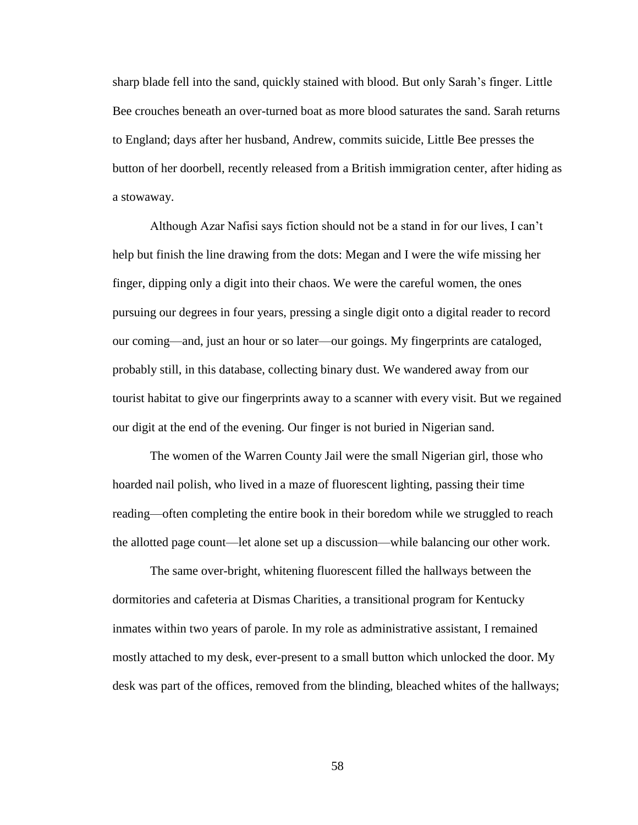sharp blade fell into the sand, quickly stained with blood. But only Sarah's finger. Little Bee crouches beneath an over-turned boat as more blood saturates the sand. Sarah returns to England; days after her husband, Andrew, commits suicide, Little Bee presses the button of her doorbell, recently released from a British immigration center, after hiding as a stowaway.

Although Azar Nafisi says fiction should not be a stand in for our lives, I can't help but finish the line drawing from the dots: Megan and I were the wife missing her finger, dipping only a digit into their chaos. We were the careful women, the ones pursuing our degrees in four years, pressing a single digit onto a digital reader to record our coming—and, just an hour or so later—our goings. My fingerprints are cataloged, probably still, in this database, collecting binary dust. We wandered away from our tourist habitat to give our fingerprints away to a scanner with every visit. But we regained our digit at the end of the evening. Our finger is not buried in Nigerian sand.

The women of the Warren County Jail were the small Nigerian girl, those who hoarded nail polish, who lived in a maze of fluorescent lighting, passing their time reading—often completing the entire book in their boredom while we struggled to reach the allotted page count—let alone set up a discussion—while balancing our other work.

The same over-bright, whitening fluorescent filled the hallways between the dormitories and cafeteria at Dismas Charities, a transitional program for Kentucky inmates within two years of parole. In my role as administrative assistant, I remained mostly attached to my desk, ever-present to a small button which unlocked the door. My desk was part of the offices, removed from the blinding, bleached whites of the hallways;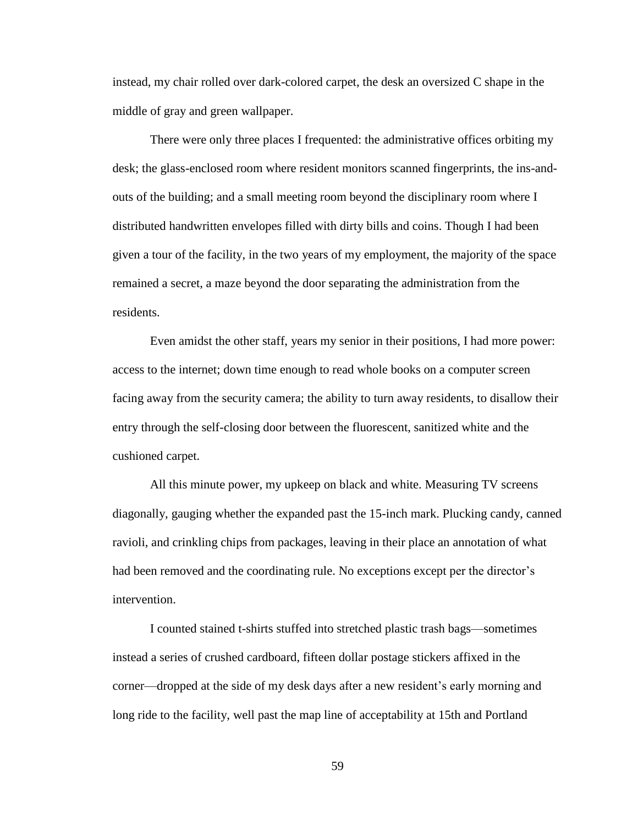instead, my chair rolled over dark-colored carpet, the desk an oversized C shape in the middle of gray and green wallpaper.

There were only three places I frequented: the administrative offices orbiting my desk; the glass-enclosed room where resident monitors scanned fingerprints, the ins-andouts of the building; and a small meeting room beyond the disciplinary room where I distributed handwritten envelopes filled with dirty bills and coins. Though I had been given a tour of the facility, in the two years of my employment, the majority of the space remained a secret, a maze beyond the door separating the administration from the residents.

Even amidst the other staff, years my senior in their positions, I had more power: access to the internet; down time enough to read whole books on a computer screen facing away from the security camera; the ability to turn away residents, to disallow their entry through the self-closing door between the fluorescent, sanitized white and the cushioned carpet.

All this minute power, my upkeep on black and white. Measuring TV screens diagonally, gauging whether the expanded past the 15-inch mark. Plucking candy, canned ravioli, and crinkling chips from packages, leaving in their place an annotation of what had been removed and the coordinating rule. No exceptions except per the director's intervention.

I counted stained t-shirts stuffed into stretched plastic trash bags—sometimes instead a series of crushed cardboard, fifteen dollar postage stickers affixed in the corner—dropped at the side of my desk days after a new resident's early morning and long ride to the facility, well past the map line of acceptability at 15th and Portland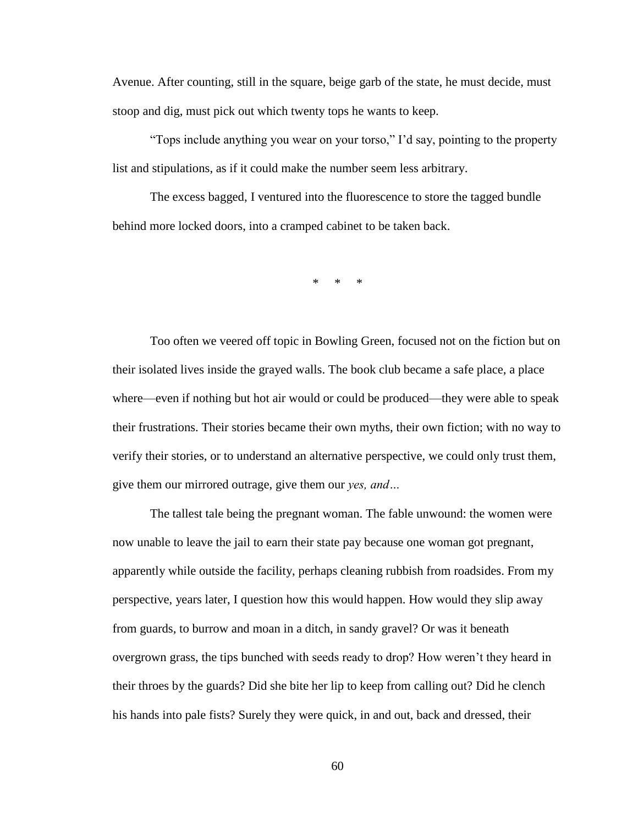Avenue. After counting, still in the square, beige garb of the state, he must decide, must stoop and dig, must pick out which twenty tops he wants to keep.

"Tops include anything you wear on your torso," I'd say, pointing to the property list and stipulations, as if it could make the number seem less arbitrary.

The excess bagged, I ventured into the fluorescence to store the tagged bundle behind more locked doors, into a cramped cabinet to be taken back.

\* \* \*

Too often we veered off topic in Bowling Green, focused not on the fiction but on their isolated lives inside the grayed walls. The book club became a safe place, a place where—even if nothing but hot air would or could be produced—they were able to speak their frustrations. Their stories became their own myths, their own fiction; with no way to verify their stories, or to understand an alternative perspective, we could only trust them, give them our mirrored outrage, give them our *yes, and…*

The tallest tale being the pregnant woman. The fable unwound: the women were now unable to leave the jail to earn their state pay because one woman got pregnant, apparently while outside the facility, perhaps cleaning rubbish from roadsides. From my perspective, years later, I question how this would happen. How would they slip away from guards, to burrow and moan in a ditch, in sandy gravel? Or was it beneath overgrown grass, the tips bunched with seeds ready to drop? How weren't they heard in their throes by the guards? Did she bite her lip to keep from calling out? Did he clench his hands into pale fists? Surely they were quick, in and out, back and dressed, their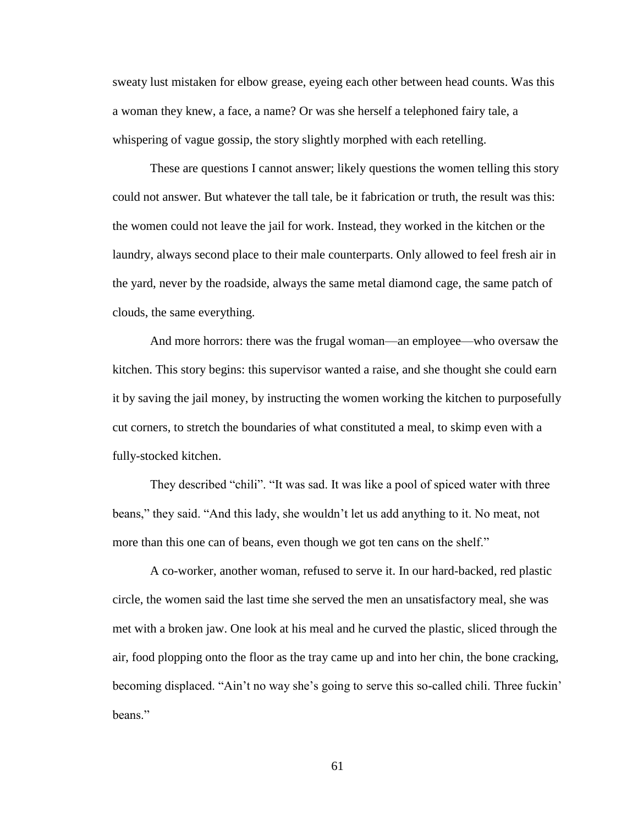sweaty lust mistaken for elbow grease, eyeing each other between head counts. Was this a woman they knew, a face, a name? Or was she herself a telephoned fairy tale, a whispering of vague gossip, the story slightly morphed with each retelling.

These are questions I cannot answer; likely questions the women telling this story could not answer. But whatever the tall tale, be it fabrication or truth, the result was this: the women could not leave the jail for work. Instead, they worked in the kitchen or the laundry, always second place to their male counterparts. Only allowed to feel fresh air in the yard, never by the roadside, always the same metal diamond cage, the same patch of clouds, the same everything.

And more horrors: there was the frugal woman—an employee—who oversaw the kitchen. This story begins: this supervisor wanted a raise, and she thought she could earn it by saving the jail money, by instructing the women working the kitchen to purposefully cut corners, to stretch the boundaries of what constituted a meal, to skimp even with a fully-stocked kitchen.

They described "chili". "It was sad. It was like a pool of spiced water with three beans," they said. "And this lady, she wouldn't let us add anything to it. No meat, not more than this one can of beans, even though we got ten cans on the shelf."

A co-worker, another woman, refused to serve it. In our hard-backed, red plastic circle, the women said the last time she served the men an unsatisfactory meal, she was met with a broken jaw. One look at his meal and he curved the plastic, sliced through the air, food plopping onto the floor as the tray came up and into her chin, the bone cracking, becoming displaced. "Ain't no way she's going to serve this so-called chili. Three fuckin' beans."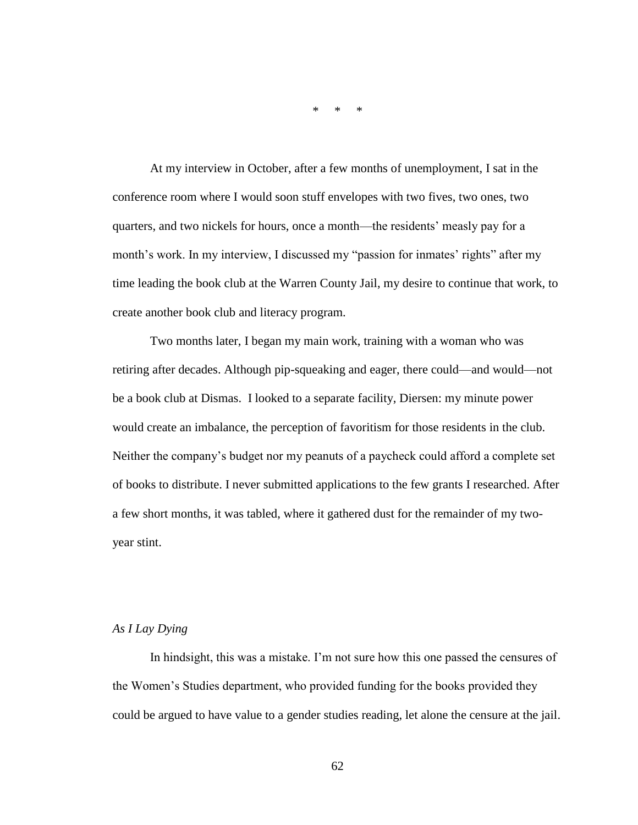\* \* \*

At my interview in October, after a few months of unemployment, I sat in the conference room where I would soon stuff envelopes with two fives, two ones, two quarters, and two nickels for hours, once a month—the residents' measly pay for a month's work. In my interview, I discussed my "passion for inmates' rights" after my time leading the book club at the Warren County Jail, my desire to continue that work, to create another book club and literacy program.

Two months later, I began my main work, training with a woman who was retiring after decades. Although pip-squeaking and eager, there could—and would—not be a book club at Dismas. I looked to a separate facility, Diersen: my minute power would create an imbalance, the perception of favoritism for those residents in the club. Neither the company's budget nor my peanuts of a paycheck could afford a complete set of books to distribute. I never submitted applications to the few grants I researched. After a few short months, it was tabled, where it gathered dust for the remainder of my twoyear stint.

#### *As I Lay Dying*

In hindsight, this was a mistake. I'm not sure how this one passed the censures of the Women's Studies department, who provided funding for the books provided they could be argued to have value to a gender studies reading, let alone the censure at the jail.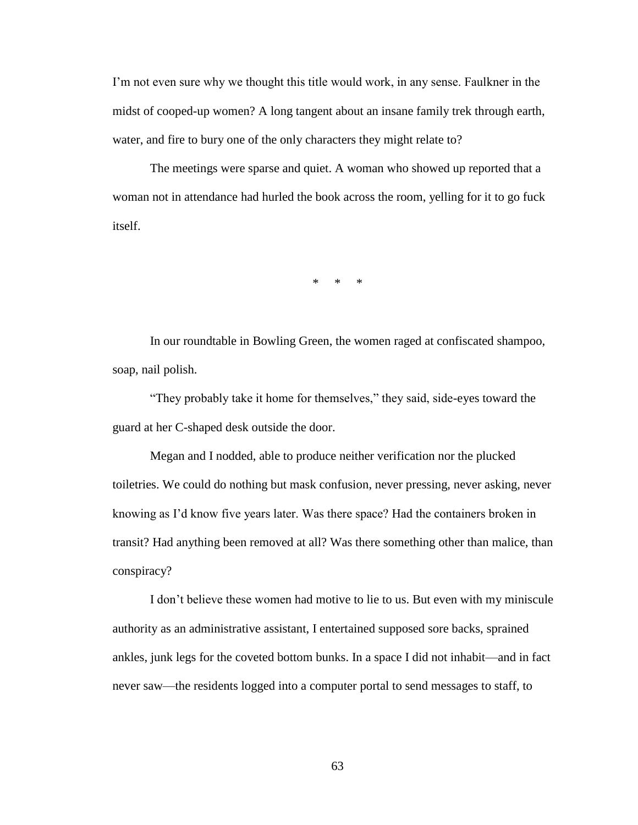I'm not even sure why we thought this title would work, in any sense. Faulkner in the midst of cooped-up women? A long tangent about an insane family trek through earth, water, and fire to bury one of the only characters they might relate to?

The meetings were sparse and quiet. A woman who showed up reported that a woman not in attendance had hurled the book across the room, yelling for it to go fuck itself.

\* \* \*

In our roundtable in Bowling Green, the women raged at confiscated shampoo, soap, nail polish.

"They probably take it home for themselves," they said, side-eyes toward the guard at her C-shaped desk outside the door.

Megan and I nodded, able to produce neither verification nor the plucked toiletries. We could do nothing but mask confusion, never pressing, never asking, never knowing as I'd know five years later. Was there space? Had the containers broken in transit? Had anything been removed at all? Was there something other than malice, than conspiracy?

I don't believe these women had motive to lie to us. But even with my miniscule authority as an administrative assistant, I entertained supposed sore backs, sprained ankles, junk legs for the coveted bottom bunks. In a space I did not inhabit—and in fact never saw—the residents logged into a computer portal to send messages to staff, to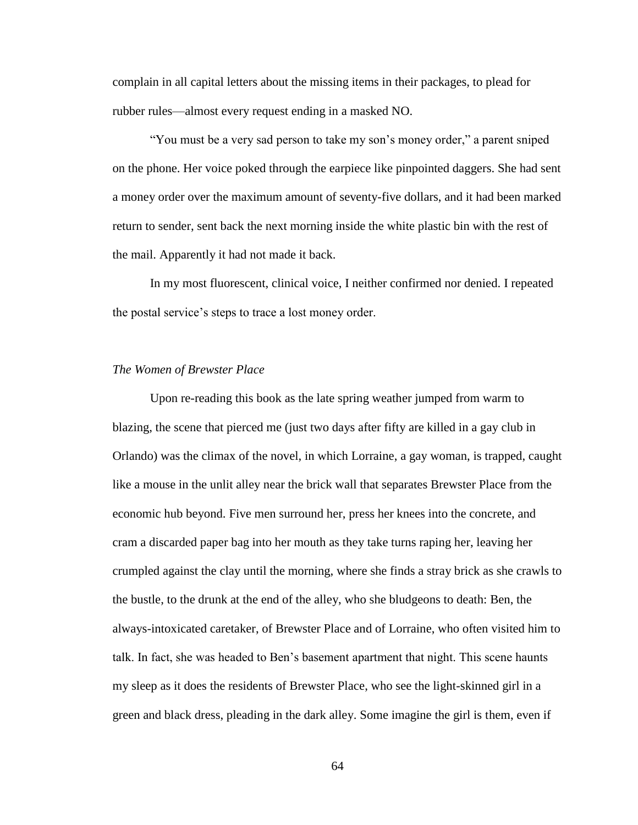complain in all capital letters about the missing items in their packages, to plead for rubber rules—almost every request ending in a masked NO.

"You must be a very sad person to take my son's money order," a parent sniped on the phone. Her voice poked through the earpiece like pinpointed daggers. She had sent a money order over the maximum amount of seventy-five dollars, and it had been marked return to sender, sent back the next morning inside the white plastic bin with the rest of the mail. Apparently it had not made it back.

In my most fluorescent, clinical voice, I neither confirmed nor denied. I repeated the postal service's steps to trace a lost money order.

#### *The Women of Brewster Place*

Upon re-reading this book as the late spring weather jumped from warm to blazing, the scene that pierced me (just two days after fifty are killed in a gay club in Orlando) was the climax of the novel, in which Lorraine, a gay woman, is trapped, caught like a mouse in the unlit alley near the brick wall that separates Brewster Place from the economic hub beyond. Five men surround her, press her knees into the concrete, and cram a discarded paper bag into her mouth as they take turns raping her, leaving her crumpled against the clay until the morning, where she finds a stray brick as she crawls to the bustle, to the drunk at the end of the alley, who she bludgeons to death: Ben, the always-intoxicated caretaker, of Brewster Place and of Lorraine, who often visited him to talk. In fact, she was headed to Ben's basement apartment that night. This scene haunts my sleep as it does the residents of Brewster Place, who see the light-skinned girl in a green and black dress, pleading in the dark alley. Some imagine the girl is them, even if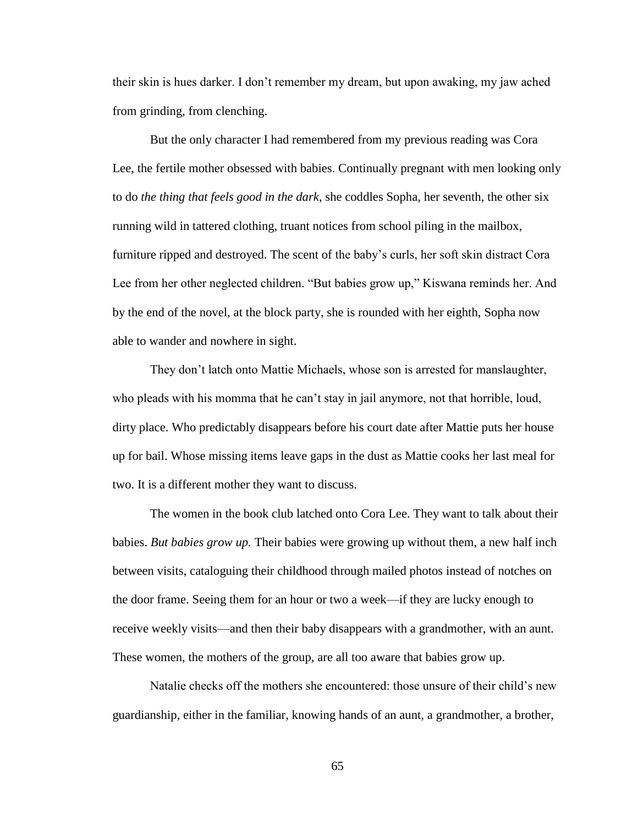their skin is hues darker. I don't remember my dream, but upon awaking, my jaw ached from grinding, from clenching.

But the only character I had remembered from my previous reading was Cora Lee, the fertile mother obsessed with babies. Continually pregnant with men looking only to do *the thing that feels good in the dark*, she coddles Sopha, her seventh, the other six running wild in tattered clothing, truant notices from school piling in the mailbox, furniture ripped and destroyed. The scent of the baby's curls, her soft skin distract Cora Lee from her other neglected children. "But babies grow up," Kiswana reminds her. And by the end of the novel, at the block party, she is rounded with her eighth, Sopha now able to wander and nowhere in sight.

They don't latch onto Mattie Michaels, whose son is arrested for manslaughter, who pleads with his momma that he can't stay in jail anymore, not that horrible, loud, dirty place. Who predictably disappears before his court date after Mattie puts her house up for bail. Whose missing items leave gaps in the dust as Mattie cooks her last meal for two. It is a different mother they want to discuss.

The women in the book club latched onto Cora Lee. They want to talk about their babies. *But babies grow up.* Their babies were growing up without them, a new half inch between visits, cataloguing their childhood through mailed photos instead of notches on the door frame. Seeing them for an hour or two a week—if they are lucky enough to receive weekly visits—and then their baby disappears with a grandmother, with an aunt. These women, the mothers of the group, are all too aware that babies grow up.

Natalie checks off the mothers she encountered: those unsure of their child's new guardianship, either in the familiar, knowing hands of an aunt, a grandmother, a brother,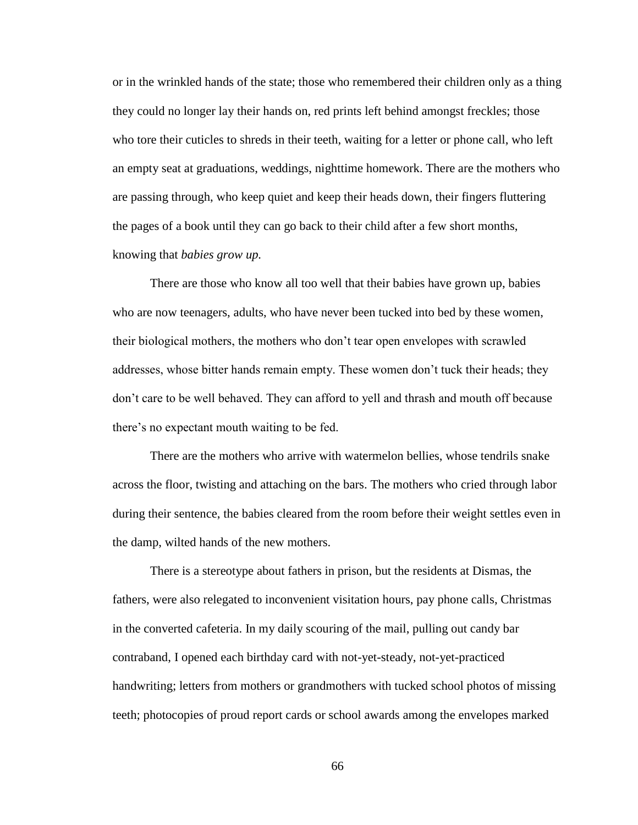or in the wrinkled hands of the state; those who remembered their children only as a thing they could no longer lay their hands on, red prints left behind amongst freckles; those who tore their cuticles to shreds in their teeth, waiting for a letter or phone call, who left an empty seat at graduations, weddings, nighttime homework. There are the mothers who are passing through, who keep quiet and keep their heads down, their fingers fluttering the pages of a book until they can go back to their child after a few short months, knowing that *babies grow up.* 

There are those who know all too well that their babies have grown up, babies who are now teenagers, adults, who have never been tucked into bed by these women, their biological mothers, the mothers who don't tear open envelopes with scrawled addresses, whose bitter hands remain empty. These women don't tuck their heads; they don't care to be well behaved. They can afford to yell and thrash and mouth off because there's no expectant mouth waiting to be fed.

There are the mothers who arrive with watermelon bellies, whose tendrils snake across the floor, twisting and attaching on the bars. The mothers who cried through labor during their sentence, the babies cleared from the room before their weight settles even in the damp, wilted hands of the new mothers.

There is a stereotype about fathers in prison, but the residents at Dismas, the fathers, were also relegated to inconvenient visitation hours, pay phone calls, Christmas in the converted cafeteria. In my daily scouring of the mail, pulling out candy bar contraband, I opened each birthday card with not-yet-steady, not-yet-practiced handwriting; letters from mothers or grandmothers with tucked school photos of missing teeth; photocopies of proud report cards or school awards among the envelopes marked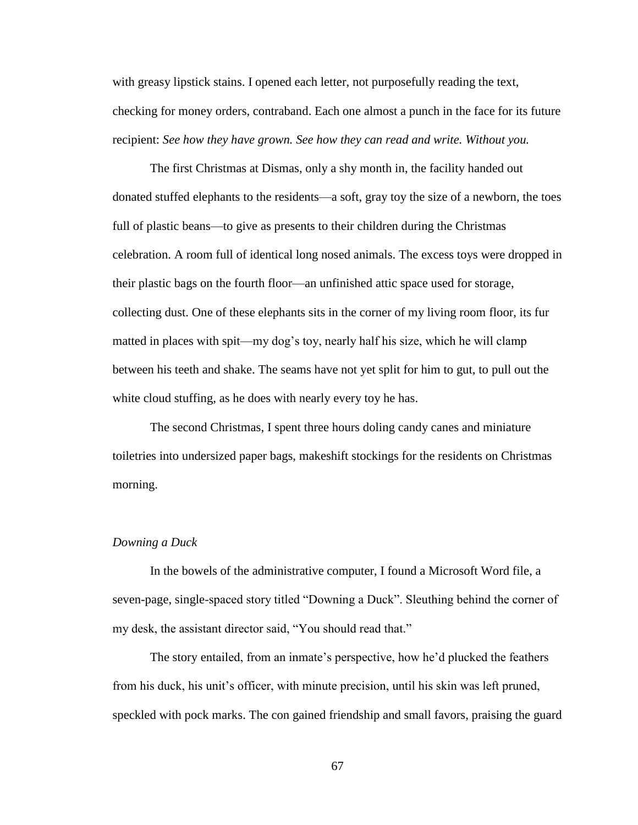with greasy lipstick stains. I opened each letter, not purposefully reading the text, checking for money orders, contraband. Each one almost a punch in the face for its future recipient: *See how they have grown. See how they can read and write. Without you.*

The first Christmas at Dismas, only a shy month in, the facility handed out donated stuffed elephants to the residents—a soft, gray toy the size of a newborn, the toes full of plastic beans—to give as presents to their children during the Christmas celebration. A room full of identical long nosed animals. The excess toys were dropped in their plastic bags on the fourth floor—an unfinished attic space used for storage, collecting dust. One of these elephants sits in the corner of my living room floor, its fur matted in places with spit—my dog's toy, nearly half his size, which he will clamp between his teeth and shake. The seams have not yet split for him to gut, to pull out the white cloud stuffing, as he does with nearly every toy he has.

The second Christmas, I spent three hours doling candy canes and miniature toiletries into undersized paper bags, makeshift stockings for the residents on Christmas morning.

#### *Downing a Duck*

In the bowels of the administrative computer, I found a Microsoft Word file, a seven-page, single-spaced story titled "Downing a Duck". Sleuthing behind the corner of my desk, the assistant director said, "You should read that."

The story entailed, from an inmate's perspective, how he'd plucked the feathers from his duck, his unit's officer, with minute precision, until his skin was left pruned, speckled with pock marks. The con gained friendship and small favors, praising the guard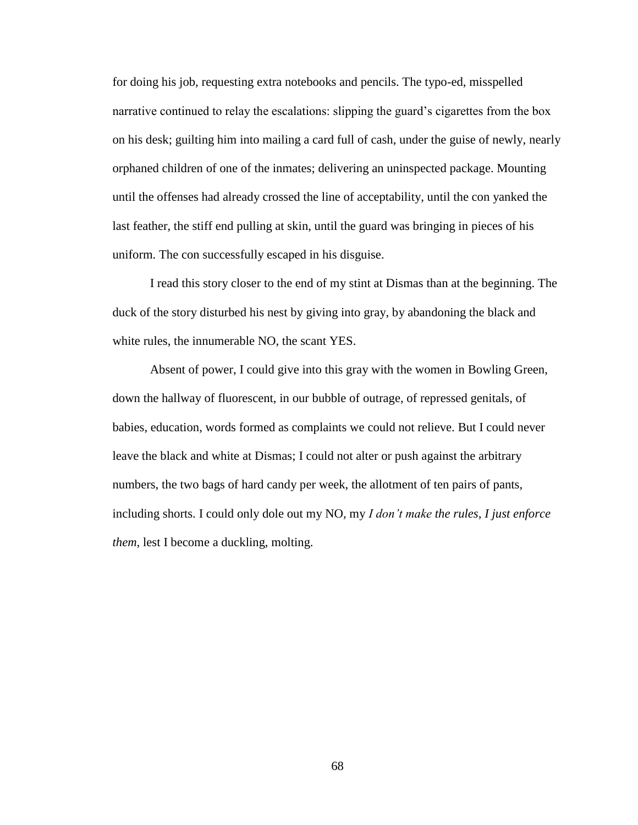for doing his job, requesting extra notebooks and pencils. The typo-ed, misspelled narrative continued to relay the escalations: slipping the guard's cigarettes from the box on his desk; guilting him into mailing a card full of cash, under the guise of newly, nearly orphaned children of one of the inmates; delivering an uninspected package. Mounting until the offenses had already crossed the line of acceptability, until the con yanked the last feather, the stiff end pulling at skin, until the guard was bringing in pieces of his uniform. The con successfully escaped in his disguise.

I read this story closer to the end of my stint at Dismas than at the beginning. The duck of the story disturbed his nest by giving into gray, by abandoning the black and white rules, the innumerable NO, the scant YES.

Absent of power, I could give into this gray with the women in Bowling Green, down the hallway of fluorescent, in our bubble of outrage, of repressed genitals, of babies, education, words formed as complaints we could not relieve. But I could never leave the black and white at Dismas; I could not alter or push against the arbitrary numbers, the two bags of hard candy per week, the allotment of ten pairs of pants, including shorts. I could only dole out my NO, my *I don't make the rules, I just enforce them, lest I become a duckling, molting.*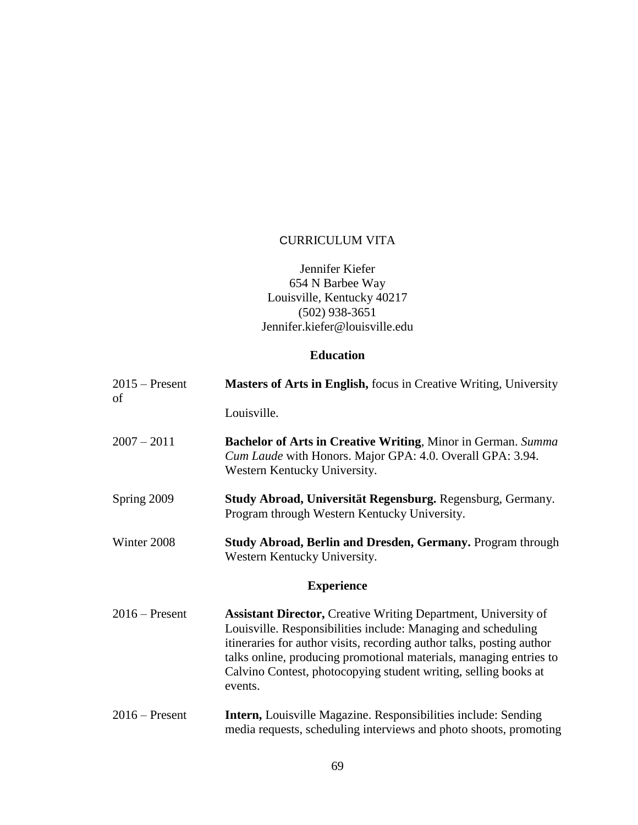# CURRICULUM VITA

#### Jennifer Kiefer 654 N Barbee Way Louisville, Kentucky 40217 (502) 938-3651 Jennifer.kiefer@louisville.edu

## **Education**

| $2015$ – Present<br>of | <b>Masters of Arts in English, focus in Creative Writing, University</b>                                                                                                                                                                                                                                                                                            |
|------------------------|---------------------------------------------------------------------------------------------------------------------------------------------------------------------------------------------------------------------------------------------------------------------------------------------------------------------------------------------------------------------|
|                        | Louisville.                                                                                                                                                                                                                                                                                                                                                         |
| $2007 - 2011$          | <b>Bachelor of Arts in Creative Writing, Minor in German. Summa</b><br>Cum Laude with Honors. Major GPA: 4.0. Overall GPA: 3.94.<br>Western Kentucky University.                                                                                                                                                                                                    |
| Spring 2009            | Study Abroad, Universität Regensburg. Regensburg, Germany.<br>Program through Western Kentucky University.                                                                                                                                                                                                                                                          |
| Winter 2008            | <b>Study Abroad, Berlin and Dresden, Germany. Program through</b><br>Western Kentucky University.                                                                                                                                                                                                                                                                   |
|                        | <b>Experience</b>                                                                                                                                                                                                                                                                                                                                                   |
| $2016$ – Present       | <b>Assistant Director, Creative Writing Department, University of</b><br>Louisville. Responsibilities include: Managing and scheduling<br>itineraries for author visits, recording author talks, posting author<br>talks online, producing promotional materials, managing entries to<br>Calvino Contest, photocopying student writing, selling books at<br>events. |
| $2016$ – Present       | Intern, Louisville Magazine. Responsibilities include: Sending<br>media requests, scheduling interviews and photo shoots, promoting                                                                                                                                                                                                                                 |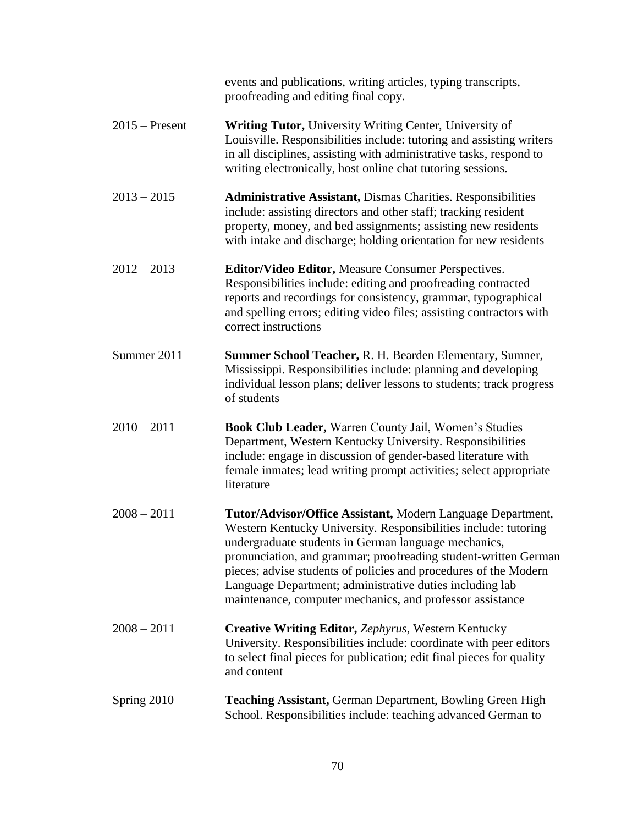|                  | events and publications, writing articles, typing transcripts,<br>proofreading and editing final copy.                                                                                                                                                                                                                                                                                                                                                 |
|------------------|--------------------------------------------------------------------------------------------------------------------------------------------------------------------------------------------------------------------------------------------------------------------------------------------------------------------------------------------------------------------------------------------------------------------------------------------------------|
| $2015$ – Present | <b>Writing Tutor, University Writing Center, University of</b><br>Louisville. Responsibilities include: tutoring and assisting writers<br>in all disciplines, assisting with administrative tasks, respond to<br>writing electronically, host online chat tutoring sessions.                                                                                                                                                                           |
| $2013 - 2015$    | <b>Administrative Assistant, Dismas Charities. Responsibilities</b><br>include: assisting directors and other staff; tracking resident<br>property, money, and bed assignments; assisting new residents<br>with intake and discharge; holding orientation for new residents                                                                                                                                                                            |
| $2012 - 2013$    | Editor/Video Editor, Measure Consumer Perspectives.<br>Responsibilities include: editing and proofreading contracted<br>reports and recordings for consistency, grammar, typographical<br>and spelling errors; editing video files; assisting contractors with<br>correct instructions                                                                                                                                                                 |
| Summer 2011      | Summer School Teacher, R. H. Bearden Elementary, Sumner,<br>Mississippi. Responsibilities include: planning and developing<br>individual lesson plans; deliver lessons to students; track progress<br>of students                                                                                                                                                                                                                                      |
| $2010 - 2011$    | Book Club Leader, Warren County Jail, Women's Studies<br>Department, Western Kentucky University. Responsibilities<br>include: engage in discussion of gender-based literature with<br>female inmates; lead writing prompt activities; select appropriate<br>literature                                                                                                                                                                                |
| $2008 - 2011$    | Tutor/Advisor/Office Assistant, Modern Language Department,<br>Western Kentucky University. Responsibilities include: tutoring<br>undergraduate students in German language mechanics,<br>pronunciation, and grammar; proofreading student-written German<br>pieces; advise students of policies and procedures of the Modern<br>Language Department; administrative duties including lab<br>maintenance, computer mechanics, and professor assistance |
| $2008 - 2011$    | <b>Creative Writing Editor, Zephyrus, Western Kentucky</b><br>University. Responsibilities include: coordinate with peer editors<br>to select final pieces for publication; edit final pieces for quality<br>and content                                                                                                                                                                                                                               |
| Spring 2010      | <b>Teaching Assistant, German Department, Bowling Green High</b><br>School. Responsibilities include: teaching advanced German to                                                                                                                                                                                                                                                                                                                      |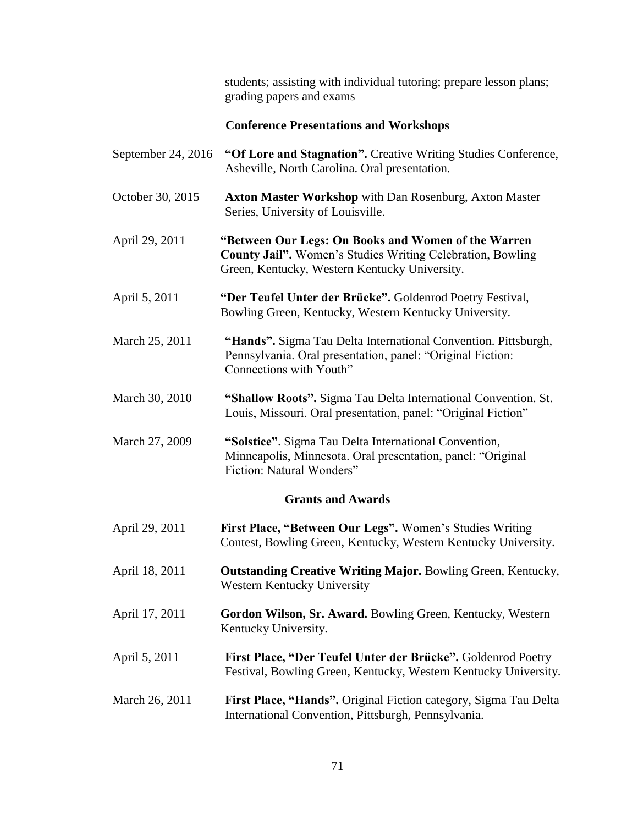|                    | students; assisting with individual tutoring; prepare lesson plans;<br>grading papers and exams                                                                           |
|--------------------|---------------------------------------------------------------------------------------------------------------------------------------------------------------------------|
|                    | <b>Conference Presentations and Workshops</b>                                                                                                                             |
| September 24, 2016 | "Of Lore and Stagnation". Creative Writing Studies Conference,<br>Asheville, North Carolina. Oral presentation.                                                           |
| October 30, 2015   | <b>Axton Master Workshop</b> with Dan Rosenburg, Axton Master<br>Series, University of Louisville.                                                                        |
| April 29, 2011     | "Between Our Legs: On Books and Women of the Warren<br><b>County Jail".</b> Women's Studies Writing Celebration, Bowling<br>Green, Kentucky, Western Kentucky University. |
| April 5, 2011      | "Der Teufel Unter der Brücke". Goldenrod Poetry Festival,<br>Bowling Green, Kentucky, Western Kentucky University.                                                        |
| March 25, 2011     | "Hands". Sigma Tau Delta International Convention. Pittsburgh,<br>Pennsylvania. Oral presentation, panel: "Original Fiction:<br>Connections with Youth"                   |
| March 30, 2010     | "Shallow Roots". Sigma Tau Delta International Convention. St.<br>Louis, Missouri. Oral presentation, panel: "Original Fiction"                                           |
| March 27, 2009     | "Solstice". Sigma Tau Delta International Convention,<br>Minneapolis, Minnesota. Oral presentation, panel: "Original<br>Fiction: Natural Wonders"                         |
|                    | <b>Grants and Awards</b>                                                                                                                                                  |
| April 29, 2011     | First Place, "Between Our Legs". Women's Studies Writing<br>Contest, Bowling Green, Kentucky, Western Kentucky University.                                                |
| April 18, 2011     | <b>Outstanding Creative Writing Major.</b> Bowling Green, Kentucky,<br>Western Kentucky University                                                                        |
| April 17, 2011     | Gordon Wilson, Sr. Award. Bowling Green, Kentucky, Western<br>Kentucky University.                                                                                        |
| April 5, 2011      | First Place, "Der Teufel Unter der Brücke". Goldenrod Poetry<br>Festival, Bowling Green, Kentucky, Western Kentucky University.                                           |
| March 26, 2011     | First Place, "Hands". Original Fiction category, Sigma Tau Delta<br>International Convention, Pittsburgh, Pennsylvania.                                                   |